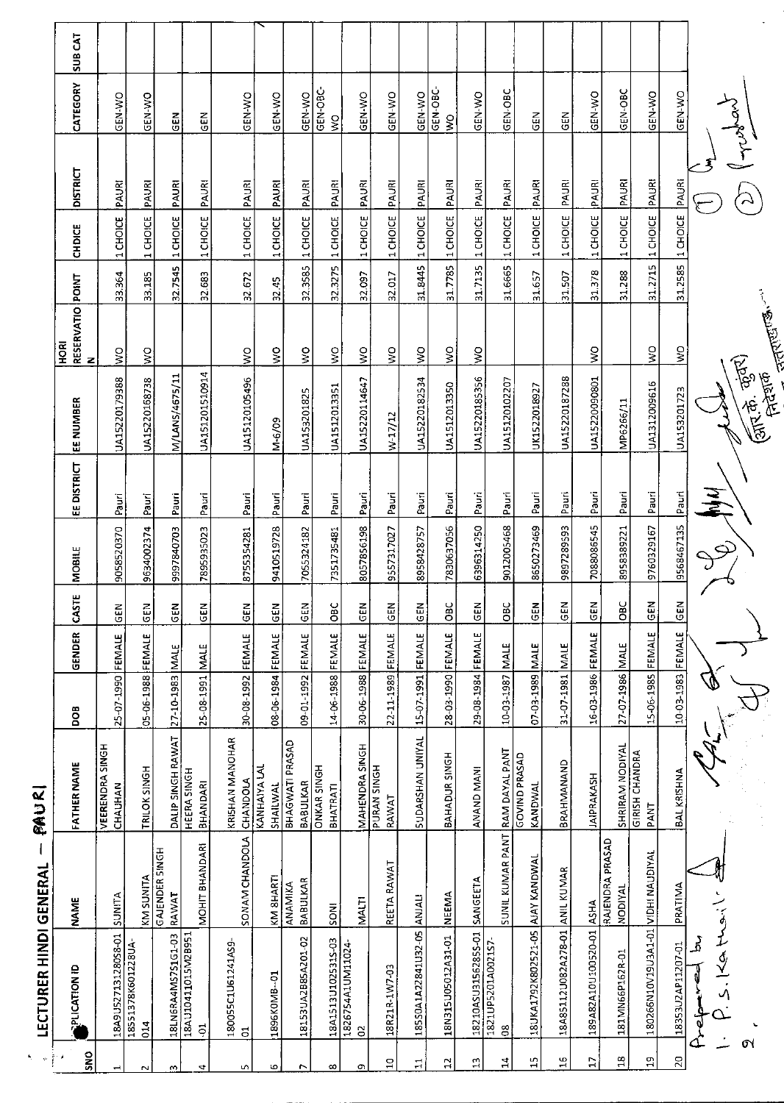| <b>SUB CAT</b>        |                                   |                           |                                |                                        |                                      |                                 |                             |                                |                                      |                             |                     |                           |                     |                                 |                                 |                                |                          |                                   |                                    |                        |                          |
|-----------------------|-----------------------------------|---------------------------|--------------------------------|----------------------------------------|--------------------------------------|---------------------------------|-----------------------------|--------------------------------|--------------------------------------|-----------------------------|---------------------|---------------------------|---------------------|---------------------------------|---------------------------------|--------------------------------|--------------------------|-----------------------------------|------------------------------------|------------------------|--------------------------|
| CATEGORY              | GEN-WO                            | GEN-WO                    | GEN                            | $rac{1}{9}$                            | GEN-WO                               | GEN-WO                          | GEN-WO                      | GEN-OBC<br>$\frac{8}{5}$       | GEN-WO                               | GEN-WO                      | GEN-WO              | GEN-OBC-<br>Ş             | GEN-WO              | GEN-OBC                         | <b>GEN</b>                      | GEN                            | GEN-WO                   | GEN-OBC                           | GEN-WO                             | GEN-WO                 |                          |
| <b>DISTRICT</b>       |                                   |                           |                                |                                        |                                      |                                 |                             |                                |                                      |                             |                     |                           |                     |                                 |                                 |                                |                          |                                   |                                    |                        | Trafant                  |
| <b>CHDICE</b>         | 1 CHOICE PAURI                    | 1 CHOICE PAURI            | PAURI<br>1 CHOICE              | 1 CHOICE PAUR                          | PAURI<br>1 CHOICE                    | <b>PAURI</b><br>1 CHOICE        | PAURI                       | <b>PAURI</b>                   | 1 CHOICE PAURI                       | PAURI<br>1 CHOICE           | 1 CHOICE PAURI      | PAURI<br>1 CHOICE         | PAURI<br>1 CHOICE   | PAURI<br>1 CHOICE               | PAURI<br>1 CHOICE               | PAURI<br>1 CHOICE              | PAURI<br>1 CHOICE        | PAURI<br>1 CHOICE                 | 31.2715 1 CHOICE PAURI             | 31.2585 1 CHOICE PAURI |                          |
|                       | 33.364                            | 33.185                    | 32.7545                        | 32.683                                 | 32 672                               |                                 | 32.3585 1 CHOICE            | 32.3275 1 CHOICE               | 32.097                               | 32.017                      | 31.8445             | 317785                    | 31.7135             | 31 6665                         | 31.657                          | 31.507                         | 31.378                   | 31.288                            |                                    |                        |                          |
| RESERVATIO POINT<br>N |                                   |                           |                                |                                        |                                      | 32.45                           |                             |                                |                                      |                             |                     |                           |                     |                                 |                                 |                                |                          |                                   |                                    |                        | <b>THATES</b>            |
| <b>ROH</b>            | $\frac{8}{2}$                     | $\frac{1}{2}$             |                                |                                        | $\geq$                               | $\frac{1}{2}$                   | $\frac{1}{2}$               | $\frac{1}{2}$                  | $\frac{1}{2}$                        | $\mathsf{S}^{\mathsf{O}}$   | $\frac{1}{2}$       | $\mathsf{S}^{\mathsf{O}}$ | ş                   |                                 |                                 |                                | ş                        |                                   | $\leq$                             | $\frac{1}{2}$          |                          |
| EE NUMBER             | UA15220179388                     | UA15220168738             | M/LANS/4675/11                 | UA151201510914                         | UA15120105496                        | $M - 6/09$                      | UA153201825                 | UA1512013351                   | UA15220114647                        | W17/12                      | UA15220182534       | UA1512013350              | UA15220185356       | UA15120102207                   | UK1522018927                    | UA15220187288                  | UA15220090801            | MP6266/11                         | UA1312009616                       | UA153201723            | क्रा के कुंकर)<br>तिहराक |
| EE DISTRICT           | Pauri                             | Pauri                     | Pauri                          | Pauri                                  | Pauri                                | Pauri                           | Pauri                       | Pauri                          | Pauri                                | Pauri                       | Pauri               | Pauri                     | Pauri               | Pauri                           | Pauri                           | Pauri                          | Pauri                    | Pauri                             | Pauri                              |                        | $\frac{2}{3}$            |
| MOBILE                | 9058520370                        | 9634002374                | 9997840703                     | 7895935023                             | 8755354281                           | 9410519728                      | 7055324182                  | 7351735481                     | 8057856198                           | 9557317027                  | 8958428757          | 7830637056                | 6396314250          | 9012005468                      | 8650273469                      | 9897289593                     | 7088086545               | 8958389221                        | 9760329167                         | 9568467135 Pauri       |                          |
| CASTE                 | z<br>ម៊                           | $rac{2}{5}$               | $rac{2}{5}$                    | $rac{E}{2}$                            | $rac{1}{100}$                        | <b>GEN</b>                      | GEN                         | <b>OBC</b>                     | <b>GEN</b>                           | $rac{1}{2}$                 | <b>GEN</b>          | $\overline{c}$            | GEN                 | OBC                             | <b>GEN</b>                      | GEN                            | $rac{1}{2}$              | OBC                               | GEN                                | <b>GEN</b>             |                          |
| GENDER                |                                   |                           | <b>MALE</b>                    | <b>MALE</b>                            |                                      |                                 |                             |                                |                                      |                             | FEMALE              |                           | FEMALE              | MALE                            | <b>MALE</b>                     | <b>NALE</b>                    |                          |                                   | FEMALE                             |                        |                          |
| BOG                   | 25-07-1990 FEMALE                 | 05-06-1988 FEMALE         | 27-10-1983                     | 25-08-1991                             | 30-08-1992 FEMALE                    | 08-06-1984 FEMALE               | 09-01-1992 FEMALE           | 14-06-1988 FEMALE              | 30-06-1988 FEMALE                    | 22-11-1989 FEMALE           | 15-07-1991          | 28-03-1990 FEMALE         | 29-08-1984          | 10-03-1987                      | 07-03-1989                      | 31-07-1981                     | 16-03-1986 FEMALE        | 27-07-1986 MALE                   | 15-06-1985                         | 10-03-1983 FEMALE      |                          |
| <b>FATHER NAME</b>    | <b>VEERENDRA SINGH</b><br>CHAUHAN | TRILOK SINGH              | DALIP SINGH RAWAT              | <b>HEERA SINGH</b><br>BHANDARI         | KRISHAN MANOHAR<br>CHANDOLA          | <b>KANHAIYA LAL</b><br>SHAILWAL | BHAGWATI PRASAD<br>BABULKAR | <b>ONKAR SINGH</b><br>BHATRATI | MAHENDRA SINGH                       | <b>PURAN SINGH</b><br>RAWAT | SUDARSHAN UNIYAL    | BAHADUR SINGH             | ANAND MANI          |                                 | <b>GOVIND PRASAD</b><br>KANDWAL | BRAHMANAND                     | <b>JAIPRAKASH</b>        | SHRIRAM NODIYAL                   | <b>GIRISH CHANDRA</b><br>PANT      | BAL KRISHNA            |                          |
| <b>NAME</b>           | SUNITA                            | KM SUNITA                 | <b>GAJENDER SINGH</b><br>RAWAT | MOHIT BHANDARI                         | SONAM CHANDOLA                       | KM <b>SHARTI</b>                | BABULKAR<br><b>ANAMIKA</b>  | <b>INCS</b>                    | MALTI                                | REETA RAWAT                 | <b>ANJALI</b>       | <b>NEEMA</b>              | SANGEETA            | SUNIL KUMAR PANT RAM DAYAL PANT | AJAY KANDWAL                    |                                |                          | RAJENDRA PRASAD<br><b>NODIYAL</b> |                                    | PRATIMA                |                          |
| <b>PLICATION ID</b>   | 18A9U527131280S8-01               | 18551378K601228UA-<br>014 | 18LN6RA4MS7S1G1-03             | 18AU10411015M2B951<br>$\ddot{\varphi}$ | 180055C1U61241AS9-<br>$\overline{5}$ | 1896K0MB-01                     | 18153UA2B85A201-02          | 18A1513U1025315-03             | 1826754A1UM11024<br>$\tilde{\sigma}$ | 18R21R-1W7-03               | 18550A1A22841U32-05 | 18N315U05012A31-01        | 18210ASU31562855-01 | 1821UP5201A0021S7-<br>$\approx$ | 18UKA1792K802521-05             | 18A85112U082A278-01 ANIL KUMAR | 189A82A10U100520-01 ASHA | 181MN66P162R-01                   | 180266N10V19U3A1-01 VIDHI NAUDIYAL | 18353U2AP11207-01      | $5.140 + 5.1$<br>ړ<br>م  |
| SNO                   | ᆏ                                 | $\sim$                    | w                              | 4                                      | ın                                   | ю                               | $\overline{ }$              | $\infty$                       | O)                                   | $\Xi$                       | Ħ                   | $\mathfrak{a}$            | $\mathfrak{a}$      | $\mathbf{r}$                    | $\frac{1}{2}$                   | $\frac{16}{16}$                | $\overline{17}$          | $\Xi$                             | ă                                  | $\overline{c}$         | $\sigma$                 |

**LECTURER HINDI GENERAL** - PAUR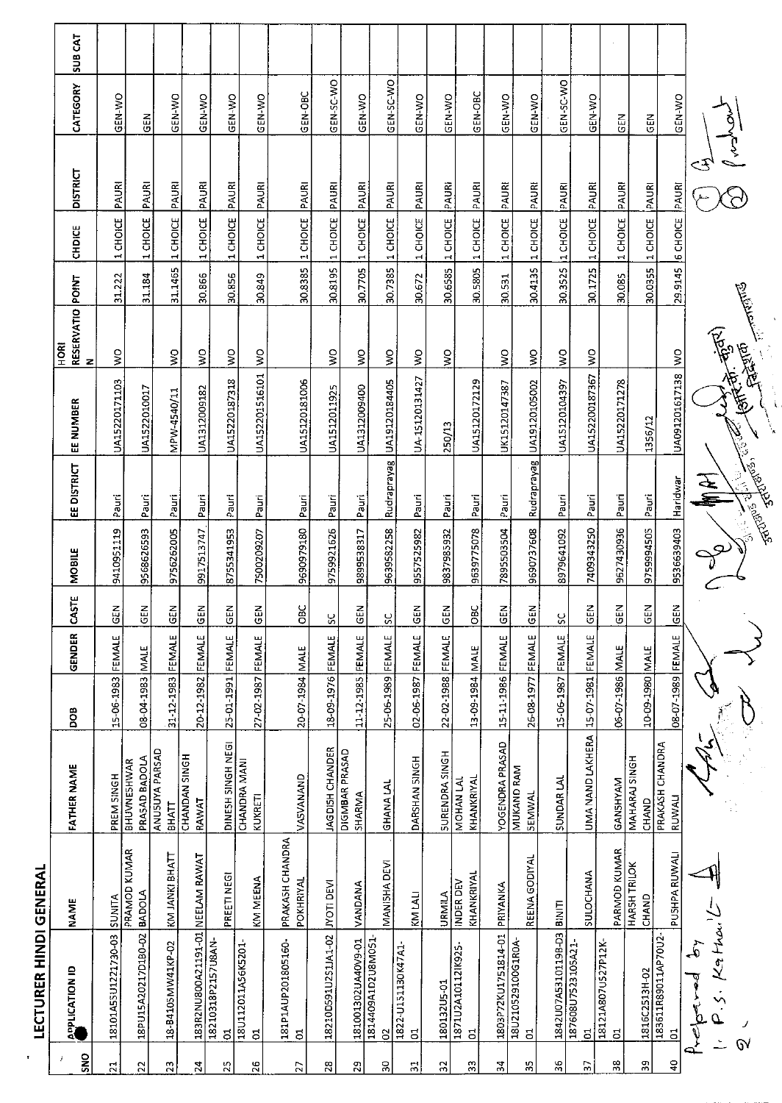| <b>ON</b>      | <b>APPLICATION ID</b>                    | <b>NAME</b>                   | <b>FATHER NAME</b>              | <b>BOO</b>        | GENDER      | CASTE                     | <b>MOBILE</b> | EE DISTRICT                           | EE NUMBER         | RESERVATIO POINT<br>N<br>HORI |         | <b>CHDICE</b>    | <b>DISTRICT</b> | CATEGORY    | SUB CAT |
|----------------|------------------------------------------|-------------------------------|---------------------------------|-------------------|-------------|---------------------------|---------------|---------------------------------------|-------------------|-------------------------------|---------|------------------|-----------------|-------------|---------|
| 릚              | 18101A55U1221730-03                      | SUNITA                        | PREM SINGH                      | 15-06-1983 FEMALE |             | $\mathbf{z}$<br>9         | 9410951119    | Pauri                                 | UA15220171103     | ş                             | 31.222  | 1 CHOICE         | PAURI           | GEN-WO      |         |
| $\mathbb{C}$   | 18PU15A20217D1B0-02                      | PRAMOD KUMAR<br><b>BADOLA</b> | PRASAD BADOLA<br>BHUVNESHWAR    | 08-04-1983        | <b>NALE</b> | 준<br>영                    | 9568626593    | Pauri                                 | UA1522010017      |                               | 31.184  | 1 CHOICE PAURI   |                 | <b>ABO</b>  |         |
| m              | 18-B4105MW41KP-02                        | KM JANKI BHATT                | ANUSUYA PARSAD<br><b>BHATT</b>  | 31-12-1983        | FEMALE      | GEN                       | 9756262005    | Pauri                                 | MPW-4540/11       | $\mathsf{S}^{\mathsf{O}}$     | 31.1465 | 1 CHOICE         | PAURI           | GEN-WO      |         |
| 24             | 183R2NU800A21191-01 NEELAM RAWAT         |                               | CHANDAN SINGH<br><b>RAWAT</b>   | 20-12-1982        | FEMALE      | $rac{2}{9}$               | 9917513747    | Pauri                                 | UA1312009182      | $\frac{1}{2}$                 | 30.866  | 1 CHOICE         | PAURI           | GEN-WO      |         |
| 53             | 18210318P2157U8AN-<br>5                  | PREETI NEGI                   | DINESH SINGH NEGI               | 25-01-1991 FEMALE |             | <b>GEN</b>                | 8755341953    | Pauri                                 | UA15220187318     | $\sum_{i=1}^{n}$              | 30.856  | 1 CHOICE         | PAURI           | GEN-WO      |         |
| 9              | 18U112011A56K5201-<br>ದ                  | KM MEENA                      | CHANDRA MANI<br>KUKRETI         | 27-02-1987 FEMALE |             | <b>GEN</b>                | 7500209207    | Pauri                                 | UA152201516101    | ş                             | 30.849  | 1 CHOICE         | PAURI           | GEN-WO      |         |
| Ľ.             | 181P1AUP201805160-<br>$\vec{c}$          | PRAKASH CHANDRA<br>POKHRIYAL  | VASVANAND                       | 20-07-1984        | <b>MALE</b> | OBC                       | 9690979180    | Pauri                                 | UA15120181006     |                               | 30.8385 | 1 CHOICE PAUR    |                 | GEN-OBC     |         |
| ě,             | 18210D591U2S1JA1-02                      | <b>INOTI DEVI</b>             | JAGDISH CHANDER                 | 18-09-1976 FEMALE |             | 8                         | 9759921626    | Pauri                                 | UA1512011925      | ş                             | 30.8195 | 1 CHOICE         | <b>PAUR</b>     | GEN-SC-WO   |         |
| Ω,             | 181001302UA40V9-01                       | VANDANA                       | DIGMBAR PRASAD<br><b>SHARMA</b> | 11-12-1985        | FEMALE      | GEN                       | 9899538317    | Pauri                                 | UA1312009400      | Ş                             | 30.7705 | 1 CHOICE         | PAURI           | GEN-WO      |         |
| ă              | 1814409A1D2U8M051-<br>$\Omega$           | MANISHA DEVI                  | <b>GHANA LAL</b>                | 25-06-1989 FEMALE |             | SC                        | 9639582258    | Rudraprayag                           | UA19120184405     | Š                             | 30.7385 | 1 CHOICE         | PAURI           | GEN-SC-WO   |         |
| 로              | 1822-U151130K47A1<br>$\overline{5}$      | KM LALI                       | DARSHAN SINGH                   | 02-06-1987        | FEMALE      | z<br>Ŧ                    | 9557525982    | Paun                                  | UA-15120131427    | ş                             | 30.672  | 1 CHOICE         | PAURI           | GEN-WO      |         |
| $\approx$      | 180132U5-01                              | URMILA                        | <b>SURENDRA SINGH</b>           | 22-02-1988 FEMALE |             | <b>GEN</b>                | 9837985932    | Pauri                                 | 250/13            | ş                             | 30.6585 | 1 CHOICE         | PAURI           | GEN-WO      |         |
| S.             | 1871U2A101121K925-<br>5                  | KHANKRIYAL<br>INDER DEV       | KHANKRIYAL<br>MOHAN LAL         | 13 09 1984        | <b>NALE</b> | OBC                       | 9639775078    | Pauri                                 | UA15120172129     |                               | 30.5805 | 1 CHOICE         | PAURI           | GEN-OBC     |         |
| 24             | 1803P72KU1751814-01                      | PRIYANKA                      | YOGENDRA PRASAD                 | 15-11-1986        | FEMALE      | <b>GEN</b>                | 7895503504    | Pauri                                 | UK15120147387     | $\frac{1}{2}$                 | 30.531  | 1 CHOICE         | PAURI           | GEN-WO      |         |
| ٣.             | 18U210529100G1R0A-<br>5                  | REENA GODIYAL                 | MUKAND RAM<br>SEMWAL            | 26-08-1977 FEMALE |             | <b>GEN</b>                | 9690737608    | Rudraprayag                           | UA19120105002     | Ş                             | 30.4135 | 1 CHOICE         | PAURI           | GEN-WO      |         |
| န္က            | 1842U07A5310119B-D3                      | B <sub>iNIT</sub>             | SUNDAR LAL                      | 15-06-1987 FEMALE |             | $\mathbb{S}^{\mathbb{C}}$ | 8979641092    | Pauri                                 | UA15120104397     | $\frac{8}{2}$                 | 30.3525 | 1 CHOICE         | PAURI           | GEN-SC-WO   |         |
| Ľ.             | 187608U7523105A21-<br>ಕ                  | SULOCHANA                     | UMA NAND LAKHERA                | 15-07-1981 FEMALE |             | <b>GEN</b>                | 7409343250    | Pauri                                 | UA152200187367    | $\frac{1}{2}$                 |         | 30.1725 1 CHOICE | PAURI           | GEN-WO      |         |
| $\frac{8}{3}$  | 18121A807U527P12K<br>$\overline{5}$      | PARMOD KUMAR                  | <b>GANSHYAM</b>                 | 06-07-1986 MALE   |             | Z<br>မြ                   | 9627430936    | Pauri                                 | UA15220171278     |                               | 30.085  | 1 CHOICE         | <b>RURI</b>     | GEN         |         |
| တ              | 1816C2513H-02                            | HARSH TRILOK<br>CHAND         | MAHARAJ SINGH<br>CHAND          | 10-09-1980 MALE   |             | GEN                       | 9759994505    | Pauri                                 | 1356/12           |                               | 30.0355 | 1 CHOICE PAUR    |                 | $rac{2}{5}$ |         |
| $\overline{a}$ | 183611R89011AP70U2<br>5                  | PUSHPA RUWALI                 | PRAKASH CHANDRA<br>RUWALI       | 08-07-1989 FEMALE |             | $rac{2}{5}$               | 9536639403    | Haridwar                              | UA091201617138 WO |                               |         | 29.9145 6 CHOICE | <b>PAURI</b>    | GEN-WO      |         |
|                | $.5.$ Kathai<br>$\mathfrak{t}$<br>j<br>D |                               |                                 |                   |             |                           |               | <b>WW</b>                             | C (BREAT BOY)     |                               |         |                  |                 |             |         |
|                |                                          |                               |                                 |                   |             |                           |               | ARIANS, CE<br><b>Community Report</b> |                   |                               |         |                  |                 |             |         |

LECTURER HINDI GENERAL

T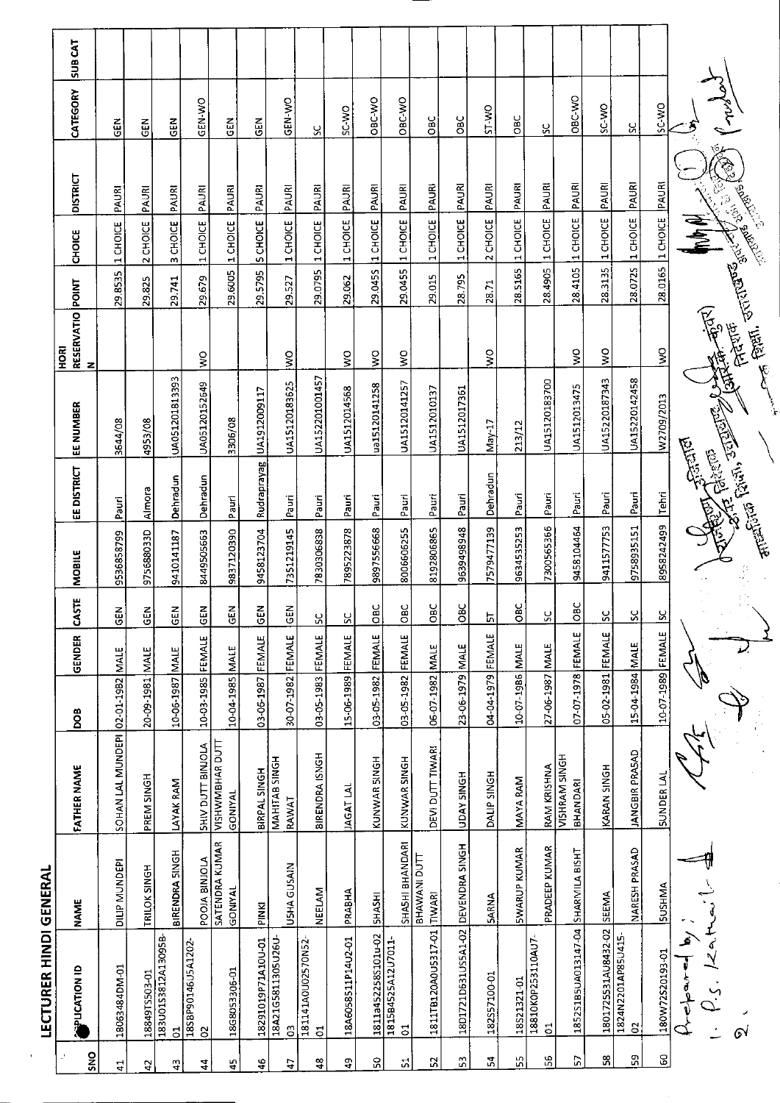| l |
|---|
|   |
|   |
| r |
|   |
|   |
|   |
|   |
|   |
|   |
|   |
| I |
|   |
|   |
|   |
|   |
|   |
|   |
| I |
|   |
|   |
|   |

|                | <b>LECTURER HINDI GENERAL</b>        |                           |                                  |                   |             |                |            |                        |                                  |                                               |                |                       |                        |               |                |
|----------------|--------------------------------------|---------------------------|----------------------------------|-------------------|-------------|----------------|------------|------------------------|----------------------------------|-----------------------------------------------|----------------|-----------------------|------------------------|---------------|----------------|
| ă<br>2         | <b>GI KOLIOTION</b>                  | <b>NAME</b>               | <b>FATHER NAME</b>               | <b>BOO</b>        | GENDER      | CASTE          | MOBILE     | EE DISTRICT            | EE NUMBER                        | RESERVATIO POINT<br>$rac{R}{2}$<br>z          |                | CHOICE                | <b>DISTRICT</b>        | CATEGORY      | <b>TYD BUS</b> |
| 로              | 18063484DM-01                        | DILIP MUNDEPI             | SOHAN LAL MUNDEPI                | 02-01-1982 MALE   |             | $\overline{5}$ | 9536858799 | Pauri                  | 3644/08                          |                                               | 29.8535        | 1 CHOICE              | PAURI                  | 즶             |                |
| 5.             | 18849TS503-01<br>183U01S3812A13095B- | TRILOK SINGH              | PREM SINGH                       | 20-09-1981 MALE   |             | $rac{2}{5}$    | 975688033D | Almora                 | 4953/08                          |                                               | 29.825         | 2 CHOICE              | PAURI                  | GEN           |                |
| ä,             | $\overline{c}$                       | BIRENDRA SINGH            | LAYAK RAM                        | 10-06-1987        | MALE        | <b>GEN</b>     | 9410141187 | Dehradun               | UA051201813393                   |                                               | 29.741         | 3 CHOICE              | PAURI                  | GEN           |                |
| 4              | 18SBP90146U5A1202<br>S               | POOJA BINJOLA             | SHIV DUTT BINJOLA                | 10-03-1985 FEMALE |             | $rac{2}{5}$    | 8449505663 | Dehradun               | UA05120152649                    | $\frac{8}{5}$                                 | 29.679         | 1 CHOICE              | PAURI                  | <b>GEN-WO</b> |                |
| 45             | 18G8053306-01                        | SATENDRA KUMAR<br>GONIYAL | VISHWMBHAR DUTT<br>GONIYAL       | 10-04-1985 MALE   |             | <b>GEN</b>     | 9837120390 | Pauri                  | 3306/08                          |                                               | 29.6005        | 1 CHOICE              | PAURI                  | <b>SEN</b>    |                |
| ٩ŧ             | 18291019P71A10U-01                   | <b>PINKI</b>              | BIRPAL SINGH                     | 03-06-1987 FEMALE |             | $rac{2}{5}$    | 9458123704 | Rudraprayag            | UA1912009117                     |                                               | 29.5795        | SCHOICE               | PAURI                  | 듡             |                |
| t              | 18A21G5811305U26U-<br>ප              | USHA GUSAIN               | MAHITAB SINGH<br>RAWAT           | 30-07-1982 FEMALE |             | GEN            | 7351219145 | Pauri                  | UA15120183625                    | ş                                             | 29.527         | 1 CHOICE              | PAURI                  | GEN-WO        |                |
| $\frac{8}{4}$  | 181141A0U02570N52<br>$\vec{c}$       | <b>NEELAM</b>             | BIRENDRA ISNGH                   | 03-05-1983 FEMALE |             | ΣÇ             | 7830306838 | Pauri                  | UA152201001457                   |                                               |                | 29.0795 1 CHOICE      | PAURI                  | S,            |                |
| \$             | 18A6058511P14U2-01                   | PRABHA                    | <b>JAGAT LAL</b>                 | 15-06-1989 FEMALE |             | SC             | 7895223878 | Pauri                  | UA1512014568                     | $\boldsymbol{\mathsf{S}}$                     | 29.062         | 1 CHOICE              | PAURI                  | <b>OM-JS</b>  |                |
| ႙              | 1811a4522585101u-02                  | <b>SHASHI</b>             | KUNWAR SINGH                     | 03-05-1982 FEMALE |             | loвc           | 9897556668 | Pauri                  | ua15120141258                    | $\sum_{i=1}^{n}$                              | 29.045S        | 1 CHOICE              | PAURI                  | OBC-WO        |                |
| <u>ក្</u>      | 1815B4525A12U7011-<br>5              | SHASHI BHANDARI           | <b>KUNWAR SINGH</b>              | 03-05-1982 FEMALE |             | OBC            | 8006606255 | Pauri                  | UA15120141257                    | ş                                             | 29.0455        | 1 CHOICE              | PAURI                  | OBC WO        |                |
| 52             | 1811TB120A0U5317-01                  | BHAWANI DUTT<br>TIWARI    | DEVI DUTT TIWARI                 | 06-07-1982 MALE   |             | OBC            | 8192806865 | Pauri                  | UA1512010137                     |                                               | 29.015         | 1 CHOICE              | PAURI                  | OBC           |                |
| S.             | 18D1721D631US5A1-02                  | DEVENDRA SINGH            | <b>HOME AVOL</b>                 | 23-06-1979 MALE   |             | OBC            | 9639498948 | Pauri                  | UA1512017361                     |                                               | 28.795         | 1 CHOICE              | PAURI                  | <b>CBC</b>    |                |
| ż              | 182S57100-01                         | <b>SARNA</b>              | DALIP SINGH                      | 04-04-1979        | FEMALE      | 넚              | 7579477139 | Dehradun               | $Nav-1$                          | ş                                             | 28.71          | 2 CHOICE              | PAURI                  | <b>OW-LS</b>  |                |
| Γ,             | 18521321-01                          | <b>SWARUP KUMAR</b>       | <b>MAYA RAM</b>                  | 10-07-1986        | MALE        | OBC            | 9634535253 | Pauri                  | 213/12                           |                                               | <b>28.5165</b> | 1 CHOICE              | PAURI                  | OВC           |                |
| 56             | 18810K0P253110AU7<br>$\overline{5}$  | PRADEEP KUMAR             | RAM KRISHNA                      | 27-06-1987        | <b>MALE</b> | ွှ             | 7300565366 | Pauri                  | UA15120183700                    |                                               | 28.4905        | 1 CHOICE              | PAURI                  | S,            |                |
| P.             | 1852S1B5UA013147-04                  | SHARMILA BISHT            | VISHRAM SINGH<br><b>BHANDARI</b> | 07-07-1978 FEMALE |             | OBC            | 9458104464 | Pauri                  | UA1512013475                     | ş                                             | 28.4105        | 1 CHOICE              | PAURI                  | OBC-WO        |                |
| 38             | 1801725531AU8432-02                  | SEEMA                     | KARAN SINGH                      | 05-02-1981 FEMALE |             | ςc             | 9411577753 | Pauri                  | UA15220187343                    | $\frac{1}{2}$                                 | 28.3135        | 1 CHOICE              | PAURI                  | SC-WO         |                |
| 59             | 1824N2201AP85U415<br>$\delta$        | NARESH PRASAD             | <b>JANGBIR PRASAD</b>            | 15-04-1984 MALE   |             | SC             | 9758935151 | Pauri                  | UA15220142458                    |                                               | 28.072S        | 1 CHOICE              | PAURI                  | ပ္ပ           |                |
| S <sub>0</sub> | 180W72S20193-01                      | SUSHMA                    | SUNDER LAI                       | 10-07-1989 FEMALE |             | X              | 8958242499 | Tehri                  | W2709/2013                       | $\mathsf{S}$                                  |                | 28.0165 1 CHOICE PAUR |                        | SC WO         |                |
|                | ا ہے<br>ا<br>تھ                      |                           |                                  |                   |             |                |            | <b>Control Control</b> |                                  |                                               |                | $\frac{1}{2}$         |                        |               |                |
|                | 61                                   |                           |                                  |                   |             |                |            |                        | The Point of Prince of the Point | <b>C. HEALTH STRIPS AND STATES</b><br>大家精神 !! |                |                       | ١<br><b>Contractor</b> | zne)          |                |
|                |                                      |                           |                                  |                   |             |                |            |                        |                                  |                                               |                |                       |                        |               |                |

テ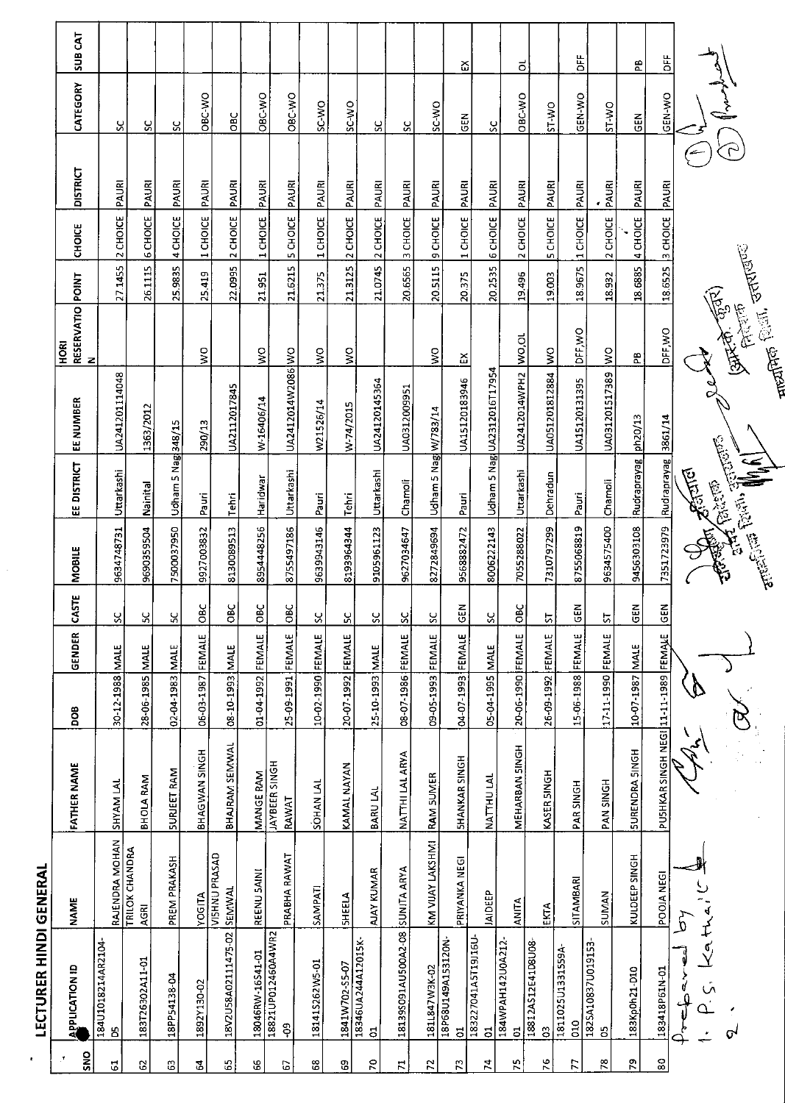| ٠              | <b>LECTURER HINDI GENERAL</b>       |                                          |                        |                   |             |                         |                                        |                      |                              |                                            |         |                 |                 |          |                |
|----------------|-------------------------------------|------------------------------------------|------------------------|-------------------|-------------|-------------------------|----------------------------------------|----------------------|------------------------------|--------------------------------------------|---------|-----------------|-----------------|----------|----------------|
| <b>ONS</b>     | <b>APPLICATION ID</b>               | <b>NAME</b>                              | <b>FATHER NAME</b>     | <b>DOB</b>        | GENDER      | CASTE                   | MOBILE                                 | EE DISTRICT          | EE NUMBER                    | RESERVATIO <mark>POINT</mark><br>N<br>HORI |         | <b>CHOICE</b>   | <b>DISTRICT</b> | CATEGORY | <b>SUB CAT</b> |
| 5              | 184U1018214AR2104<br>පි             | <b>RAJENDRA MOHAN</b>                    | SHYAM LAL              | 30-12-1988        | <b>MALE</b> | ×                       | 9634748731                             | Uttarkashi           | UA241201114048               |                                            | 27.1455 | 2 CHOICE        | PAURI           | χ        |                |
| 3              | 183T26302A11-01                     | TRILOK CHANDRA<br><b>AGRI</b>            | BHOLA RAM              | 28-06-1985        | <b>MALE</b> | ង                       | 9690359504                             | Nainital             | 1363/2012                    |                                            | 26.1115 | <b>6 CHOICE</b> | PAURI           | ပ္ပ      |                |
| 3              | 18PP54138.04                        | PREM PRAKASH                             | SURJEET RAM            | 02-04-1983        | <b>MALE</b> | ပ္က                     | 7500037950                             | Udham 5 Nag 348/15   |                              |                                            | 25.9835 | 4 CHOICE        | PAURI           | ပ္ပ      |                |
| 3              | 1892Y130-02                         |                                          | BHAGWAN SINGH          | 06-03-1987 FEMALE |             | $\cup$<br>$\frac{8}{5}$ | 9927003832                             | Pauri                | 290/13                       | š                                          | 25.419  | 1 CHOICE        | PAURI           | OBC-WO   |                |
| 55             | 18V2U58A02111475-02                 | YOGITA<br>VISHNU PRASAD<br><b>SEMWAL</b> | BHAJRAM SEMWAL         | 3JAM [E661-01-80  |             | OBC                     | 8130089513                             | Tehri                | UA2112017845                 |                                            | 22.0995 | 2 CHOICE        | PAURI           | OBC      |                |
| 8              | 18046RW-16541-01                    | REENU SAINI                              | MANGE RAM              | 01-04-1992        | FEMALE      | OBC                     | 8954448256                             | Haridwar             | W-16406/14                   | ş                                          | 21.951  | 1 CHOICE        | PAURI           | OBC-WO   |                |
| 67             | 18821UP012460A4WR2<br>ę             | PRABHA RAWAT                             | JAYBEER SINGH<br>RAWAT | 25-09-1991        | FEMALE      | OBC                     | 8755497186                             | Uttarkashi           | UA2412014W2086 WO            |                                            | 21.6215 | 5 CHOICE        | PAURI           | OBC-WO   |                |
| 89             | 181415262W5-01                      | SAMPATI                                  | <b>SOHANLAL</b>        | 10-02-1990 FEMALE |             | SC                      | 9639943146                             | Pauri                | W21526/14                    | Š                                          | 21375   | 1 CHOICE        | PAURI           | SC-WO    |                |
| S.             | 1841W702-S5-07                      | <b>SHEELA</b>                            | KAMAL NAYAN            | 20-07-1992 FEMALE |             | ሄ                       | 8193964344                             | Tehri                | W-74/2015                    | š                                          | 21.3125 | 2 CHOICE        | PAURI           | SC-WO    |                |
| $\sim$         | 18346UA244A12015K<br>$\overline{5}$ | AJAY KUMAR                               | BARU LAL               | 25-10-1993 MALE   |             | ပ္တ                     | 9105961123                             | Uttarkashi           | UA24120145364                |                                            | 21.0745 | 2 CHOICE        | PAURI           | မ္ပ      |                |
| H              | 18139S091AU500A2-08                 | <b>SUNITA ARYA</b>                       | <b>NATTHI LAL ARYA</b> | 08-07-1986 FEMALE |             | ပ္တ                     | 9627034647                             | Chamoli              | UA0312009951                 |                                            | 20.6565 | <b>3 CHOICE</b> | PAURI           | S,       |                |
| $\tilde{z}$    | 1811847W3K-02                       | KM VIJAY LAKSHMI                         | RAM SUMER              | 09-05-1993 FEMALE |             | ႕                       | 8272849694                             | Udham 5 Nag W/783/14 |                              | ş                                          | 20.5115 | 9 CHOICE        | PAURI           | SC-WO    |                |
| 52             | 18P68U149A153120N-<br>ã             | PRIYANKA NEGI                            | <b>SHANKAR SINGH</b>   | 04-07-1993        | FEMALE      | $rac{1}{2}$             | 9568882472                             | Pauri                | UA15120183946                | చ                                          | 20.375  | 1 CHOICE        | PAURI           | 듢        | ద              |
| 74             | 183227041A5T19J16U<br>$\vec{c}$     | JAIDEEP                                  | NATTHU LAL             | 05-04-1995        | <b>MALE</b> | 2S                      | 8006222143                             |                      | Udham 5 Nagi UA2312016T17954 |                                            | 202555  | <b>6 CHOICE</b> | PAURI           | χ        |                |
| 57             | 184WPAH142U0A212<br>$\Xi$           | <b>ANITA</b>                             | MEHARBAN SINGH         | 20-06-1990 FEMALE |             | OBC                     | 7055288022                             | Uttarkashi           | UA2412014WPH2                | wo,ou                                      | 19.496  | 2 CHOICE        | PAURI           | OBC-WO   | ಠ              |
| $\frac{6}{2}$  | 18812AS12E41D8U08<br>3              | ĒКТА                                     | KASER SINGH            | 26-09-1992 FEMALE |             | <u>51</u>               | 7310797299                             | Dehradun             | UA051201812884               | $\frac{1}{2}$                              | 19,003  | <b>5 CHOICE</b> | PAURI           | ST-WO    |                |
| 77             | 1811025U1331559A-<br>010            | SITAMBARI                                | <b>PAR SINGH</b>       | 15-06-1988 FEMALE |             | $rac{5}{6}$             | 8755068819                             | Pauri                | UA15120131395                | DFF, WO                                    | 18.9675 | 1 CHOICE        | PAURI           | GEN-WO   | 뷤              |
| 78             | 1825A10837U019153<br>පි             | SUMAN                                    | <b>PAN SINGH</b>       | 17-11-1990 FEMALE |             | 5                       | 9634575400                             | Chamoli              | UA031201517389               | $\frac{1}{2}$                              | 18.932  | 2 CHOICE        | $rac{1}{2}$     | SA-LS    |                |
| ۳              | 183Kp0h21-D10                       | KULDEEP SINGH                            | <b>SURENDRA SINGH</b>  | 10-07-1987 MALE   |             | $\tilde{a}$             | 9456303108                             | Rudraprayag  ph20/13 |                              | æ                                          | 18.6885 | 4 CHOICE        | PAURI           | GEN      | æ              |
| $\frac{80}{8}$ | 183418P61N-01                       | POOIA NEGI                               | PUSHKAR SINGH NEGI     | 11-11-1989        | FEMALE      | <b>SEN</b>              | 7351723979                             | Rudraprayag 3861/14  |                              | DFF WO                                     | 186525  | 3 CHOICE PAURI  |                 | GEN-WO   | 놈              |
|                | Y<br>ş<br>ن<br>`                    | ¥<br>ხ                                   |                        |                   |             |                         |                                        | <b>RETTER</b>        |                              |                                            |         |                 |                 |          |                |
|                | ᠪ                                   |                                          |                        |                   |             |                         | enterior and description of the MM (1) |                      |                              | <b>Company Company</b>                     |         |                 |                 |          |                |
|                |                                     |                                          |                        |                   |             |                         |                                        |                      |                              | $m$ for finith $m$ and $m$                 |         |                 |                 |          |                |

 $\frac{1}{\sqrt{2}}$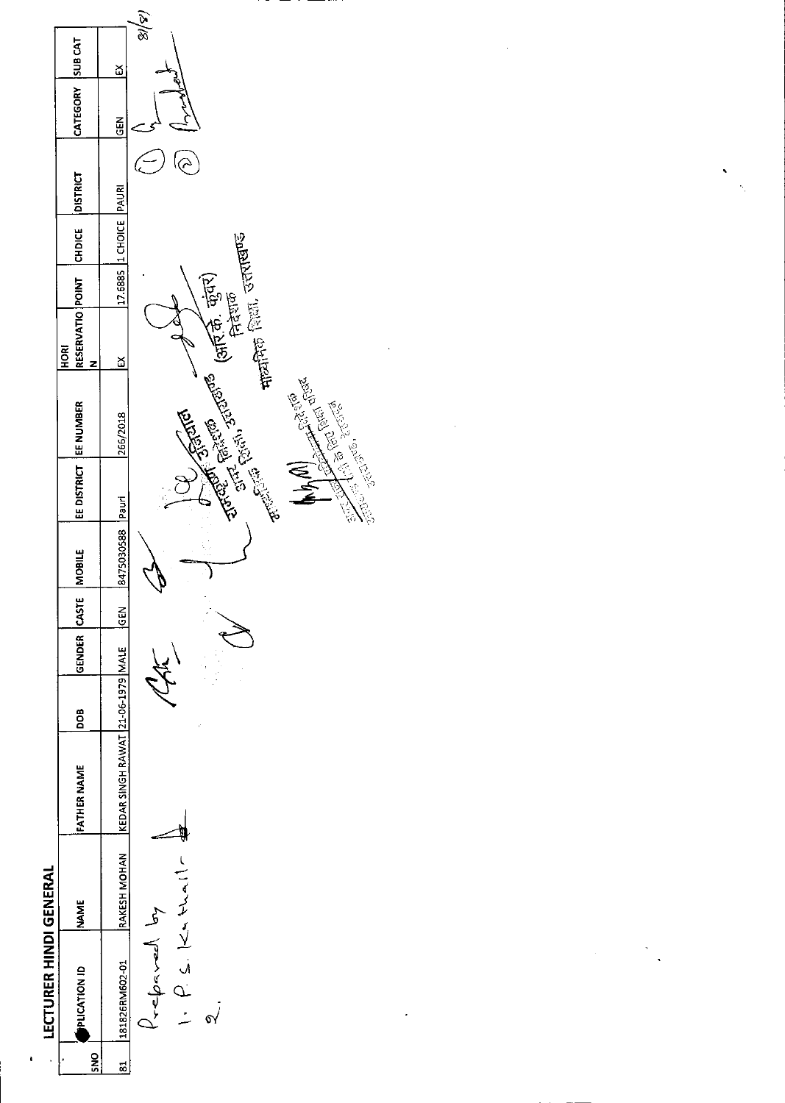

 $\pmb{\iota}$ 

 $\ddot{\phantom{0}}$ 

 $\ddot{\cdot}$ 

 $\frac{1}{2}$ 

 $\ddot{\phantom{0}}$ 

 $\label{eq:2.1} \frac{1}{2} \int_{\mathbb{R}^3} \frac{1}{\sqrt{2}} \, \frac{1}{\sqrt{2}} \, \frac{1}{\sqrt{2}} \, \frac{1}{\sqrt{2}} \, \frac{1}{\sqrt{2}} \, \frac{1}{\sqrt{2}} \, \frac{1}{\sqrt{2}} \, \frac{1}{\sqrt{2}} \, \frac{1}{\sqrt{2}} \, \frac{1}{\sqrt{2}} \, \frac{1}{\sqrt{2}} \, \frac{1}{\sqrt{2}} \, \frac{1}{\sqrt{2}} \, \frac{1}{\sqrt{2}} \, \frac{1}{\sqrt{2}} \, \frac{1}{\sqrt{2}} \,$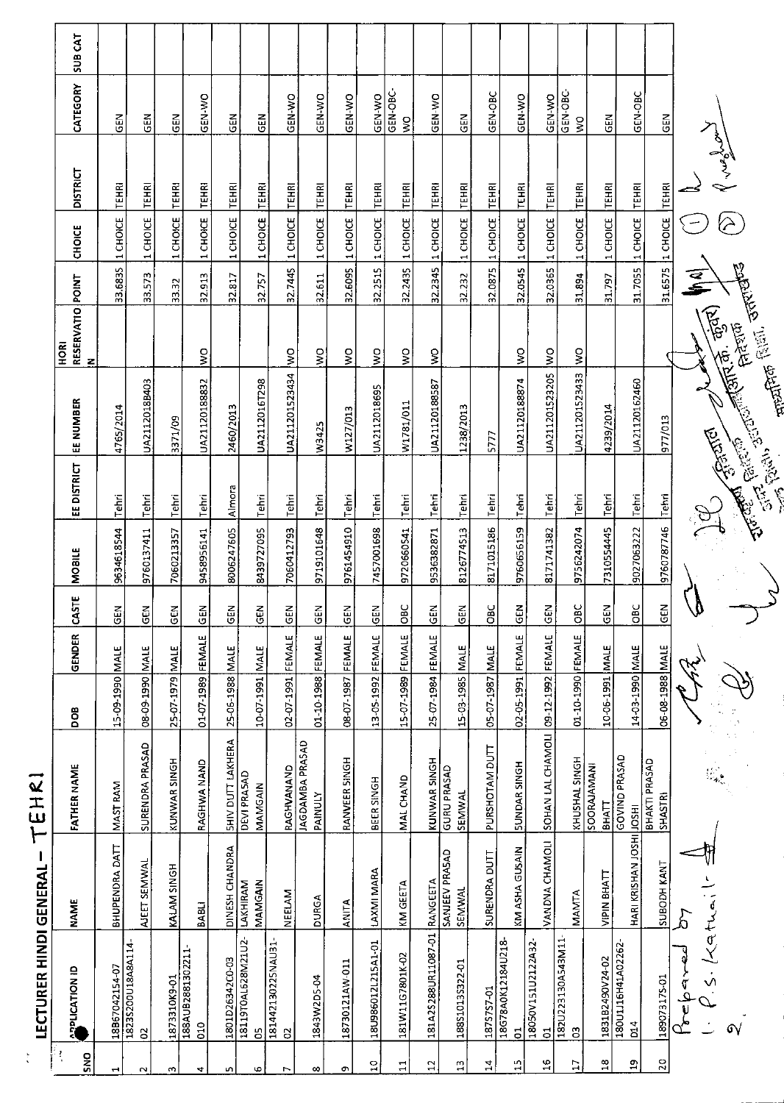| ţ.              | <b>LECTURER HINDI GENERAL</b>            | $\vdash$                  | EHR                               |                   |             |                |               |                                                                                                                      |                                                                                                                                                                                                                               |                                      |                       |                  |                 |                                      |                |
|-----------------|------------------------------------------|---------------------------|-----------------------------------|-------------------|-------------|----------------|---------------|----------------------------------------------------------------------------------------------------------------------|-------------------------------------------------------------------------------------------------------------------------------------------------------------------------------------------------------------------------------|--------------------------------------|-----------------------|------------------|-----------------|--------------------------------------|----------------|
| ţ<br><b>ONS</b> | <b>APPLICATION ID</b>                    | <b>NAME</b>               | <b>FATHER NAME</b>                | 80q               | GENDER      | CASTE          | <b>MOBILE</b> | <b>EE DISTRICT</b>                                                                                                   | <b>EE NUMBER</b>                                                                                                                                                                                                              | RESERVATIO POINT<br>HORI<br>z        |                       | CHOICE           | <b>DISTRICT</b> | CATEGORY                             | <b>SUB CAT</b> |
| ᆋ               | 18B67042154-07                           | BHUPENDRA DATT            | MAST RAM                          | 15-09-1990        | <b>MALE</b> | $\frac{5}{6}$  | 9634618544    | Tehri                                                                                                                | 4765/2014                                                                                                                                                                                                                     |                                      | 33.6835               | 1 CHOICE         | TEHRI           | 읍                                    |                |
| $\sim$          | 1823S200U18A8A114<br>$\mathbf{S}$        | AJEET SEMWAL              | SURENDRA PRASAD                   | 08-09-1990        | <b>MALE</b> | $\frac{5}{10}$ | 9760137411    | Tehri                                                                                                                | UA2112018B403                                                                                                                                                                                                                 |                                      | 33.573                | 1 CHOICE         | <b>TEHRI</b>    | 즶                                    |                |
| m               | 1873310K9-01                             | KALAM SINGH               | KUNWAR SINGH                      | 25-07-1979 MALE   |             | $\frac{5}{3}$  | 7060213357    | Tehri                                                                                                                | 3371/09                                                                                                                                                                                                                       |                                      | 33.32                 | 1 CHOICE         | <b>TEHRI</b>    | <b>GEN</b>                           |                |
| 4               | 188AUB2881302211-<br>010                 | BABLI                     | RAGHWA NAND                       | 01-07-1989 FEMALE |             | $rac{1}{2}$    | 9458956141    | Tehri                                                                                                                | UA21120188832                                                                                                                                                                                                                 | ş                                    | 32.913                | 1 CHOICE         | TEHRI           | GEN-WO                               |                |
| LŊ,             | 1801D26342C0-03                          |                           | <b>SHIV DUTT LAKHERA</b>          | 25-06-1988 MALE   |             | <b>GEN</b>     | 8006247605    | Almora                                                                                                               | 2460/2013                                                                                                                                                                                                                     |                                      | 32.817                | 1 CHOICE         | <b>TEHRI</b>    | 65                                   |                |
| Φ               | 18119T0AL628M21U2-<br>S                  | DINESH CHANDRA<br>MAMGAIN | <b>DEVI PRASAD</b><br>MAMGAIN     | 10-07-1991 MALE   |             | $\frac{2}{9}$  | 8439727095    | Tehri                                                                                                                | UA2112016T298                                                                                                                                                                                                                 |                                      | 32.757                | 1 CHOICE         | <b>TEHRI</b>    | GEN                                  |                |
| r,              | 181442130225NAU31<br>$\mathbf{S}$        | NEELAM                    | RAGHVANAND                        | 02-07-1991        | FEMALE      | $rac{2}{3}$    | 7060412793    | l Tehri                                                                                                              | UA211201523434                                                                                                                                                                                                                | $\frac{1}{2}$                        | 32.7445               | 1 CHOICE         | <b>TEHRI</b>    | GEN-WO                               |                |
| œ               | 1843W2D5-04                              | DURGA                     | JAGDAMBA PRASAD<br><b>PAINULY</b> | 01-10-1988        | FEMALE      | GEN            | 9719101648    | Tehri                                                                                                                | W3425                                                                                                                                                                                                                         | ş                                    | 32.611                | 1 CHOICE         | TEHRI           | <b>GEN-WO</b>                        |                |
| G)              | 18730121AW-011                           | <b>ANITA</b>              | RANVEER SINGH                     | 08-17-1987        | FEMALE      | <b>GEN</b>     | 9761454910    | Tehri                                                                                                                | W127/013                                                                                                                                                                                                                      | $\stackrel{\textstyle\circ}{\bm{s}}$ | 32.6095               | 1 CHOICE         | <b>TEHRI</b>    | GEN-WO                               |                |
| $\overline{10}$ | 18U986012L215A1-01                       | LAXMI MARA                | BEER SINGH                        | 13-05-1992 FEMALE |             | $rac{5}{65}$   | 7457001698    | $ T$ ehri                                                                                                            | UA2112018695                                                                                                                                                                                                                  | $\sum_{i=1}^{n}$                     | 32.2515               | 1 CHOICE         | <b>FEHR</b>     | GEN-WO                               |                |
| $\Xi$           | 181W11G7801K-02                          | KM GEETA                  | <b>MALCHAND</b>                   | 15-07-1989 FEMALE |             | OBC            | 9720660541    | Tehri                                                                                                                | W1781/011                                                                                                                                                                                                                     | $\frac{1}{2}$                        |                       | 32.2435 1 CHOICE | <b>FEHRI</b>    | GEN-OBC<br>$\boldsymbol{\mathsf{S}}$ |                |
| $\mathbf{a}$    | 181A25288UR11087-01                      | RANGEETA                  | KUNWAR SINGH                      | 25-07-1984 FEMALE |             | <b>GEN</b>     | 9536382871    | Tehri                                                                                                                | UA21120188587                                                                                                                                                                                                                 | $\frac{8}{5}$                        |                       | 32.2345 1 CHOICE | <b>TEHRI</b>    | GEN-WO                               |                |
| $\mathbf{r}$    | 188S1013S322-01                          | SANJEEV PRASAD<br>SEMWAL  | <b>GURU PRASAD</b><br>SEMWAL      | 15-03-1985 MALE   |             | <b>GEN</b>     | 8126774513    | Tehri                                                                                                                | 1238/2013                                                                                                                                                                                                                     |                                      | 32.232                | 1 CHOICE         | <b>TEHRI</b>    | $rac{1}{2}$                          |                |
| 뉰               | 1875757-01                               | SURENDRA DUTT             | PURSHOTAM DUTT                    | 05-07-1987        | <b>MALE</b> | OBC            | 8171015186    | Tehri                                                                                                                | 5777                                                                                                                                                                                                                          |                                      | 32.0875               | 1 CHOICE         | TEHRI           | GEN-OBC                              |                |
| Ľ,              | 18G78A0K12184U218<br>$\overline{5}$      | KM ASHA GUSAIN            | <b>SUNDAR SINGH</b>               | 02-05-1991 FEMALE |             | $\epsilon$ EN  | 9760656159    | Tehri                                                                                                                | UA21120188874                                                                                                                                                                                                                 | ş                                    | 32.0545               | 1 CHOICE         | <b>TEHRI</b>    | GEN-WO                               |                |
| $\frac{6}{1}$   | 18050V151U2122A32<br>$\overline{5}$      | VANDNA CHAMOLI            | SOHAN LAL CHAMOLI                 | 09-12-1992 FEMALE |             | $rac{1}{2}$    | 8171741382    | Tehri                                                                                                                | UA211201523205                                                                                                                                                                                                                | ş                                    | 32.0365               | 1 CHOICE         | <b>FEHRI</b>    | GEN-WO                               |                |
| Ħ               | 182U223130A543M11<br>ප                   | MAMTA                     | KHUSHAL SINGH                     | 01-10-1990 FEMALE |             | OBC            | 9756242074    | Tehri                                                                                                                | UA211201523433                                                                                                                                                                                                                | ş                                    | 31.894                | 1 CHOICE         | <b>TEHRI</b>    | GEN-OBC-<br>$\Im$                    |                |
| $\frac{8}{1}$   | 1831B2490V24-02                          | VIPIN BHATT               | <b>SOORAJAMANI</b><br>BHATT       | 10-06-1991        | MALE        | $rac{1}{65}$   | 7310554445    | Tehri                                                                                                                | 4239/2014                                                                                                                                                                                                                     |                                      | 31.797                | 1 CHOICE         | <b>TEHRI</b>    | GEN                                  |                |
| g               | 180U116H41A02262<br>$\overline{D}$       | HARI KRISHAN JOSHI JOSHI  | GOVIND PRASAD                     | 14-03-1990 MALE   |             | <b>OBC</b>     | 9027063222    | Tehri                                                                                                                | UA21120162460                                                                                                                                                                                                                 |                                      |                       | 31.7055 1 CHOICE | <b>TEHRI</b>    | GEN-OBC                              |                |
| $\overline{20}$ | 189073175-01                             | SUBODH KANT               | BHAKTI PRASAD<br>SHASTRI          | 06-08-1988 MALE   |             | <b>GEN</b>     | 9760787746    |                                                                                                                      |                                                                                                                                                                                                                               |                                      |                       | 31.6575 1 CHOICE | <b>TEHRI</b>    | $\frac{2}{9}$                        |                |
|                 | بہ<br>م                                  | ά                         |                                   |                   |             | w              |               |                                                                                                                      | Free States of the Control of the Control of the Control of the Control of the Control of the Control of the Control of the Control of the Control of the Control of the Control of the Control of the Control of the Control |                                      | $\sum_{i=1}^{\infty}$ |                  |                 |                                      |                |
|                 | Katha<br>.<br>پ<br>$\mathsf{S} \sqrt{2}$ |                           |                                   |                   |             |                |               |                                                                                                                      |                                                                                                                                                                                                                               |                                      |                       |                  | Congrey         |                                      |                |
|                 |                                          |                           |                                   |                   |             |                |               | <b>The Contract of Contract of Contract of Contract of Contract of Contract of Contract of Contract of Contract </b> |                                                                                                                                                                                                                               | mentara falilli, dragata             |                       |                  |                 |                                      |                |
|                 |                                          |                           |                                   |                   |             |                |               |                                                                                                                      |                                                                                                                                                                                                                               |                                      |                       |                  |                 |                                      |                |

 $\ddot{\ddot{\cdot}}$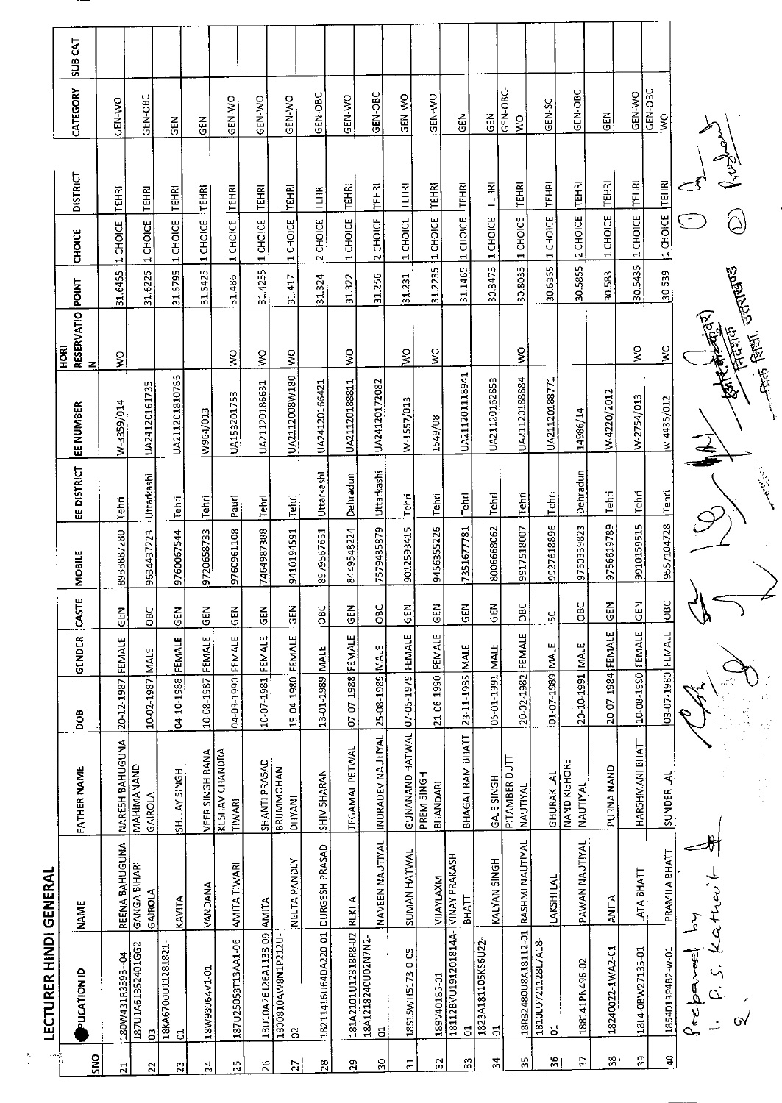| $\frac{-2}{4}$  | LECTURER HINDI GENERAL               |                                           |                                                  |                   |               |                     |               |                     |                |                                      |         |                  |                 |               |                |
|-----------------|--------------------------------------|-------------------------------------------|--------------------------------------------------|-------------------|---------------|---------------------|---------------|---------------------|----------------|--------------------------------------|---------|------------------|-----------------|---------------|----------------|
| ă               | <b>PLICATION ID</b>                  | <b>NAME</b>                               | <b>FATHER NAME</b>                               | <b>BOO</b>        | <b>GENDER</b> | CASTE               | <b>MOBILE</b> | EE DISTRICT         | EE NUMBER      | RESERVATIO POINT<br><b>ROKI</b><br>z |         | <b>CHOICE</b>    | <b>DISTRICT</b> | CATEGORY      | <b>SUB CAT</b> |
| É.              | 180W431R359B-04                      |                                           | <b>NARESH BAHUGUNA</b>                           | 20-12-1987        | FEMALE        | <b>GEN</b>          | 8938887280    | <b>Tehri</b>        | N-3359/014     | $\frac{1}{2}$                        | 31.6455 | 1 CHOICE         | <b>TEHRI</b>    | GEN-WO        |                |
| $\mathbb{R}^4$  | 187U1A61352401GG2-<br>$\mathbb S$    | REENA BAHUGUNA<br>GANGA BIHARI<br>GAIROLA | MAHIMANAND<br>GAIROLA                            | 10-02-1987        | <b>NALE</b>   | $rac{C}{C}$         | 9634437223    | Uttarkashi          | UA24120161735  |                                      | 31.6225 | 1 CHOICE         | <b>TEHRI</b>    | GEN-OBC       |                |
| $\mathfrak{m}$  | 18KA6700U11281821<br>$\overline{5}$  | KAVITA                                    | SH. JAY SINGH                                    | 04-10-1988        | FEMALE        | $rac{2}{9}$         | 9760067544    | <b>Tehri</b>        | UA211201810786 |                                      | 31.5795 | 1 CHOICE         | <b>TEHR</b>     | GEN           |                |
| 24              | 18W93064V1-01                        | VANDANA                                   | <b>VEER SINGH RANA</b>                           | 10-08-1987 FEMALE |               | GEN                 | 9720658733    | Tehri               | W964/013       |                                      | 31.5425 | 1 CHOICE         | TEHRI           | <b>GEN</b>    |                |
| $\frac{5}{2}$   | 187U25053T13AA1-06                   | AMITA TIWARI                              | KESHAV CHANDRA<br><b>TIWARI</b>                  | 04-03-1990 FEMALE |               | $rac{1}{2}$         | 9750951108    | Pauri               | UA153201753    | $\frac{1}{2}$                        | 31.486  | 1 CHOICE         | TEHRI           | GEN-WO        |                |
| 36              | 18U10A26126A1138-09 AMITA            |                                           | SHANTI PRASAD                                    | 10-07-1981 FEMALE |               | GEN                 | 7464987388    | Tehri               | UA21120186631  | $\mathsf{\S}$                        | 31.4255 | 1 CHOICE         | TEHRI           | GEN-WO        |                |
| $\overline{2}$  | 1800810AW8N1P212U-<br>S              | NEETA PANDEY                              | <b>BRIJMMOHAN</b><br>DHYANI                      | 15-04-1980 FEMALE |               | $rac{2}{5}$         | 9410194591    | Tehri               | UA2112008W180  | $\frac{8}{5}$                        | 31.417  | 1 CHOICE         | <b>TEHRI</b>    | <b>GEN-WO</b> |                |
| 28              | 18211416U64DA220-01 DURGESH PRASAD   |                                           | SHIV SHARAN                                      | 13-01-1989 MALE   |               | OBC                 | 8979567651    | Uttarkashi          | UA24120166421  |                                      | 31.324  | 2 CHOICE         | TEHRI           | GEN-OBC       |                |
| 29              | 181A2101U12818R8-02 REKHA            |                                           | <b>TEGAMAL PETWAL</b>                            | 07-07-1988 FEMALE |               | $rac{2}{5}$         | 8449548224    | Dehradun            | UA21120188811  | ş                                    | 31.322  | 1 CHOICE         | <b>TEHRI</b>    | GEN-WO        |                |
| $\overline{50}$ | 18A1218240U02N7N2-<br>$\overline{5}$ | NAVEEN NAUTIYAL                           | INDRADEV NAUTIYAL 25-08-1989 MALE                |                   |               | ă                   | 7579485879    | Uttarkashi          | UA24120172082  |                                      | 31.256  | 2 CHOICE         | <b>TEHRI</b>    | GEN-OBC       |                |
| 21              | 18S15WH5173-0-05                     | SUMAN HATWAL                              | GUNANAND HATWAL 07-05-1979 FEMALE                |                   |               | $rac{5}{6}$         | 9012593415    | Tehri               | W-1557/013     | Š                                    | 31.231  | 1 CHOICE         | <b>TEHRI</b>    | GEN-WO        |                |
| 32              |                                      |                                           | PREM SINGH<br>BHANDARI                           | 21-06-1990 FEMALE |               | <b>GEN</b>          | 9456355226    | Tehr                | 1549/08        | $\frac{8}{5}$                        | 31.2235 | 1 CHOICE         | TEHRI           | GEN-WO        |                |
| S)              | ៩                                    | <b>BHATT</b>                              | BHAGAT RAM BHATT                                 | 23-11-1985 MALE   |               | $rac{2}{5}$         | 7351677781    | Tehri               | UA211201118941 |                                      | 31.1465 | 1 CHOICE         | <b>TEHRI</b>    | <b>GEN</b>    |                |
| 24              | 1823A181105KS6U22<br>S               | KALYAN SINGH                              | <b>GAJE SINGH</b>                                | 05-01-1991        | <b>MALE</b>   | $rac{1}{5}$         | 8006668062    | Tehri               | UA21120162853  |                                      | 30.8475 | 1 CHOICE         | <b>TEHRI</b>    | $rac{1}{5}$   |                |
| 53              | 18R82480U8A18112-01                  | RASHMI NAUTIYAL                           | PITAMBER DUTT<br>NAUTIYAL                        | 20-02-1982        | <b>FEMALE</b> | OBC                 | 9917518007    | Tehri               | UA21120188884  | $\sum_{i=1}^{n}$                     |         | 30.8035 1 CHOICE | <b>TEHRI</b>    | GEN-OBC-<br>ş |                |
| 36              | 1810LU721128L7A18<br>$\overline{5}$  | LAKSHI LAL                                | <b>GHURAK LAL</b>                                | 01-07-1989 MALE   |               | Χ,                  | 9927618896    | I <sup>T</sup> ehri | UA21120188771  |                                      |         | 30.6365 1 CHOICE | <b>TEHRI</b>    | GEN-SC        |                |
| Μ               | 188141PN496-02                       | PAWAN NAUTIYAL                            | NAND KISHORE<br>NAUTIYAL                         | 20-10-1991 MALE   |               | <b>DBC</b>          | 9760339823    | Dehradun            | 14986/14       |                                      | 30.5855 | 2 CHOICE         | <b>TEHRI</b>    | GEN-OBC       |                |
| 38              | 18240022-1WA2-01                     | <b>ANITA</b>                              | PURNA NAND                                       | 20-07-1984 FEMALE |               | $\overline{z}$<br>공 | 9756619789    | Tehri               | W-4220/2012    |                                      | 30.583  | 1 CHOICE         | <b>TEHRI</b>    | $rac{2}{5}$   |                |
| 50              | 18L4-0BW27135-01                     | LATA BHATT                                | HARSHMANI BHATT                                  | 10-08-1990 FEMALE |               | <b>SEN</b>          | 9910159515    | Tehri               | W-2754/013     | ş                                    |         | 30.5435 1 CHOICE | <b>TEHRI</b>    | GEN-WO        |                |
| ੩               | 1854013P4B2-w-01                     | PRAMILA BHATT                             | SUNDER LAL                                       | 03-07-1980 FEMALE |               | $rac{c}{\sqrt{2}}$  | 9557104728    | <b>Tehri</b>        | w-4435/012     | š                                    | 30.539  | 11 CHOICE        | <b>TEHRI</b>    | GEN-OBC-<br>Ş |                |
|                 | Prepared                             | Kathey                                    |                                                  |                   |               | $\delta$            |               |                     |                | <b>Arte Rights</b>                   |         |                  |                 |               |                |
|                 | $\overline{O}$                       |                                           |                                                  |                   |               | )                   |               |                     |                | This four. and dealer                |         | Ç                |                 |               |                |
|                 |                                      |                                           | $\frac{1}{2}\frac{1}{2}$<br>$\frac{1}{\sqrt{2}}$ |                   |               |                     |               | <b>Controller</b>   |                |                                      |         |                  |                 |               |                |

 $\frac{1}{x}$ 

 $\sqrt{2}$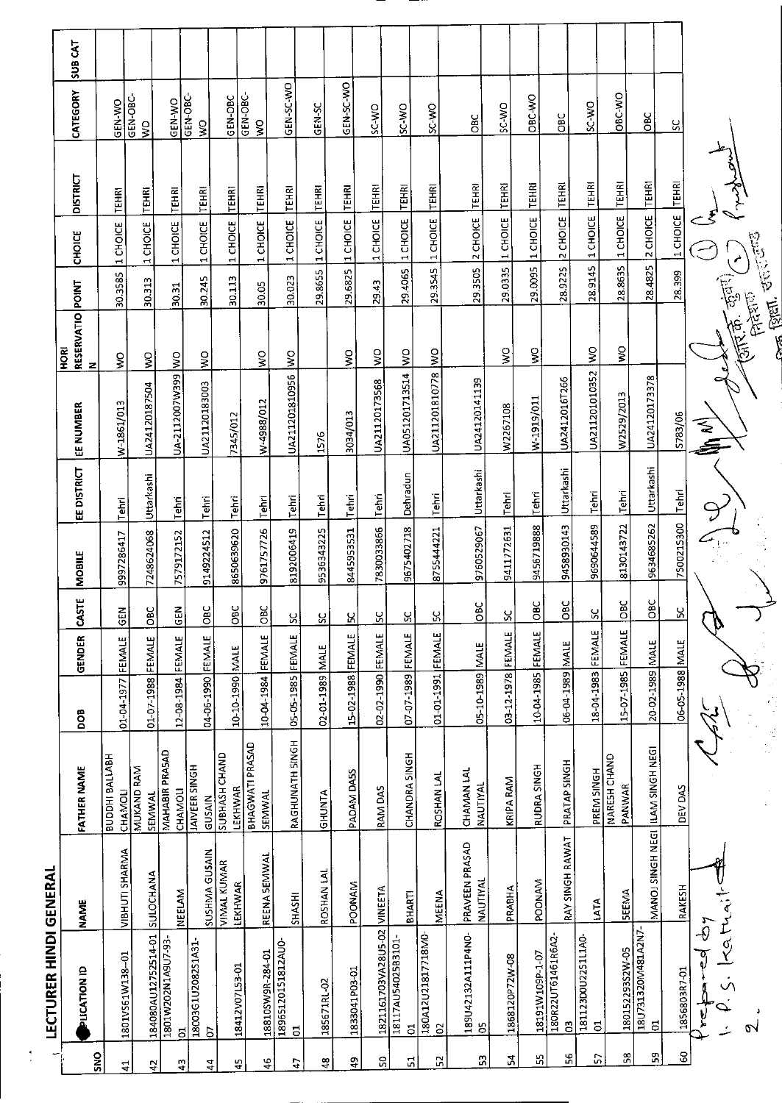**IFCTURER HINDI GENERAL** 

 $\frac{1}{2}$ 

|                                     | <b>TFCI NKEK LIIAN QEIATRY</b> |                                   |                                  |                   |        |               |                  |                    |                   | <b>ROKI</b>                                                                                                                                                                                                                                                                                                                                                                                                                                                                               |         |                  |                 |                                     |                |
|-------------------------------------|--------------------------------|-----------------------------------|----------------------------------|-------------------|--------|---------------|------------------|--------------------|-------------------|-------------------------------------------------------------------------------------------------------------------------------------------------------------------------------------------------------------------------------------------------------------------------------------------------------------------------------------------------------------------------------------------------------------------------------------------------------------------------------------------|---------|------------------|-----------------|-------------------------------------|----------------|
| <b>PLICATION ID</b>                 |                                | <b>NAME</b>                       | FATHER NAME                      | <b>BOO</b>        | GENDER | <b>CASTE</b>  | <b>MOBILE</b>    | <b>EE DISTRICT</b> | EE NUMBER         | RESERVATIO POINT<br>z                                                                                                                                                                                                                                                                                                                                                                                                                                                                     |         | CHOICE           | <b>DISTRICT</b> | CATEGORY                            | <b>SUB CAT</b> |
| 1801V561W138-01                     |                                | VIBHUTI SHARMA                    | <b>HaviVa Huddra</b><br>CHAMOLI  | 01-04-1977 FEMALE |        | <b>GEN</b>    | 9997286417       | Tehri              | W-1861/013        | ş                                                                                                                                                                                                                                                                                                                                                                                                                                                                                         | 30.3585 | 1 CHOICE         | TEHRI           | GEN-WO                              |                |
| 184080AU12752514-01                 |                                | <b>SULOCHANA</b>                  | MUKAND RAM<br>SEMWAL             | 01 07 1988 FEMALE |        | <b>Dac</b>    | 7248624068       | Uttarkashi         | UA24120187504     | š                                                                                                                                                                                                                                                                                                                                                                                                                                                                                         | 30.313  | 1 CHOICE         | <b>TEHRI</b>    | GEN-OBC-<br>$\overline{\mathsf{x}}$ |                |
| 1801W202N1A9U7-93-<br>5             |                                | <b>NEELAM</b>                     | MAHABIR PRASAD<br><b>CHAMOLI</b> | 12-08-1984 FEMALE |        | $rac{5}{5}$   | 7579172152       | Tehri              | UA-2112007W399    | $\frac{8}{2}$                                                                                                                                                                                                                                                                                                                                                                                                                                                                             | 30.31   | 1 CHOICE         | TEHRI           | <b>GEN-WO</b>                       |                |
| 18003G1U2082S1A31-<br>S             |                                | <b>SUSHMA GUSAIN</b>              | <b>IAIVEER SINGH</b><br>GUSAIN   | 04-06-1990 FEMALE |        | $rac{C}{C}$   | 9149224512       | Tehri              | UA21120183003     | Š                                                                                                                                                                                                                                                                                                                                                                                                                                                                                         | 30.245  | 1 CHOICE         | <b>TEHRI</b>    | GEN-OBC-<br>$\frac{8}{2}$           |                |
| 18412V07L53-01                      |                                | <b>VIMAL KUMAR</b><br>LEKHWAR     | <b>SUBHASH CHAND</b><br>LEKHWAR  | 10-10-1990 MALE   |        | OBC           | 8650639620       | Tehri              | 7345/012          |                                                                                                                                                                                                                                                                                                                                                                                                                                                                                           | 30.113  | 1 CHOICE         | <b>TEHRI</b>    | GEN-OBC                             |                |
| 18810SW9R-284-01                    |                                | <b>REENA SEMWAL</b>               | <b>BHAGWATI PRASAD</b><br>SEMWAL | 10-04-1984        | FEMALE | <b>DBC</b>    | 9761757726       | Tehri              | W-4988/012        | $\frac{1}{2}$                                                                                                                                                                                                                                                                                                                                                                                                                                                                             | 30.05   | 1 CHOICE         | <b>TEHRI</b>    | GEN-OBC-<br>$\frac{1}{2}$           |                |
| 18965120151812AU0<br>5              |                                | <b>SHASHI</b>                     | RAGHUNATH SINGH                  | 05-05-1985 FEMALE |        | ပ္တ           | 8192006419       | Tehri              | UA211201810956    | $\frac{1}{2}$                                                                                                                                                                                                                                                                                                                                                                                                                                                                             | 30023   | 1 CHOICE         | <b>TEHRI</b>    | GEN-SC-WO                           |                |
| 185671RL-02                         |                                | ROSHAN LAL                        | GHUNTA                           | 02-01-1989 MALE   |        | ς             | 9536343225       | Tehri              | 1576              |                                                                                                                                                                                                                                                                                                                                                                                                                                                                                           |         | 29.8655 1 CHOICE | <b>TEHRI</b>    | GEN-SC                              |                |
| 1833041P03-01                       |                                | <b>POONAM</b>                     | PADAM DA5S                       | 15-02-1988 FEMALE |        | X             | 8445953531       | Tehri              | 3034/013          | $\mathsf{S}$                                                                                                                                                                                                                                                                                                                                                                                                                                                                              |         | 29.6825 1 CHOICE | <b>TEHRI</b>    | GEN-SC-WO                           |                |
| 1821161703VA28U5-02                 |                                | VINEETA                           | RAM DAS                          | 02-02-1990 FEMALE |        | <u>ყ</u>      | 7830033866       | Tehri              | UA21120173568     | ş                                                                                                                                                                                                                                                                                                                                                                                                                                                                                         | 29.43   | <b>1 CHOICE</b>  | <b>TEHRI</b>    | SC-WO                               |                |
| 18117AU54025B3101<br>$\overline{a}$ |                                | <b>BHARTI</b>                     | <b>CHANDRA SINGH</b>             | 07-07-1989 FEMALE |        | X             | 9675402718       | Dehradun           | UA051201713514 WO |                                                                                                                                                                                                                                                                                                                                                                                                                                                                                           | 294065  | 1 CHOICE         | <b>TEHRI</b>    | SC-WO                               |                |
| 180A12U21817718M0-<br>$\mathcal{S}$ |                                | MEENA                             | ROSHAN LAL                       | 01-01-1991 FEMALE |        | χ             | 8755444221       | Tehri              | UA211201810778    | $\frac{1}{2}$                                                                                                                                                                                                                                                                                                                                                                                                                                                                             |         | 29.3545 1 CHOICE | TEHRI           | <b>OW-3S</b>                        |                |
| 189U42132A111P4NO-<br>S             |                                | PRAVEEN PRASAD<br><b>NAUTIYAL</b> | CHAMAN LAL<br>NAUTIYAL           | 05-10-1989 MALE   |        | <b>OBC</b>    | 9760529067       | Uttarkashi         | UA24120141139     |                                                                                                                                                                                                                                                                                                                                                                                                                                                                                           | 29.3505 | 2 CHOICE         | TEHRI           | OBC                                 |                |
| 1868120P72W-08                      |                                | PRABHA                            | KRIPA RAM                        | 03-12-1978        | FEMALE | 50            | 9411772631       | Tehri              | W2267108          | $\gtrapprox$                                                                                                                                                                                                                                                                                                                                                                                                                                                                              |         | 29.0335 1 CHOICE | <b>TEHRI</b>    | SC-WO                               |                |
| I8191W109P-1-07                     |                                | POONAM                            | RUDRA SINGH                      | 10-04-1985 FEMALE |        | OBC           | 9456719888       | Tehri              | W-1919/011        | $\mathbf{S}$                                                                                                                                                                                                                                                                                                                                                                                                                                                                              | 29.0095 | 1 CHOICE         | <b>TEHRI</b>    | OBC-WO                              |                |
| 180R22UT61461R6A2-<br>S             |                                | RAY SINGH RAWAT                   | PRATAP SINGH                     | 06-04-1989 MALE   |        | OBC           | 9458930143       | Uttarkashi         | UA2412016T266     |                                                                                                                                                                                                                                                                                                                                                                                                                                                                                           | 28.9225 | 2 CHOICE         | <b>TEHRI</b>    | OBC                                 |                |
| 181123D0U2251L1A0<br>$\overline{5}$ |                                | LATA                              | PREM SINGH                       | 18-04-1983 FEMALE |        | $\mathcal{S}$ | 9690644589       | <b>Tehri</b>       | UA211201010352    | $\frac{1}{2}$                                                                                                                                                                                                                                                                                                                                                                                                                                                                             | 28.9145 | 1 CHOICE         | <b>TEHRI</b>    | SC-WO                               |                |
| 180152293S2W-05                     |                                | <b>SEEMA</b>                      | NARESH CHAND<br>PANWAR           | 15-07-1985 FEMALE |        | OBC           | 8130143722       | Tehri              | W2529/2013        | Ş                                                                                                                                                                                                                                                                                                                                                                                                                                                                                         | 28.8635 | 1 CHOICE         | <b>TEHRI</b>    | OBC-WO                              |                |
|                                     | 18U731320M481A2N7-<br>01       | MANOJ SINGH NEGI LILAM SINGH NEGI |                                  | 20-02-1989 MALE   |        | <b>DBC</b>    | 9634685262       | Uttarkashi         | UA24120173378     |                                                                                                                                                                                                                                                                                                                                                                                                                                                                                           | 28.4825 | 2 CHOICE         | <b>TEHRI</b>    | OBC                                 |                |
| 1856803R7-01                        |                                | RAKESH                            | DEV DAS                          | 06-05-1988 MALE   |        | $\frac{8}{2}$ | 7500215300 Tehri |                    | 5783/06           |                                                                                                                                                                                                                                                                                                                                                                                                                                                                                           | 28.399  | 1 CHOICE         | <b>TEHRI</b>    | ပ္တ                                 |                |
| $\mathbf{v}$                        | احواللوما                      |                                   |                                  |                   |        |               |                  |                    | ≲<br>≦            | $\frac{1}{\left(\frac{1}{2}\right)^{2}}\left(\frac{1}{2}\right)^{2}\left(\frac{1}{2}\right)^{2}\left(\frac{1}{2}\right)^{2}\left(\frac{1}{2}\right)^{2}\left(\frac{1}{2}\right)^{2}\left(\frac{1}{2}\right)^{2}\left(\frac{1}{2}\right)^{2}\left(\frac{1}{2}\right)^{2}\left(\frac{1}{2}\right)^{2}\left(\frac{1}{2}\right)^{2}\left(\frac{1}{2}\right)^{2}\left(\frac{1}{2}\right)^{2}\left(\frac{1}{2}\right)^{2}\left(\frac{1}{2}\right)^{2}\left(\frac{1}{2}\right)^{2}\left(\frac{1$ |         |                  |                 |                                     |                |
|                                     |                                |                                   | ĝ,                               |                   |        |               |                  |                    |                   | <b>CONTROLLED FEET LES</b>                                                                                                                                                                                                                                                                                                                                                                                                                                                                |         |                  |                 |                                     |                |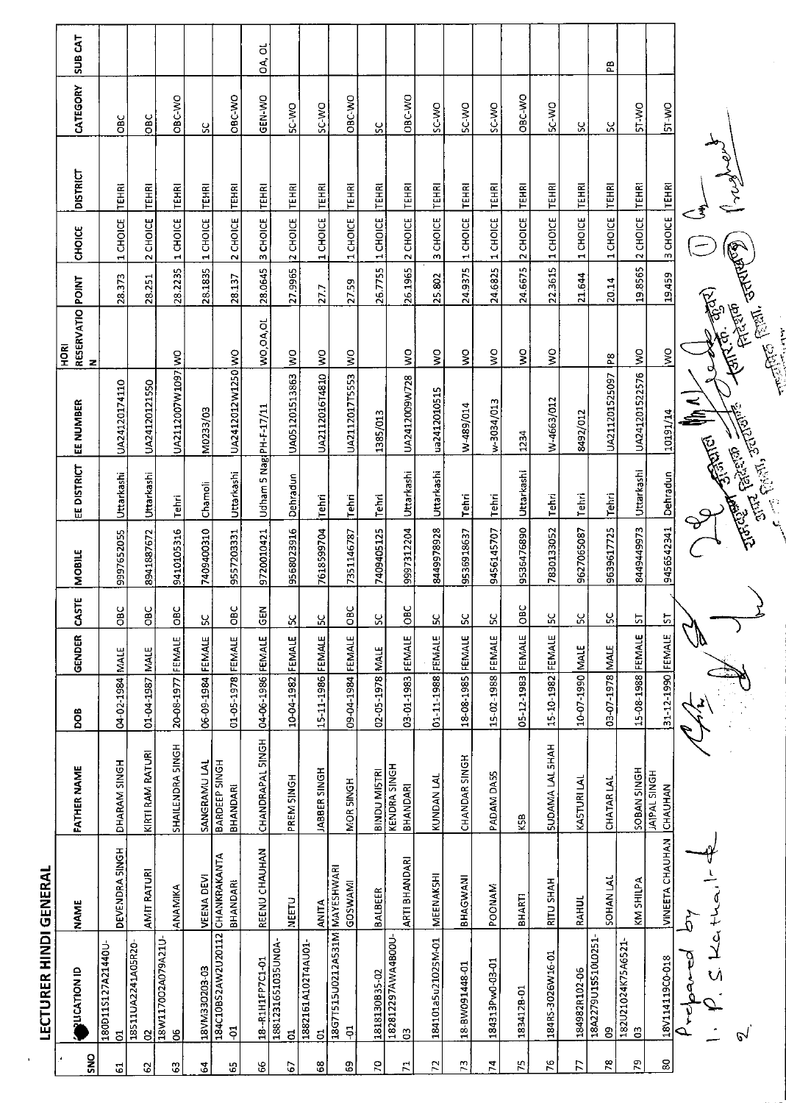|                    | <b>LECTURER HINDI GENERAL</b>                     |                        |                                  |                   |             |              |               |                         |                            |                                 |         |                   |                 |                |                    |
|--------------------|---------------------------------------------------|------------------------|----------------------------------|-------------------|-------------|--------------|---------------|-------------------------|----------------------------|---------------------------------|---------|-------------------|-----------------|----------------|--------------------|
| Š                  | <b>PLICATION ID</b>                               | <b>NAME</b>            | FATHER NAME                      | DOB               | GENDER      | <b>CASTE</b> | MOBILE        | EE DISTRICT             | EE NUMBER                  | RESERVATIO POINT<br><b>ROKI</b> |         | CHOICE            | <b>DISTRICT</b> | CATEGORY       | SUB <sub>CAT</sub> |
| $\overline{5}$     | 180D11S127A21440U-<br>5                           | DEVENDRA SINGH         | DHARAM SINGH                     | 04-02-1984        | <b>MALE</b> | OBC          | 9997652055    | Uttarkashi              | UA24120174110              |                                 | 28.373  | 1 CHOICE          | <b>TEHRI</b>    | Э              |                    |
| 3                  | 18511UA2241A05R20-<br>$\mathbf{S}$                | AMIT RATURI            | KIRTI RAM RATURI                 | 01-04-1987 MALE   |             | OBC          | 8941887672    | Uttarkashi              | UA24120121550              |                                 | 28.251  | 2 CHOICE          | <b>TEHRI</b>    | ЮBC            |                    |
| C,                 | 18W117002A079A21U<br>8                            | ANAMIKA                | SHAILENDRA SINGH                 | 20-08-1977        | FEMALE      | <b>DBC</b>   | 9410105316    | Tehri                   | UA2112007W1097WO           |                                 | 28.2235 | 1 CHOICE          | TEHRI           | OBC-WO         |                    |
| 5                  | E0-E0ZOEEM/V81                                    | <b>VEENA DEVI</b>      | <b>SANGRAMULAL</b>               | 06-09-1984        | FEMALE      | 52           | 7409400310    | Chamoli                 | M0233/03                   |                                 | 28.1835 | 1 CHOICE          | <b>TEHRI</b>    | ပ္တ            |                    |
| 5                  | 184C10BS2AW2U20112 CHANKRAKANTA<br>$\overline{5}$ | BHANDARI               | <b>BARDEEP SINGH</b><br>BHANDARI | 01-05-1978 FEMALE |             | OBC          | 9557203331    | Uttarkashi              | UA2412012W1250 WO          |                                 | 28.137  | 2 CHOICE          | TEHRI           | <b>CAC-AND</b> |                    |
| S,                 | 18--R1H1FP7C1-01                                  | REENU CHAUHAN          | CHANDRAPAL SINGH                 | 04-06-1986 FEMALE |             | GEN          | 9720010421    | Udham 5 Nagi PH-F-17/11 |                            | WO, OA, OL                      | 28.0645 | 3 CHOICE          | <b>TEHRI</b>    | GEN-WO         | ಕ<br>Ś,            |
| C                  | 1881231651035UN0A-<br>ದ                           | <b>NEETU</b>           | PREM SINGH                       | 10-04-1982 FEMALE |             | S.           | 9568023916    | Dehradun                | UA051201513863             | $\frac{8}{2}$                   |         | 27.9965 2 CHOICE  | TEHRI           | SC-WO          |                    |
| 3                  | 1882161A102T4AU01<br>$\overline{5}$               | <b>ANITA</b>           | JABBER SINGH                     | 15-11-1986 FEMALE |             | <u>SC</u>    | 7618599704    | Tehri                   | UA2112016T4810 WO          |                                 | 27.7    | 1 CHOICE          | <b>TEHRI</b>    | SC-WO          |                    |
| ස                  | 18G7T515U0212AS31M MAYESHWARI<br>$\overline{5}$   | GOSWAMI                | MOR SINGH                        | 09-04-1984 FEMALE |             | OBC          | 7351146787    | Tehri                   | UA2112017T5553 WO          |                                 | 2759    | 1 CHOICE          | TEHRI           | OBC-WO         |                    |
| 5C                 | 1818130B35-02                                     | BALBEER                | <b>BINDU MISTRI</b>              | 02-05-1978 MALE   |             | SC           | 7409405125    | <b>Tehri</b>            | 1385/013                   |                                 |         | 26.7755 11 CHOICE | <b>TEHRI</b>    | š              |                    |
| $\mathcal{L}$      | 182812297AWA4BOOU<br>$\mathbf{g}$                 | ARTI BHANDARI          | <b>KENDRA SINGH</b><br>BHANDARI  | 03-01-1983 FEMALE |             | ÖВC          | 9997312204    | Uttarkashi              | UA2412009W728              | $\frac{1}{2}$                   | 26.1965 | 2 CHOICE          | <b>TEHRI</b>    | OBC-WO         |                    |
| $\Gamma$           | 184101a5u21025M-01                                | MEENAKSHI              | KUNDAN LAL                       | 01-11-1988 FEMALE |             | χ            | 8449978928    | Uttarkashi              | ua2412010515               | $\overline{\mathsf{S}}$         | 25.802  | 3 CHOICE          | <b>TEHRI</b>    | SC-WO          |                    |
| 73                 | 18-BW091448-01                                    | BHAGWANI               | CHANDAR SINGH                    | 18-08-1985 FEMALE |             | SC           | 9536918637    | Tehri                   | W-489/014                  | δ                               | 24.9375 | 1 CHOICE          | <b>TEHRI</b>    | SC-WO          |                    |
| Þ,                 | 184313Pw0-03-01                                   | POONAM                 | PADAM DA55                       | 15-02-1988 FEMALE |             | ပ္တ          | 9456145707    | Tehri                   | w-3034/013                 | ş                               | 24.6825 | 1 CHOICE          | <b>TEHRI</b>    | DM-3S          |                    |
| 54                 | 1834128-01                                        | BHARTI                 | KSB                              | 05-12-1983 FEMALE |             | <b>DBC</b>   | 9536476890    | Uttarkashi              | 1234                       | ş                               |         | 24.6675 2 CHOICE  | TEHRI           | OBC-WO         |                    |
| $\frac{6}{1}$      | 184RS-3026W16-01                                  | RITU SHAH              | <b>SUDAMA LAL SHAH</b>           | 15-10-1982 FEMALE |             | ပ္က          | 7830133052    | Tehri                   | W-4663/012                 | $\frac{1}{2}$                   |         | 22.3615 1 CHOICE  | TEHRI           | DAY-25         |                    |
| $\overline{z}$     | 184982R102-06                                     | <b>RAHUL</b>           | KASTURILAL                       | 10-07-1990 MALE   |             | SC           | 9627065087    | Tehri                   | 8492/012                   |                                 | 21.644  | 1 CHOICE          | <b>TEHRI</b>    | ပ္တ            |                    |
| $\mathbf{g}_t$     | 18A2279U1S510L0251-<br>8                          | <b>SOHAN LAL</b>       | <b>CHATAR LAL</b>                | 03-07 1978 MALE   |             | ပ္တ          | 9639617725    | Tehri                   | UA211201525097             | P8                              | 20.14   | 1 CHOICE          | <b>TEHRI</b>    | ပ္တ            | æ                  |
| $\mathbf{r}$       | 182U21024K75A6521<br>පි                           | KM SHILPA              | <b>SOBAN SINGH</b>               | 15-08-1988 FEMALE |             | 5            | 8449449973    | Uttarkashi              | UA241201522576 WO          |                                 | 19.8565 | 2 CHOICE          | <b>TEHRI</b>    | ST-WO          |                    |
| $\pmb{\mathbb{S}}$ | 18V114119CO-018                                   | <b>VINEETA CHAUHAN</b> | <b>JAIPAL SINGH</b><br>CHAUHAN   | 31-12-1990 FEMALE |             | 5            | 9456542341    | Dehradun                | 10191/14                   | $\frac{8}{2}$                   | 19.459  | 3 CHOICE          | <b>TEHRI</b>    | <b>ST-WO</b>   |                    |
|                    | পূ<br>↷                                           |                        |                                  |                   |             |              |               |                         | <b>ENTER PINAT</b>         |                                 |         |                   |                 |                |                    |
|                    | いえぐ                                               |                        |                                  |                   |             |              |               |                         |                            |                                 |         |                   | Werkert         |                |                    |
|                    | $\mathcal{C}$                                     |                        |                                  |                   |             |              | <b>TURITY</b> |                         | <b>Charles State State</b> | menter (start offerfall)        |         |                   |                 |                |                    |
|                    |                                                   |                        |                                  |                   |             |              |               |                         |                            |                                 |         |                   |                 |                |                    |

l,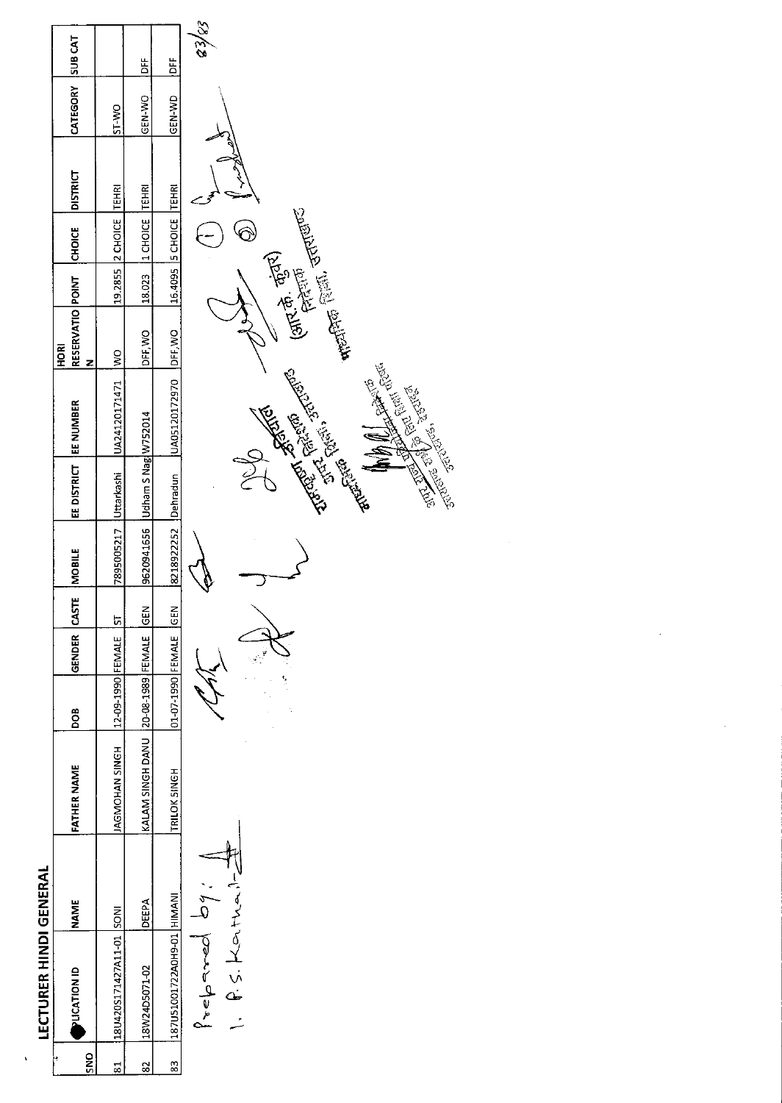| r |
|---|
|   |
|   |
|   |
|   |
|   |
|   |
|   |
|   |
|   |
|   |
|   |
|   |
|   |
|   |
|   |
|   |
|   |
|   |

 $\hat{\mathbf{x}}$ 

|                            |                                            | Ä                                       | Ĕ                                             |  |
|----------------------------|--------------------------------------------|-----------------------------------------|-----------------------------------------------|--|
| CATEGORY SUB CAT           | ST-VO                                      | IGEN-WO                                 | IGEN-WD                                       |  |
| <b>DISTRICT</b>            |                                            |                                         |                                               |  |
| <b>CHOICE</b>              | 119.2855 2 CHOICE TEHRI                    | 18.023 11 CHOICE TEHR                   | 16.4095 5 CHOICE TEHRI                        |  |
|                            |                                            |                                         |                                               |  |
| RESERVATIO POINT<br>론<br>모 |                                            | DFF WO                                  |                                               |  |
|                            | 7895005217 Uttarkashi   UA24120171471   WO |                                         | 8218922252 Dehradun   UA05120172970   DFF, WO |  |
| EE DISTRICT   EE NUMBER    |                                            |                                         |                                               |  |
|                            |                                            | 9620941656 Udham S Nagi W752014         |                                               |  |
|                            |                                            |                                         |                                               |  |
| GENDER CASTE IMOBILE       |                                            |                                         |                                               |  |
| BOB                        | 12-09-1990 FEMALE ST                       |                                         | 01-07-1990 FEMALE GEM                         |  |
| <b>FATHER NAME</b>         | AGMOHAN SINGH                              | KALAM SINGH DANU 120-08-1989 FEMALE GEN | TRILOK SINGH                                  |  |
| <b>NAME</b>                |                                            | <b>IDEEPA</b>                           |                                               |  |
| <b>ONDEXPIRATION</b>       | 128U420S171427A11-01 SONI                  | 18W24D5071-02                           | 187U51001722A0H9-01 HIMANI                    |  |
| S                          |                                            | 82                                      | 83                                            |  |

Prepared by:

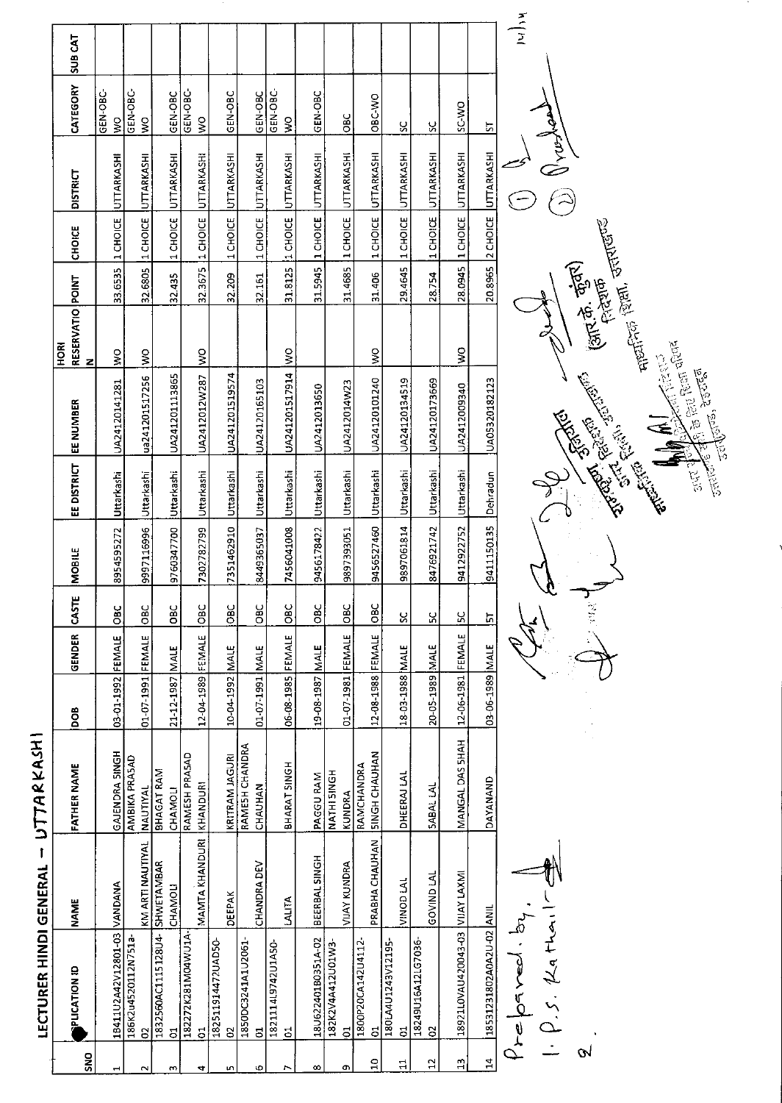|                    | LECTURER HINDI GENERAL                                  |                   | UTTARKASH                          |                   |               |                                           |               |                          |                                                                                                                                                                                                                                                                                                                    |                                                                                                                                                                                                                                                                                                                                                                            |        |                  |                                         |                                  |                |
|--------------------|---------------------------------------------------------|-------------------|------------------------------------|-------------------|---------------|-------------------------------------------|---------------|--------------------------|--------------------------------------------------------------------------------------------------------------------------------------------------------------------------------------------------------------------------------------------------------------------------------------------------------------------|----------------------------------------------------------------------------------------------------------------------------------------------------------------------------------------------------------------------------------------------------------------------------------------------------------------------------------------------------------------------------|--------|------------------|-----------------------------------------|----------------------------------|----------------|
| SNO                | <b>PUCATION ID</b>                                      | <b>NAME</b>       | <b>FATHER NAME</b>                 | <b>BOO</b>        | <b>GENDER</b> | CASTE                                     | <b>MOBILE</b> | EE DISTRICT              | EE NUMBER                                                                                                                                                                                                                                                                                                          | RESERVATIO POINT<br>HORI<br>z                                                                                                                                                                                                                                                                                                                                              |        | <b>CHOICE</b>    | <b>DISTRICT</b>                         | CATEGORY                         | <b>SUB CAT</b> |
| $\blacksquare$     | 1B411U2A42V12801-03                                     | VANDANA           | GAJENDRA SINGH                     | 03-01-1992 FEMALE |               | $rac{6}{5}$                               | 8954595272    | Uttarkashi               | UA24120141281                                                                                                                                                                                                                                                                                                      | $\frac{1}{2}$                                                                                                                                                                                                                                                                                                                                                              |        |                  | 33.6535 1 CHOICE UTTARKASHI             | GEN-OBC-<br>š                    |                |
| $\sim$             | 186K2u4520112N751a-<br>8                                | KM ARTI NAUTIYAL  | AMBIKA PRASAD<br><b>NAUTIYAL</b>   |                   |               |                                           |               |                          |                                                                                                                                                                                                                                                                                                                    |                                                                                                                                                                                                                                                                                                                                                                            |        |                  |                                         | GEN-OBC-<br>$\frac{8}{2}$        |                |
|                    | 1832560AC1115128U4-                                     | <b>SHWETAMBAR</b> | BHAGAT RAM                         | 01-07-1991 FEMALE |               | OBC                                       | 9997116996    | Uttarkashi               | ua241201517256                                                                                                                                                                                                                                                                                                     | $\frac{8}{2}$                                                                                                                                                                                                                                                                                                                                                              |        |                  | 32.6805 1 CHOICE UTTARKASHI             |                                  |                |
| m                  | $\overline{c}$                                          | <b>CHAMOLI</b>    | CHAMOLI                            | 21-12-1987 MALE   |               | OBC                                       | 9760347700    | Uttarkashi               | UA241201113865                                                                                                                                                                                                                                                                                                     |                                                                                                                                                                                                                                                                                                                                                                            | 32.435 |                  | 1 CHOICE UTTARKASHI                     | GEN-OBC                          |                |
| 4                  | 182272K281M04WU1A<br>$\overline{c}$                     | MAMTA KHANDURI    | RAMESH PRASAD<br>KHANDURI          | 12-04-1989 FEMALE |               | DBC                                       | 7302782799    | Uttarkashi               | UA2412012W287                                                                                                                                                                                                                                                                                                      | $\frac{8}{2}$                                                                                                                                                                                                                                                                                                                                                              |        |                  | 32.3675 1 CHOICE UTTARKASHI             | GEN-OBC-<br>$\tilde{\mathbf{z}}$ |                |
|                    | 182511914472UAD50-                                      |                   |                                    |                   |               |                                           |               |                          |                                                                                                                                                                                                                                                                                                                    |                                                                                                                                                                                                                                                                                                                                                                            |        |                  |                                         |                                  |                |
| m                  | $\mathbf{S}$                                            | <b>DEEPAK</b>     | KRITRAM JAGURI                     | 10-04-1992 MALE   |               | OBC                                       | 7351462910    | Uttarkashi               | UA241201519574                                                                                                                                                                                                                                                                                                     |                                                                                                                                                                                                                                                                                                                                                                            | 32.209 |                  | 1 CHOICE UTTARKASHI                     | GEN-OBC                          |                |
| Ф                  | 1850DC3241A1U2061-<br>$\overline{5}$                    | CHANDRA DEV       | RAMESH CHANDRA<br>CHAUHAN          | 01-07-1991 MALE   |               | <b>OBC</b>                                | 8449365037    | Uttarkashi               | UA24120165103                                                                                                                                                                                                                                                                                                      |                                                                                                                                                                                                                                                                                                                                                                            | 32.161 |                  | 1 CHOICE UTTARKASHI                     | GEN-OBC                          |                |
| r,                 | 1821114L9742U1A50-<br>$\overline{5}$                    | <b>LALITA</b>     | BHARAT SINGH                       | 06-08-1985 FEMALE |               | OBC                                       | 7456041008    | Uttarkashi               | UA241201517914                                                                                                                                                                                                                                                                                                     | $\frac{8}{2}$                                                                                                                                                                                                                                                                                                                                                              |        | 31.8125 1 CHOICE | UTTARKASHI                              | GEN-OBC-<br>$\frac{1}{2}$        |                |
| $\infty$           | 18U622401B0351A-02                                      | BEERBAL SINGH     | PAGGU RAM                          | 19-08-1987 MALE   |               | $rac{1}{2}$                               | 9456178422    | Uttarkashi               | UA2412013650                                                                                                                                                                                                                                                                                                       |                                                                                                                                                                                                                                                                                                                                                                            |        | 31.5945 1 CHOICE | UTTARKASHI                              | GEN-OBC                          |                |
| œ,                 | 182K2V4A412U01W3-<br>$\overline{5}$                     | VIJAY KUNDRA      | NATHI SINGH<br>KUNDRA              | 01-07-1981 FEMALE |               | OBC                                       | 9897393051    | Uttarkashi               | UA2412014W23                                                                                                                                                                                                                                                                                                       |                                                                                                                                                                                                                                                                                                                                                                            |        | 314685 1 CHOICE  | <b>UTTARKASHI</b>                       | <b>DBC</b>                       |                |
| $\mathbf{a}$       | 1800P20CA142U4112<br>$\overline{5}$                     | PRABHA CHAUHAN    | <b>SINGH CHAUHAN</b><br>RAMCHANDRA | 12-08-1988 FEMALE |               | <b>OBC</b>                                | 9456527460    |                          | UA24120101240                                                                                                                                                                                                                                                                                                      |                                                                                                                                                                                                                                                                                                                                                                            |        | 1 CHOICE         | UTTARKASHI                              | OBC-VO                           |                |
| 님                  | 180LA4U1243V12195-<br>ន                                 | VINOD LAL         | DHEERAJ LAL                        | 18-03-1988 MALE   |               | ပ္တ                                       | 9897061814    | Uttarkashi<br>Uttarkashi | UA24120134519                                                                                                                                                                                                                                                                                                      | ş                                                                                                                                                                                                                                                                                                                                                                          | 31.406 | 29.4645 1 CHOICE | UTTARKASHI                              | ς                                |                |
| $\mathbf{a}$       | 18249U16A12LG7036<br>$\mathbf{S}$                       | <b>GOVIND LAL</b> | <b>SABAL LAL</b>                   | 20-05-1989 MALE   |               | ပ္တ                                       | 8476921742    | Uttarkashi               | UA24120173669                                                                                                                                                                                                                                                                                                      |                                                                                                                                                                                                                                                                                                                                                                            | 28.754 | 1 CHOICE         | UTTARKASHI                              | $\frac{8}{2}$                    |                |
| $\frac{3}{2}$      | IMXAJ YALIV ED-EPOOZPUAVOJIZE8I                         |                   | MANGAL DAS SHAH                    | 12-06-1981 FEMALE |               | χ                                         | 9412922752    | Uttarkashi               | UA2412009340                                                                                                                                                                                                                                                                                                       | $\frac{8}{5}$                                                                                                                                                                                                                                                                                                                                                              |        | 28.0945 1 CHOICE | UTTARKASHI                              | SC-WO                            |                |
|                    |                                                         |                   |                                    |                   |               |                                           |               |                          |                                                                                                                                                                                                                                                                                                                    |                                                                                                                                                                                                                                                                                                                                                                            |        |                  |                                         |                                  |                |
| 9<br>$\frac{1}{4}$ | 18531231802A0A2U-02 ANIL<br>1.2.2.2<br>ORYCO/<br>$Y$ re |                   | DAYANAND                           | 03-06-1989 MALE   |               | $\mathcal{A}^{\text{M}}$<br>$\frac{1}{2}$ | 9411150135    | Dehradun                 | <b>All All Control Property</b><br><b>Allung</b> , 250767<br><b>Contract of the Contract of Contract of the Contract of Contract of Contract of Contract of Contract of Contract of Contract of Contract of Contract of Contract of Contract of Contract of Contract of Contract of Contract </b><br>UA05320182123 | $\frac{1}{2} \sum_{i=1}^{n} \sum_{i=1}^{n} \sum_{j=1}^{n} \sum_{j=1}^{n} \sum_{j=1}^{n} \sum_{j=1}^{n} \sum_{j=1}^{n} \sum_{j=1}^{n} \sum_{j=1}^{n} \sum_{j=1}^{n} \sum_{j=1}^{n} \sum_{j=1}^{n} \sum_{j=1}^{n} \sum_{j=1}^{n} \sum_{j=1}^{n} \sum_{j=1}^{n} \sum_{j=1}^{n} \sum_{j=1}^{n} \sum_{j=1}^{n} \sum_{j=1}^{n} \sum_{j=1}^{n} \sum_{$<br>(आर.के. कुंदर)<br>सिराम |        |                  | orfort R<br>20.8965 2 CHOICE UTTARKASHI | 5                                | Adjar          |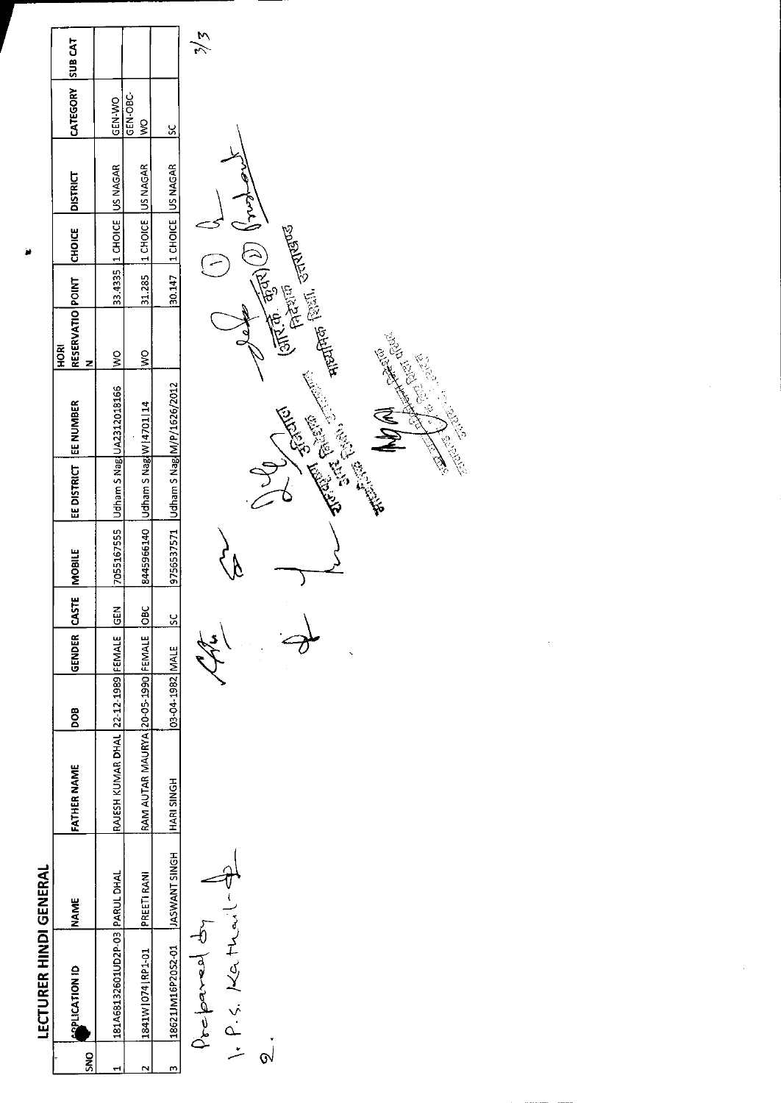| ı      |  |
|--------|--|
|        |  |
|        |  |
|        |  |
|        |  |
|        |  |
|        |  |
|        |  |
|        |  |
|        |  |
|        |  |
|        |  |
|        |  |
|        |  |
|        |  |
|        |  |
|        |  |
|        |  |
| ı<br>١ |  |

| <b>APLICATION ID</b> | NAME                             | FATHER NAME                              | <b>BOO</b>         | GENDER CASTE | <b>NOBILE</b> | EE DISTRICT   EE NUMBER             |                                        | RESERVATIO POINT<br>혼<br>모 | <b>CHOICE</b>              | <b>DISTRICT</b> | CATEGORY SUB CAT    |  |
|----------------------|----------------------------------|------------------------------------------|--------------------|--------------|---------------|-------------------------------------|----------------------------------------|----------------------------|----------------------------|-----------------|---------------------|--|
|                      | 181A68132601UD2P-03 PARUL DHAL   | RAJESH KUMAR DHAL 22-12-1989 FEMALE GEN  |                    |              |               |                                     | 7055167555   Udham 5 Nag UA2312018166  | $\frac{8}{5}$              | 33.4335 1 CHOICE US NAGAR  |                 | <b>CEN-WO</b>       |  |
| 1841W 074 RP1-01     | <b>PREETI RANI</b>               | RAM AUTAR MAURYA 20-05-1990 FEMALE   OBO |                    |              |               | 8445966140 Udham S Nag W [4701   14 |                                        | ş                          | 31.285 1 CHOICE US NAGAR   |                 | <b>GEN-OBC</b><br>ş |  |
|                      | 18621JM16P2052-01  JASWANT SINGH | <b>HARI SINGH</b>                        | 03-04-1982 MALE SC |              |               |                                     | 9756537571   Udham S Nag M/P/1626/2012 |                            | 30.147  1 CHOICE  US NAGAR |                 |                     |  |

 $\frac{2}{\sqrt{2}}$ 

Prepared dy<br>Prepared dy<br>1. P. S. Kathail

Entering Order **Controller School Report of School School Section**  $\frac{d}{d}$ in apolo **Police Report Contraction Contracts** いい かいこう こうかい しょうかい しょうかい しょうかい しゅうかい しゅうかい しゅうかい しゅうかい しゅうかい しゅうかい しゅうかい しゅうかい しゅうかい しゅうかい しゅうかい しゅうかい しゅうかい しゅうかい ्र<br>पु ⟩  $\frac{1}{\sqrt{2}}$  $\Theta$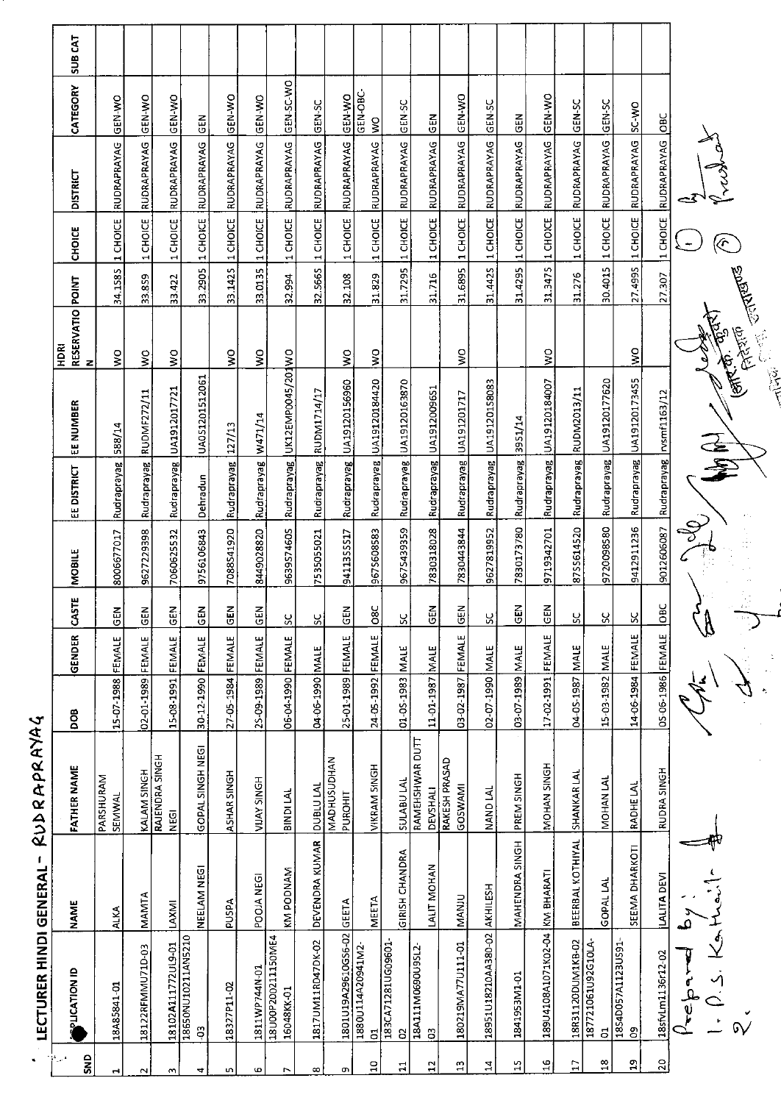|                   | <b>LECTURER HINDI GENERAL</b>       | 1                  | RUDRAPRAYA                         | S                 |               |              |            |                     |                                       |                                       |         |                  |                                       |                                  |                |
|-------------------|-------------------------------------|--------------------|------------------------------------|-------------------|---------------|--------------|------------|---------------------|---------------------------------------|---------------------------------------|---------|------------------|---------------------------------------|----------------------------------|----------------|
| SND<br>$\gamma$ . | PLICATION ID                        | <b>NAME</b>        | <b>FATHER NAME</b>                 | DOB               | GENDER        | <b>CASTE</b> | MOBILE     | EE DISTRICT         | EE NUMBER                             | RESERVATIO POINT<br><b>RIGH</b><br>z  |         | CHOICE           | <b>DISTRICT</b>                       | CATEGORY                         | <b>SUB CAT</b> |
|                   | 18A85841-01                         | <b>ALKA</b>        | PARSHURAM<br>SEMWAL                | 15-07-1988        | FEMALE        | $rac{2}{5}$  | 8006677017 | Rudraprayag         | 588/14                                | $\frac{0}{5}$                         | 34.1585 | 1 CHOICE         | RUDRAPRAYAG                           | <b>GEN-WO</b>                    |                |
| $\sim$            | 18122RFMMU71D-03                    | MAMTA              | KALAM SINGH                        | 02-01-1989        | FEMALE        | <b>GEN</b>   | 9627229398 |                     | Rudraprayag RUDMF272/11               | $\mathop{\mathsf{S}}$                 | 33.859  | 1 CHOICE         | RUDRAPRAYAG                           | <b>OK-N-20</b>                   |                |
| m                 | 18102A111772UL9-01                  | LAXMI              | RAJENDRA SINGH<br><b>VEGI</b>      | 15-08-1991 FEMALE |               | GEN          | 7060625532 |                     | Rudraprayag UA1912017721              | $\frac{1}{2}$                         | 33.422  | 1 CHOICE         | RUDRAPRAYAG                           | ON-N3D                           |                |
| ᅿ                 | 18650NU10211AN5210<br>$\ddot{a}$    | NEELAM NEGI        | GOPAL SINGH NEGI                   | 30-12-1990 FEMALE |               | <b>SEN</b>   | 9756106843 | Dehradun            | UA051201512061                        |                                       |         |                  | 33.2905 1 CHOICE RUDRAPRAYAG          | GEN                              |                |
| m                 | 18327P11-02                         | <b>PUSPA</b>       | ASHAR SINGH                        | 27-05-1984 FEMALE |               | GEN          | 7088541920 | Rudraprayag 127/13  |                                       | Ş                                     |         |                  | 33.1425 1 CHOICE RUDRAPRAYAG          | GEN-WO                           |                |
| Ø                 | 1811WP744N-01                       | POOIA NEGI         | <b>HDNIS AVIIV</b>                 | 25-09-1989 FEMALE |               | <b>GEN</b>   | 8449028820 | Rudraprayag W471/14 |                                       | $\frac{1}{2}$                         |         | 33.0135 1 CHOICE | RUDRAPRAYAG                           | GEN-WO                           |                |
| $\overline{ }$    | 18U00P200211150ME4<br>16048KK-01    | KM PODNAM          | <b>BINDILAL</b>                    | 06-04-1990 FEMALE |               | X            | 9639574605 |                     | Rudraprayag UK12EMP0045/201WO         |                                       | 32.994  |                  | 1 CHOICE RUDRAPRAYAG                  | GEN-SC-WO                        |                |
| $\infty$          | 1817UM11RD47DK-02                   | DEVENDRA KUMAR     | <b>DUBLU LAL</b>                   | 04-06-1990        | MALE          | χ            | 7535055021 |                     | Rudraprayag RUDM1714/17               |                                       | 32.5665 | 1 CHOICE         | RUDRAPRAYAG                           | GEN-SC                           |                |
| c                 | 1801U19A29610GS6-02                 | GEETA              | <b>MADHUSUDHAN</b><br>PUROHIT      | 25-01-1989        | <b>FEMALE</b> | GEN          | 9411355517 |                     | Rudraprayag UA19120156960             | ş                                     | 32.108  | 1 CHOICE         | <b>RUDRAPRAYAG</b>                    | GEN-WO                           |                |
| å                 | 1880U114A20941M2-<br>5              | <b>MEETA</b>       | <b>VIKRAM SINGH</b>                | 24-05-1992 FEMALE |               | <b>O8C</b>   | 9675608583 |                     | Rudraprayag UA19120184420             | $\frac{8}{5}$                         | 31.829  | 1 CHOICE         | RUDRAPRAYAG                           | <b>GEN-OBC-</b><br>$\frac{8}{5}$ |                |
| ដ                 | 183CA71281UG09601<br>9              | GIRISH CHANDRA     | <b>SULABU LAL</b>                  | 01-05-1983        | MALE          | R            | 9675439359 |                     | Rudraprayag UA19120163870             |                                       | 31.7295 |                  | 1 CHOICE RUDRAPRAYAG                  | <b>GEN-SC</b>                    |                |
| $\mathbf{12}$     | 18A111M0690U95L2-<br>S              | LALIT MOHAN        | RAMEHSHWAR DUTT<br><b>DEVSHALI</b> | 11-01-1987 MALE   |               | $rac{1}{2}$  | 7830318028 |                     | Rudraprayag UA1912009651              |                                       | 31.716  |                  | 1 CHOICE RUDRAPRAYAG                  | $\frac{5}{5}$                    |                |
| E,                | 180219MA77U111-01                   | <b>NANU</b>        | RAKESH PRASAD<br>GOSWAMI           | 03-02-1987        | FEMALE        | <b>GEN</b>   | 7830443844 |                     | Rudraprayag UA191201717               | ş                                     |         |                  | 31.6895 1 CHOICE RUDRAPRAYAG          | GEN-WO                           |                |
| $\mathbf{z}$      | 18951U18210AA380-02                 | AKHILESH           | NAND LAL                           | 02-07-1990        | <b>MALE</b>   | χ            | 9627819952 | Rudraprayag         | UA19120158083                         |                                       | 31.4425 | 1 CHOICE         | RUDRAPRAYAG                           | GEN-SC                           |                |
| H                 | 1841953M1-01                        | MAHENDRA SINGH     | PREM SINGH                         | 03-07-1989        | <b>MALE</b>   | ទី<br>ច      | 7830173780 | Rudraprayag         | 3951/14                               |                                       | 31.4295 | 1 CHOICE         | RUDRAPRAYAG                           | $rac{2}{5}$                      |                |
| $\frac{9}{16}$    | 18904108A1071K02-04 KM BHARATI      |                    | MOHAN SINGH                        | 17-02-1991        | FEMALE        | <b>GEN</b>   | 9719342701 | Rudraprayag         | UA19120184007                         | ş                                     | 31.3475 | 1 CHOICE         | RUDRAPRAYAG                           | ON-NJC                           |                |
| $\overline{17}$   | 18R31120DUM1KB-02                   | BEERBAL KOTHIYAL   | SHANKAR LAL                        | 04-05-1987        | <b>MALE</b>   | χ            | 8755614520 | Rudraprayag         | RUDM2013/11                           |                                       | 31.276  | 1 CHOICE         | RUDRAPRAYAG                           | GEN-SC                           |                |
| $\frac{8}{18}$    | 187721061U92G10LA<br>$\overline{5}$ | <b>GOPAL LAL</b>   | MOHAN LAL                          | 15-03-1982 MALE   |               | ပ္တ          | 9720098580 |                     | Rudraprayag UA19120177620             |                                       |         |                  | 30.4015 1 CHOICE RUDRAPRAYAG          | <b>GEN 5C</b>                    |                |
| $\mathbf{a}$      | 1854D057A1123US91<br>පි             | SEEMA DHARKOTI     | RADHE LAL                          | 14-06-1984 FEMALE |               | χ            | 9412911236 |                     | Rudraprayag UA19120173455             | $\frac{1}{2}$                         |         |                  | 27.4995  1 CHOICE  RUDRAPRAYAG  SC-WO |                                  |                |
| 20                | 18sfvLm1136r12-02                   | <b>LALITA DEVI</b> | RUDRA SINGH                        | 05-06-1986 FEMALE |               | $rac{C}{10}$ |            |                     | 9012606087 Rudraprayag   rvsmf1163/12 |                                       | 27.307  |                  | 1 CHOICE RUDRAPRAYAG OBC              |                                  |                |
|                   | <b>Adax</b>                         | بر<br>م            |                                    |                   |               |              | Ş          |                     |                                       |                                       |         |                  |                                       |                                  |                |
|                   | $-1.5.$ Kg $F$                      |                    |                                    |                   |               |              |            |                     | 全军                                    |                                       |         | (പ               |                                       |                                  |                |
|                   |                                     |                    |                                    |                   |               |              |            |                     | Ellen Ro                              | <b>Controller Controller</b><br>PARTO |         |                  |                                       |                                  |                |
|                   |                                     |                    |                                    |                   |               |              |            |                     | <b>City</b>                           |                                       |         |                  |                                       |                                  |                |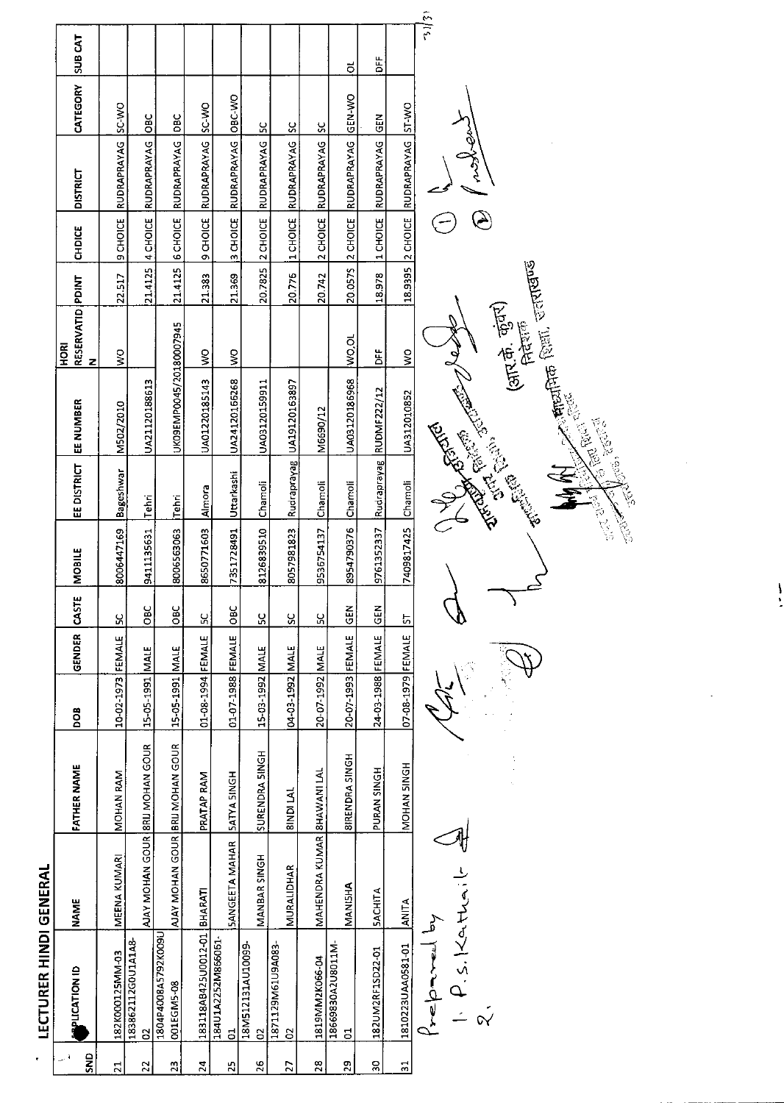| í      |
|--------|
|        |
|        |
| I      |
| I      |
|        |
|        |
|        |
|        |
|        |
|        |
|        |
| ť<br>c |
|        |
|        |
|        |
| j      |
| I      |
| Ľ<br>ı |
|        |
|        |

| <b>PLICATION ID</b>                 | <b>NAME</b>                | <b>FATHER NAME</b>              | <b>BOO</b>        | GENDER | <b>CASTI</b> | <b>MOBILE</b> | <b>EE DISTRICT</b> | EE NUMBER                 | RESERVATID PDINT<br>HORI<br>z |         | <b>CHDICE</b>    | <b>DISTRICT</b>    | CATEGORY     | <b>SUB CAT</b> |
|-------------------------------------|----------------------------|---------------------------------|-------------------|--------|--------------|---------------|--------------------|---------------------------|-------------------------------|---------|------------------|--------------------|--------------|----------------|
| 182K000125MM-03                     | MEENA KUMARI               | MOHAN RAM                       | 10-02-1973 FEMALE |        | یر           | 8006447169    | Bageshwar          | M502/2010                 | $\frac{1}{2}$                 | 22.517  | 9 CHOICE         | RUDRAPRAYAG        | <b>OW-3S</b> |                |
| 183862112G0U1A1A8-<br>8             |                            | AJAY MOHAN GOUR BRIJ MOHAN GOUR | 15-05-1991 MALE   |        | OBC          | 9411135631    | Tehri              | UA21120188613             |                               | 21.4125 | 4 CHOICE         | RUDRAPRAYAG        | <b>OBC</b>   |                |
| 1804P4008A5792K009L<br>001EGM5-08   |                            | AJAY MOHAN GOUR BRIJ MOHAN GOUR | 15-05-1991 MALE   |        | <b>OBC</b>   | 8006563063    | iTehri             | UK09EMP0045/20180007945   |                               | 21.4125 | <b>B</b> CHOICE  | <b>RUDRAPRAYAG</b> | <b>DBC</b>   |                |
| 183118AB425U0012-01 BHARATI         |                            | PRATAP RAM                      | 01-08-1994 FEMALE |        | ဌ            | 8650771603    | Almora             | UA01220185143             | $\frac{8}{2}$                 | 21.383  | 9 CHOICE         | RUDRAPRAYAG        | SC-WO        |                |
| 184U1A2252M866061<br>5              | <b>SANGEETA MAHAR</b>      | <b>SATYA SINGH</b>              | 01-07-1988 FEMALE |        | <b>DBC</b>   | 7351728491    | Uttarkashi         | UA24120166268             | $\frac{8}{2}$                 | 21.369  | $3$ CHOICE       | RUDRAPRAYAG        | OBC-VVO      |                |
| 18M512131AU10099-<br>$\mathbf{S}$   | MANBAR SINGH               | SURENDRA SINGH                  | 15-03-1992 MALE   |        | SC           | 8126839510    | Chamoli            | UA03120159911             |                               | 20.7825 | 2 CHOICE         | RUDRAPRAYAG        | <u>u</u>     |                |
| 1871129M61U9A083-<br>$\overline{c}$ | MURALIDHAR                 | <b>ALIQNIS</b>                  | 04-03-1992 MALE   |        | <u>ين</u>    | 8057981823    |                    | Rudraprayag UA19120163897 |                               | 20776   | 1 CHOICE         | RUDRAPRAYAG ISC    |              |                |
| 1819MM2K066-04                      | MAHENDRA KUMAR BHAWANI LAL |                                 | 30-07-1992 MALE   |        | ပ္တ          | 9536754137    | Chamoli            | M6690/12                  |                               | 20.742  | 2 CHOICE         | RUDRAPRAYAG SC     |              |                |
| 18669830A2U8011M-<br>5              | MANISHA                    | <b>BIRENDRA SINGH</b>           | 20-07-1993 FEMALE |        | <b>KBD</b>   | 8954790376    | Chamoli            | UA03120186968             | lovo<br>S                     | 20.0575 | 2 CHOICE         | RUDRAPRAYAG GEN-WO |              | ಕ              |
| 182UM2RF1SD22-01                    | <b>SACHITA</b>             | PURAN SINGH                     | 24-03-1988 FEMALE |        | <b>SEN</b>   | 9761352337    | <b>Rudraprayag</b> | <b>RUDMF222/12</b>        | Ë                             | 18.978  | 1 CHOICE         | RUDRAPRAYAG        | $rac{1}{2}$  | ă              |
| 1810223UAA0581-01                   | ANITA                      | NOHAN SINGH                     | 07-08-1979 FEMALE |        | 5            | 7409817425    | Chamoli            | UA312010852               | $\frac{1}{2}$                 |         | 18.9395 2 CHOICE | RUDRAPRAYAG ST-WO  |              |                |
| ta parroqan                         |                            |                                 |                   |        |              |               | ۔<br>ح             | ্                         |                               |         | Ç                |                    |              | 31/31          |

7<br>2. P. S. Kathailt

R<br>P e<br>V

े<br>सम्

England  $\overline{\circ}$  $\ominus$ 

**लिखण्ड**  $\overline{\mathfrak{g}}$ ak)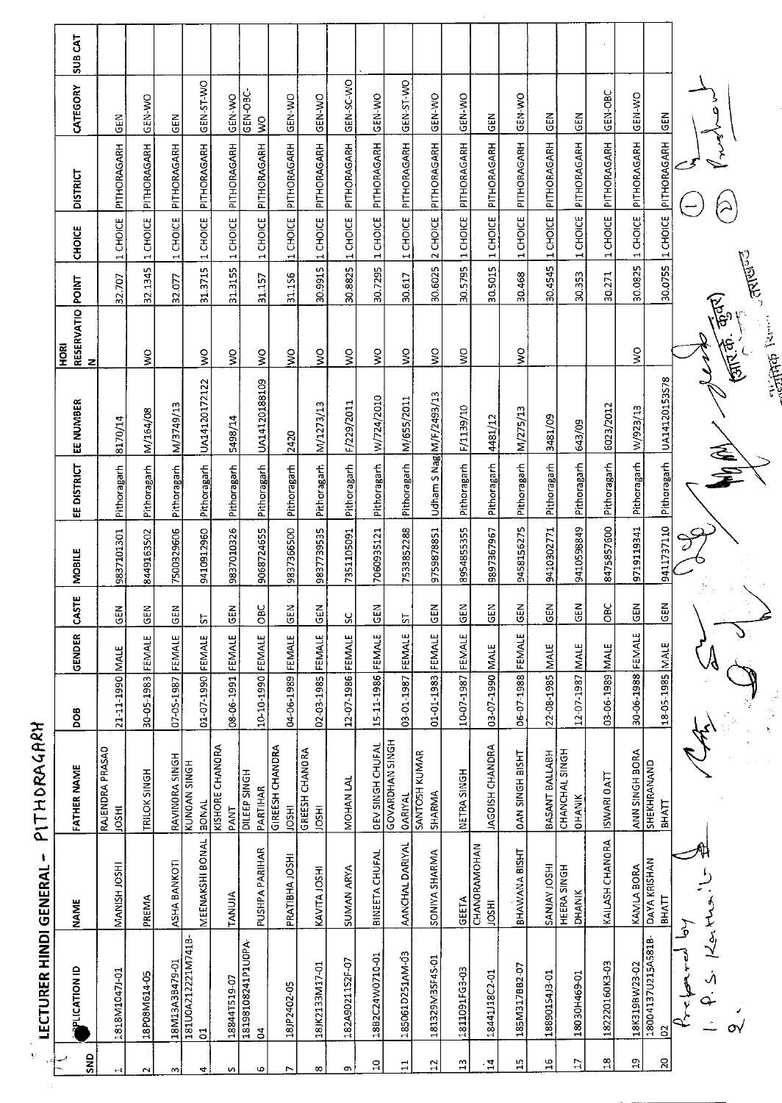| V                      | <b>LECTURER HINDI GENERAL</b>       | л,                           | PITHORAGARH                              |                   |              |              |               |                         |                           |                                                                                                                                                                                                                                     |         |                   |                      |                           |         |
|------------------------|-------------------------------------|------------------------------|------------------------------------------|-------------------|--------------|--------------|---------------|-------------------------|---------------------------|-------------------------------------------------------------------------------------------------------------------------------------------------------------------------------------------------------------------------------------|---------|-------------------|----------------------|---------------------------|---------|
| SND                    | <b>PLICATION ID</b>                 | <b>NAME</b>                  | <b>FATHER NAME</b>                       | 80Q               | GENDER       | CASTE        | <b>MOBILE</b> | EE DISTRICT             | EE NUMBER                 | RESERVATIO POINT<br><b>BOH</b><br>$\mathbf{z}$                                                                                                                                                                                      |         | CHOICE            | <b>DISTRICT</b>      | CATEGORY                  | SUB CAT |
|                        | 1818M1047J-01                       | MANISH JOSHI                 | RAJENDRA PRASAO<br><b>IRSOL</b>          | 21-11-1990 MALE   |              | 즶            | 9837101301    | Pithoragarh             | 8170/14                   |                                                                                                                                                                                                                                     | 32.707  | 1 CHOICE          | PITHORAGARH          | GEN                       |         |
|                        | 18P08M614-05                        | PREMA                        | TRILOK SINGH                             | 30-05-1983        | FEMALE       | GΕN          | 8449163502    | Pithoragarh             | M/164/08                  | ş                                                                                                                                                                                                                                   | 32.1345 | 1 CHOICE          | PITHORAGARH          | GEN-WO                    |         |
| w                      | 18M13A3B479-01                      | ASHA BANKOTI                 | RAVINORA SINGH                           | 07-05-1987        | FEMALE       | <b>SEN</b>   | 7500329606    | Pithoragarh             | M/3749/13                 |                                                                                                                                                                                                                                     | 32.077  | 1 CHOICE          | PITHORAGARH          | $rac{2}{5}$               |         |
| 4                      | 18100A212221M741B<br>$\overline{5}$ | MEENAKSHI BONAL              | KUNOAN SINGH<br><b>BONAL</b>             | 01-07-1990 FEMALE |              | <u>ს</u>     | 9410912960    | Pithoragarh             | UA14120172122             | $\frac{1}{2}$                                                                                                                                                                                                                       |         | 31.3715  1 CHOICE | PITHORAGARH          | GEN-ST-WO                 |         |
| w                      | 188441519-07                        | TANUIA                       | <b>KISHORE CHANORA</b><br>PANT           | 08-06-1991 FEMALE |              | <b>GEN</b>   | 9837010326    | Pithoragarh             | 5498/14                   | ş                                                                                                                                                                                                                                   | 31.3155 | 1 CHOICE          | PITHORAGARH          | GEN-WO                    |         |
| Ф                      | 18198108241P1U0PA<br>3              | PUSHPA PARIHAR               | DILEEP SINGH<br>PARTIHAR                 | 10-10-1990 FEMALE |              | $rac{6}{10}$ | 9068724655    | Pithoragarh             | UA14120188109             | $\mathsf{S}^{\mathsf{O}}$                                                                                                                                                                                                           | 31.157  | 1 CHOICE          | PITHORAGARH          | GEN-OBC-<br>$\frac{1}{2}$ |         |
|                        | 18JP2402-05                         | PRATIBHA JOSHI               | <b>GIREESH CHANDRA</b><br><b>IRSOL</b>   | 04-06-1989        | FEMALE       | <b>GEN</b>   | 9837366500    | Pithoragarh             | 2420                      | ş                                                                                                                                                                                                                                   | 31.156  | 1 CHOICE          | PITHORAGARH          | GEN-WO                    |         |
| œ                      | 18JK2133M17-01                      | KAVITA JOSHI                 | GREESH CHANORA<br><b>IRSOL</b>           | 02-03-1985        | FEMALE       | $rac{5}{5}$  | 9837739535    | Pithoragarh             | M/1273/13                 | Š                                                                                                                                                                                                                                   | 30.9915 | 1 CHOICE          | PITHORAGARH          | GEN-WO                    |         |
| ጣ                      | 182A90211S2F-07                     | <b>SUMAN ARYA</b>            | MOHAN LAL                                | 12-07-1986        | FEMALE       | ႘            | 7351105091    | Pithoragarh             | F/229/2011                | ş                                                                                                                                                                                                                                   | 30.8825 | 1 CHOICE          | PITHORAGARH          | GEN-SC-WO                 |         |
| ă                      | 18B2C24W0710-01                     | BINEETA CHUFAL               | <b>OEV SINGH CHUFAL</b>                  | 15-11-1986 FEMALE |              | <b>GEN</b>   | 7060935121    | Pithoragarh             | W/724/2010                | $\mathsf{S}$                                                                                                                                                                                                                        | 307295  | 1 CHOICE          | PITHORAGARH          | GEN-WO                    |         |
| $\mathbf{1}$           | 185061D251AM-03                     | AANCHAL DARIYAL              | <b>GOVARDHAN SINGH</b><br><b>OARIYAL</b> | 03-01-1987        | FEMALE       | 5            | 7533852288    | Pithoragarh             | M/655/2011                | ş                                                                                                                                                                                                                                   | 30.617  | 1 CHOICE          | PITHORAGARH          | GEN-ST-WO                 |         |
| 5,                     | 181329M3SF45-01                     | SONIYA SHARMA                | SANTOSH KUMAR<br>SHARMA                  | $01 - 01 - 1983$  | FEMALE       | <b>GEN</b>   | 9759878851    | Udham S Nag M/F/2493/13 |                           | Ş                                                                                                                                                                                                                                   | 30.6025 | 2 CHOICE          | PITHORAGARH          | GEN-WO                    |         |
| $\mathbf{u}$           | 1811091FG3-03                       | GEETA                        | NETRA SINGH                              | 10-07-1987        | FEMALE       | <b>ISEN</b>  | 8954855355    | Pithoragarh             | F/1139/10                 | $\frac{1}{2}$                                                                                                                                                                                                                       | 30.5795 | 1 CHOICE          | PITHORAGARH          | <b>ORN-VIO</b>            |         |
| $\overline{4}$         | 1844113802-01                       | CHANORAMOHAN<br><b>INSOL</b> | <b>IAGOISH CHANDRA</b>                   | 03-07-1990        | <b>INALE</b> | <b>GEN</b>   | 9897367967    | Pithoragarh             | 4481/12                   |                                                                                                                                                                                                                                     | 30.5015 |                   | 1 CHOICE PITHORAGARH | $rac{2}{5}$               |         |
| 15                     | 185M317BB2-07                       | BHAWANA BISHT                | <b>DAN SINGH BISHT</b>                   | 06-07-1988        | FEMALE       | <b>GEN</b>   | 9458156275    | Pithoragarh             | M/275/13                  | ş                                                                                                                                                                                                                                   | 30.468  | 1 CHOICE          | PITHORAGARH          | GEN-WO                    |         |
| $\overline{1}$         | 188901S4J3-01                       | <b>IHSOL YALNAS</b>          | BASANT BALLABH                           | 22-08-1985        | <b>MALE</b>  | <b>ABO</b>   | 9410302771    | Pithoragarh             | 3481/09                   |                                                                                                                                                                                                                                     | 30.4545 | 1 CHOICE          | PITHORAGARH          | 도<br>이                    |         |
| $\Box$                 | 18030H469-01                        | HEERA SINGH<br><b>DHANIK</b> | CHANCHAL SINGH<br>OHANIK                 | 12-07-1987        | <b>MALE</b>  | 도<br>이       | 9410598849    | Pithoragarh             | 643/09                    |                                                                                                                                                                                                                                     | 30.353  | 1 CHOICE          | PITHORAGARH          | $rac{2}{5}$               |         |
| $\frac{\infty}{\cdot}$ | 182220160K3-03                      | KAILASH CHANORA              | ISWARI OATT                              | 03-06-1989 MALE   |              | <b>OBC</b>   | 8475857600    | Pithoragarh             | 6023/2012                 |                                                                                                                                                                                                                                     | 30.271  | 1 CHOICE          | PITHORAGARH          | GEN-OBC                   |         |
| 음                      | 18K319BW23-02                       | KAMLA BORA                   | ANN SINGH BORA                           | 30-06-1988 FEMALE |              | <b>EN</b>    | 9719119341    | Pithoragarh             | W/923/13                  | $\frac{1}{2}$                                                                                                                                                                                                                       |         | 30.0825 1 CHOICE  | PITHORAGARH          | GEN-WO                    |         |
| S                      | 18004137U215A581B-<br>8             | DAYA KRISHAN<br><b>BHATT</b> | SHEKHRANAND<br><b>BHATT</b>              | 18-05-1985 MALE   |              | z<br>ē       | 9411737110    |                         | Pithoragarh UA14120153578 |                                                                                                                                                                                                                                     |         | 30.0755 LCHOICE   | PITHORAGARH          | $rac{2}{5}$               |         |
|                        |                                     |                              |                                          |                   |              |              |               |                         |                           |                                                                                                                                                                                                                                     |         |                   |                      |                           |         |
|                        | メダ<br>O١                            |                              |                                          |                   |              |              |               | 全军                      |                           | (1, 1)                                                                                                                                                                                                                              |         |                   |                      |                           |         |
|                        |                                     |                              |                                          |                   |              |              |               |                         |                           | <b>Collage Comments</b> Contract Contract Contract Contract Contract Contract Contract Contract Contract Contract Contract Contract Contract Contract Contract Contract Contract Contract Contract Contract Contract Contract Contr |         |                   |                      |                           |         |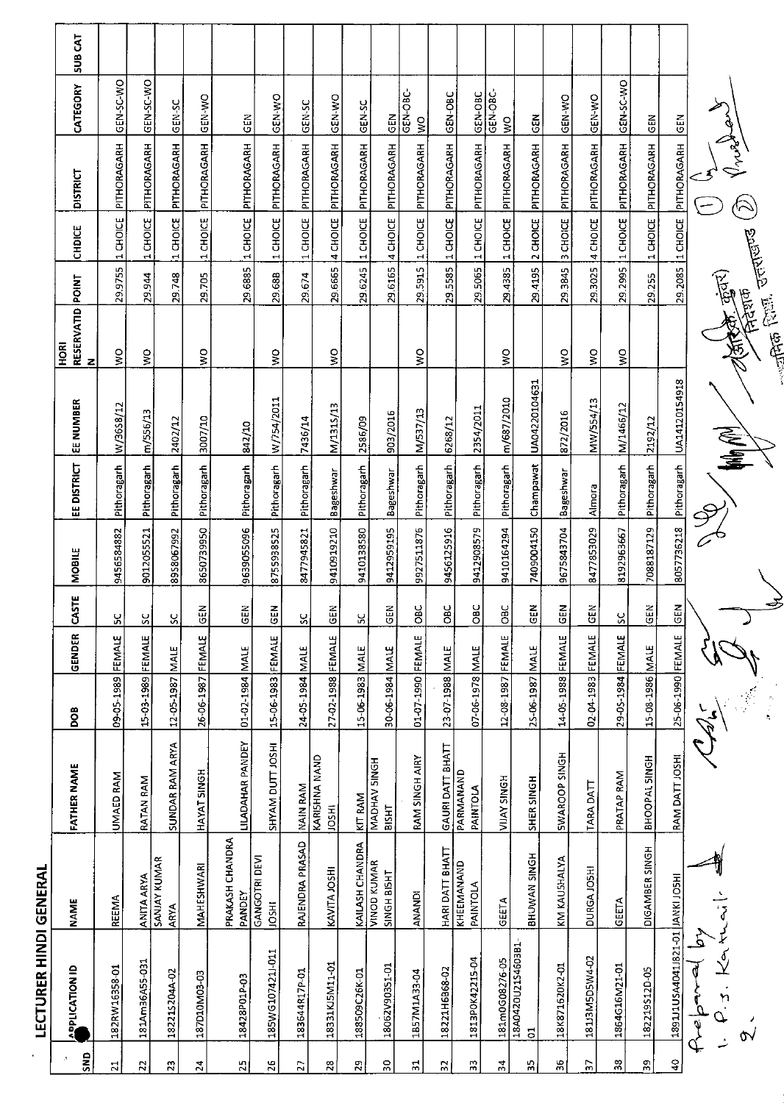|                       | <b>LECTURER HINDI GENERAL</b>        |                                   |                       |                   |             |              |                        |             |               |                               |         |               |                               |                                       |                |
|-----------------------|--------------------------------------|-----------------------------------|-----------------------|-------------------|-------------|--------------|------------------------|-------------|---------------|-------------------------------|---------|---------------|-------------------------------|---------------------------------------|----------------|
| SN <sub>D</sub>       | <b>APLICATION ID</b>                 | <b>NAME</b>                       | <b>FATHER NAME</b>    | BOO               | GENDER      | <b>CASTE</b> | <b>NOBILE</b>          | EE DISTRICT | EE NUMBER     | RESERVATID POINT<br>N<br>HORI |         | <b>CHDICE</b> | <b>DISTRICT</b>               | CATEGORY                              | <b>SUB CAT</b> |
| $\overline{z}$        | 182RW16358-01                        | REEMA                             | UMAED RAM             | 09-05-1989        | FEMALE      | ပ္တ          | 9456584882             | Pithoragarh | W/36S8/12     | š                             | 29.9755 | 1 CHOICE      | PITHORAGARH                   | GEN-SC-WO                             |                |
| 22                    | 181Am36A55-031                       | ANITA ARYA                        | RATAN RAM             | 15-03-1989 FEMALE |             | <u>sc</u>    | 9012055521             | Pithoragarh | m/556/13      | ş                             | 29.944  | 1 CHOICE      | PITHORAGARH                   | GEN-SC-WO                             |                |
| 23                    | 182215204A-02                        | <b>SANJAY KUMAR</b><br>ARYA       | SUNDAR RAM ARYA       | 12-05-1987 MALE   |             | ပ္တ          | 8958067992             | Pithoragarh | 2402/12       |                               | 29748   | 11 CHOICE     | PITHORAGARH                   | GEN-SC                                |                |
| $\overline{24}$       | 187010M03-03                         | MAHESHWARI                        | HAYAT SINGH           | 26-06-1987 FEMALE |             | $rac{2}{30}$ | 8650739950             | Pithoragarh | 3007/10       | ş                             | 29.705  | 1 CHOICE      | PITHORAGARH                   | <b>CEN-WO</b>                         |                |
| 52                    | 18428P01P-03                         | PRAKASH CHANDRA<br>PANDEY         | LILADAHAR PANDEY      | 01-02-1984 MALE   |             | GEN          | 9639055096             | Pithoragarh | 842/10        |                               | 29 6885 | 1 CHOICE      | PITHORAGARH                   | <b>GEN</b>                            |                |
| 26                    | 185WG1074211-011                     | GANGOTRI DEVI<br><b>IRSOL</b>     | SHYAM DUIT JOSHI      | 15-06-1983 FEMALE |             | $rac{2}{5}$  | 8755938525             | Pithoragarh | W/754/2011    | ş                             | 29.68B  | 1 CHOICE      | PITHORAGARH                   | GEN-WO                                |                |
| 27                    | 183644R17P-01                        | RAJENDRA PRASAD                   | NAIN RAM              | 24-05-1984 MALE   |             | ပ္တ          | 8477945821             | Pithoragarh | 7436/14       |                               | 29674   | 1 CHOICE      | PITHORAGARH                   | GEN-SC                                |                |
| $\overline{28}$       | 18331KJ5M11-01                       | KAVITA JOSHI                      | KARISHNA NAND<br>103H | 27-02-1988 FEMALE |             | <b>ISEN</b>  | 9410919210             | Bageshwar   | M/131S/13     | ş                             | 29.6665 | 4 CHOICE      | PITHORAGARH                   | GEN-WO                                |                |
| $\overline{29}$       | 188509C26K-01                        | KAILASH CHANDRA                   | KIT RAM               | 15-06-1983        | <b>MALE</b> | χ            | 9410138580             | Pithoragarh | 2586/09       |                               | 29.6245 | 1 CHOICE      | PITHORAGARH                   | GEN-SC                                |                |
| 50                    | 18062V90351-01                       | <b>VINOD KUMAR</b><br>SINGH BISHT | MADHAV SINGH<br>BISHT | 30-06-1984 MALE   |             | GEN          | 9412959195             | Bageshwar   | 903/2016      |                               | 29.6165 | 4 CHOICE      | PITHORAGARH                   | $rac{1}{2}$                           |                |
| 片                     | 1B57M1A33-04                         | ANANDI                            | RAM SINGH AIRY        | 01-07-1990 FEMALE |             | $rac{1}{2}$  | 9927511876             | Pithoragarh | M/537/13      | š                             | 29.5915 | 1 CHOICE      | PITHORAGARH                   | GEN-OBC-<br>$\frac{1}{2}$             |                |
| 5,                    | 18221H6B68-02                        | HARI DATT BHATT                   | GAURI DATT BHATT      | 23-07-1988 MALE   |             | OBC          | 9456125916             | Pithoragarh | 6268/12       |                               | 295585  | 1 CHOICE      | PITHORAGARH                   | GEN-OBC                               |                |
| m                     | 1813P0K42215-04                      | KHEEMANAND<br>PAINTOLA            | PARMANAND<br>PAINTOLA | 07-06-1978 MALE   |             | OBC          | 9412908579             | Pithoragarh | 2354/2011     |                               | 29.5065 | 1 CHOICE      | PITHORAGARH                   | GEN-OBC                               |                |
| $\frac{1}{4}$         | 181m0G08276-05                       | GEETA                             | <b>NIJAY SINGH</b>    | 12-08-1987 FEMALE |             | OBC          | 9410164294             | Pithoragarh | m/687/2010    | ş                             | 29.4385 | 1 CHOICE      | PITHORAGARH                   | GEN-OBC-<br>$\mathsf{S}^{\mathsf{O}}$ |                |
| 55                    | 18A0420U21S4603B1<br>$\overline{5}$  | BHUWAN SINGH                      | SHER SINGH            | 25-06-1987        | MALE        | <b>GEN</b>   | 7409004150             | Champawat   | UA04220104631 |                               | 29 4195 | 2 CHOICE      | PITHORAGARH                   | $rac{1}{2}$                           |                |
| 36                    | 18K871620K2-01                       | KM KAUSHALYA                      | <b>SWAROOP SINGH</b>  | 14-05-1988        | FEMALE      | <b>GEN</b>   | 9675843704             | Bageshwar   | 872/2016      | š                             | 293845  | 3 CHOICE      | PITHORAGARH                   | GEN-WO                                |                |
| 25                    | 181J3M5D5W4-02                       | DURGA JOSHI                       | TARA DATT             | 02-04-1983 FEMALE |             | GEN          | 8477853029             | Almora      | MW/554/13     | $\mathsf{S}^{\mathsf{O}}$     | 29.3025 | 4 CHOICE      | PITHORAGARH                   | GEN-WO                                |                |
| 38                    | 1864G16M21-01                        | GEETA                             | PRATAP RAM            | 29-05-1984 FEMALE |             | $\mathbf{S}$ | 8192963667             | Pithoragarh | M/1466/12     | š                             | 29.2995 | 1 CHOICE      | PITHORAGARH                   | GEN-SC-W3D                            |                |
| 59                    | 182219S12D-05                        | DIGAMBER SINGH                    | BHOOPAL SINGH         | 15-08-1986 MALE   |             | <b>GEN</b>   | 7088187129             | Pithoragarh | 2192/12       |                               | 29 255  | 1 CHOICE      | PITHORAGARH                   | <b>GEN</b>                            |                |
| $\boldsymbol{\theta}$ | ISOLINNAL IO-IZ8LIPOPASUILLESE       |                                   | RAM DATT JOSHI        | 25-06-1990 FEMALE |             | $rac{1}{2}$  | 8057736218 Pithoragarh |             | UA14120154918 |                               |         |               | 29.2085  I CHOICE PITHORAGARH | $rac{2}{5}$                           |                |
|                       | P.<br>بر<br>پر<br>.<br>n<br>م<br>مهر |                                   |                       |                   |             |              |                        |             |               |                               |         |               |                               |                                       |                |
|                       | Ò٧                                   |                                   |                       |                   |             |              |                        |             |               | <b>Telefont</b> Contribution  | 资质。     |               | $\curvearrowright$            |                                       |                |
|                       |                                      |                                   |                       |                   |             |              |                        |             |               |                               |         |               |                               |                                       |                |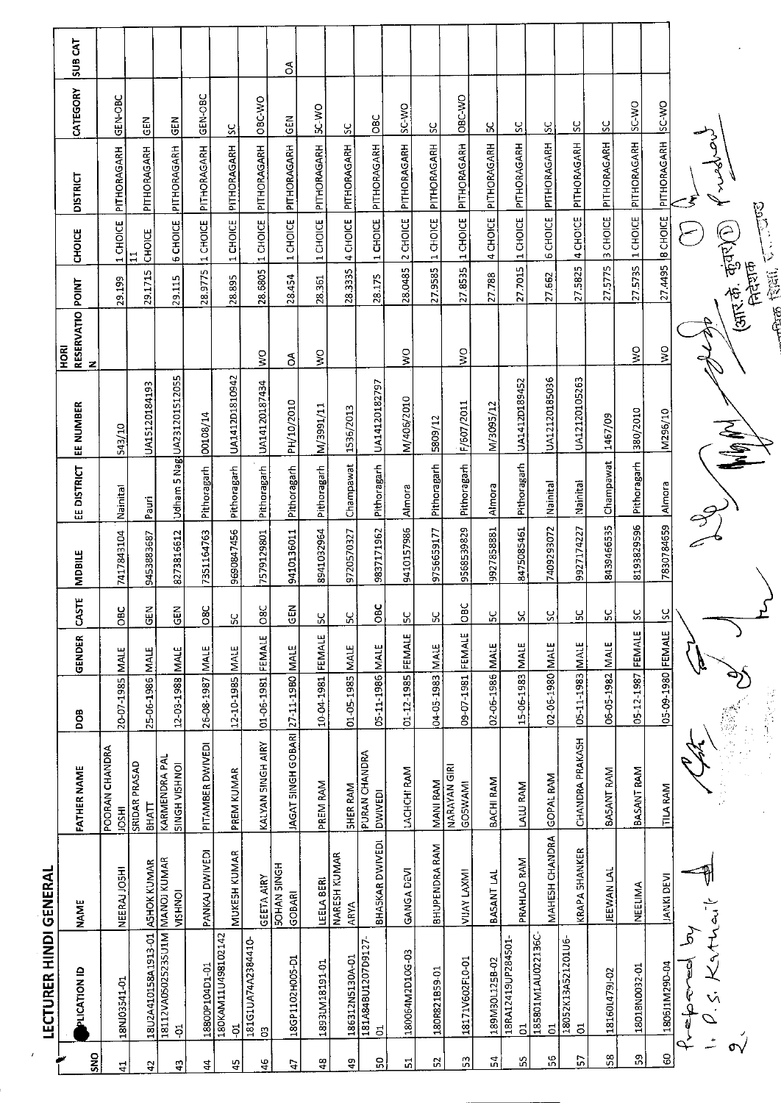|               | <b>LECTURER HINDI GENERAL</b>                                   |                              |                                    |                   |             |                |            |                    |                      |                                     |         |                                                               |                              |                |         |
|---------------|-----------------------------------------------------------------|------------------------------|------------------------------------|-------------------|-------------|----------------|------------|--------------------|----------------------|-------------------------------------|---------|---------------------------------------------------------------|------------------------------|----------------|---------|
| SNO           | PLICATION ID                                                    | <b>NAME</b>                  | <b>FATHER NAME</b>                 | <b>DOB</b>        | GENDER      | CASTE          | MDBILE     | EE DISTRICT        | EE NUMBER            | RESERVATIO POINT<br><b>BOH</b><br>z |         | <b>CHOICE</b>                                                 | <b>DISTRICT</b>              | CATEGORY       | SUB CAT |
| $\frac{4}{4}$ | 18NJ03541-01                                                    | NEERAJ JOSHI                 | POORAN CHANDRA<br><b>HSOL</b>      | 20-07-1985 MALE   |             | OBC            | 7417843104 | Nainital           | 543/10               |                                     | 29.199  | 1 CHOICE                                                      | PITHORAGARH                  | GEN-OBC        |         |
| t,            | 18U2A410158A1913-01                                             | <b>ASHOK KUMAR</b>           | SRIDAR PRASAD<br><b>BHATT</b>      | 25-06-1986 MALE   |             | $\frac{2}{9}$  | 9453883687 | Pauri              | UA15120184193        |                                     | 29.1715 | CHOICE<br>$\Xi$                                               | PITHORAGARH                  | <b>GEN</b>     |         |
| đ.            | 18112VA05025235U1M MANOJ KUMAR<br>$\ddot{\sigma}$               | <b>VISHNOI</b>               | KARMENDRA PAL<br>SINGH VISHNOI     | 12-03-1988        | <b>MALE</b> | $rac{2}{5}$    | 8273816612 | Udham <sup>1</sup> | 5 Nag UA231201512055 |                                     | 29.115  | <b>6 CHOICE</b>                                               | PITHORAGARH                  | <b>GEN</b>     |         |
| $\frac{4}{3}$ | 18800P104D1-01                                                  | PANKAJ DWIVEDI               | PITAMBER DWIVEDI                   | 26-08-1987 MALE   |             | $\overline{S}$ | 7351164763 | Pithoragarh        | 00108/14             |                                     |         |                                                               | 28.9775 1 CHOICE PITHORAGARH | GEN-OBC        |         |
| 4S            | 180KAM11U498102142<br>ដុ                                        | MUKESH KUMAR                 | PREM KUMAR                         | 12-10-1985 MALE   |             | S              | 9690847456 | Pithoragarh        | UA1412D1810942       |                                     | 28.895  |                                                               | 1 CHOICE PITHORAGARH         | $\frac{5}{2}$  |         |
| $\frac{4}{5}$ | 181G1UA74A2384410<br>G                                          | <b>GEETA AIRY</b>            | KALYAN SINGH AIRY                  | 01-06-1981 FEMALE |             | 08C            | 7579129801 | Pithoragarh        | UA14120187434        | $\geq$                              |         |                                                               | 28.6805 1 CHOICE PITHORAGARH | OBC-WO         |         |
| Ë,            | 18GP1102H005-D1                                                 | <b>SOHAN SINGH</b><br>GOBARI | JAGAT SINGH GOBARI 27-11-1980 MALE |                   |             | GEN            | 9410136011 | Pithoragarh        | PH/10/2010           | S                                   | 28.454  | 1 CHOICE                                                      | PITHORAGARH                  | <b>GEN</b>     | g       |
| ą             | 1893LM18191-01                                                  | LEELA BERI                   | PREM RAM                           | 10-04-1981 FEMALE |             | $\frac{6}{2}$  | 8941032964 | Pithoragarh        | II/188E/M            | ş                                   | 28.361  | 1 CHOICE                                                      | PITHORAGARH                  | 5C WO          |         |
| đ.            | 186312N5130A-01                                                 | NARESH KUMAR<br>ARYA         | SHER RAM                           | 01-05-1985 MALE   |             | ပ္တ            | 9720570327 | Champawat          | 1536/2013            |                                     | 28.3335 | 4 CHOICE                                                      | PITHORAGARH                  | ပ္တ            |         |
| S             | 181A84BU1207D9127-<br>$\overline{5}$                            | BHASKAR DWIVEDI              | PURAN CHANDRA<br><b>DWIVEDI</b>    | 05-11-1986 MALE   |             | OBC            | 9837171962 | Pithoragarh        | UA14120182797        |                                     | 28.175  | 1 CHOICE                                                      | PITHORAGARH                  | OBC            |         |
| ដ             | 180064M2D10G-03                                                 | GANGA DEVI                   | LACHCHI RAM                        | $01 - 12 - 1985$  | FEMALE      | ပ္တ            | 9410157986 | Almora             | M/406/2010           | Ş                                   | 28.0485 | 2 CHOICE                                                      | PITHORAGARH                  | SC-WO          |         |
| S             | 180R821859-01                                                   | <b>BHUPENDRA RAM</b>         | MANI RAM                           | 04-05-1983        | MALE        | X              | 9756659177 | Pithoragarh        | 5809/12              |                                     | 27.9585 | 1 CHOICE                                                      | PITHORAGARH                  | $\frac{8}{2}$  |         |
| S.            | 18171V602FL0-01                                                 | VIJAY LAXMI                  | <b>NARAYAN GIRI</b><br>GOSWAMI     | 1861-70-60        | FEMALE      | OBC            | 9568539829 | Pithoragarh        | F/607/2011           | $\frac{1}{2}$                       | 27.8535 | 1 CHOICE                                                      | PITHORAGARH                  | ORC-WO         |         |
| 24            | 189M30L125B-02                                                  | BASANT LAL                   | <b>BACHI RAM</b>                   | 02-06-1986 MALE   |             | Ρ,             | 9927858881 | Almora             | M/3095/12            |                                     | 27.788  | 4 CHOICE                                                      | PITHORAGARH                  | Υ              |         |
| ςς            | 18RA12419UP284501<br>$\overline{5}$                             | PRAHLAD RAM                  | LALU RAM                           | 15-06-1983 MALE   |             | $\frac{6}{2}$  | 8475085461 | Pithoragarh        | UA1412D189452        |                                     | 27.7015 | 1 CHOICE                                                      | PITHORAGARH                  | $\frac{6}{12}$ |         |
| 56            | 185801M1AU022136C-<br>$\overline{5}$                            | MAHESH CHANDRA               | GOPAL RAM                          | 02-06-1980 MALE   |             | ပ္ပ            | 7409293072 | Nainital           | UA12120185036        |                                     | 27.562  | <b>6 CHOICE</b>                                               | PITHORAGARH                  | 3              |         |
| ίó,           | 18052K13A521201U6<br>$\overline{5}$                             | <b>KRAPA SHANKER</b>         | CHANDRA PRAKASH                    | 05-11-1983 MALE   |             | $\frac{6}{2}$  | 9927174227 | Nainital           | UA12120105263        |                                     |         | 27.5825 4 CHOICE                                              | PITHORAGARH                  | X              |         |
| $58\,$        | 18160L479J-02                                                   | JEEWAN LAL                   | BASANT RAM                         | 06-05-1982 MALE   |             | <u>ა</u>       | 8439466535 | Champawat          | 1467/09              |                                     | 27.5775 | 3 CHOICE                                                      | PITHORAGARH                  | <u>s</u>       |         |
| s,            | 18018N0032-01                                                   | NEELIMA                      | BASANT RAM                         | 05-12-1987 FEMALE |             | $\frac{6}{15}$ | 8193829596 | Pithoragarh        | 380/2010             | S                                   | 27.5735 | 1 CHOICE                                                      | PITHORAGARH                  | SC-WO          |         |
| 3             | 1806J1M29D-04                                                   | <b>JANKI DEVI</b>            | <b>TILA RAM</b>                    | 05-09-1980 FEMALE |             | <u>ა</u>       | 7830784659 | Almora             | M296/10              | $\sum_{i=1}^{n}$                    | 27.4495 | 8 CHOICE                                                      | PITHORAGARH                  | <b>OW 3S</b>   |         |
|               | 5<br>Prepored                                                   |                              |                                    |                   |             |                |            |                    |                      |                                     |         |                                                               |                              |                |         |
|               | P.S. Kathair<br>$\frac{1}{2}$<br>$\stackrel{\sim}{\mathsf{ev}}$ |                              |                                    |                   |             |                |            |                    | <b>SA</b>            |                                     |         |                                                               |                              |                |         |
|               |                                                                 |                              |                                    | 波马铃声              |             |                |            |                    |                      |                                     |         | <b>THE REAL POST</b><br>(आर.के. कुंतर) <sup>)</sup><br>निदेशक |                              |                |         |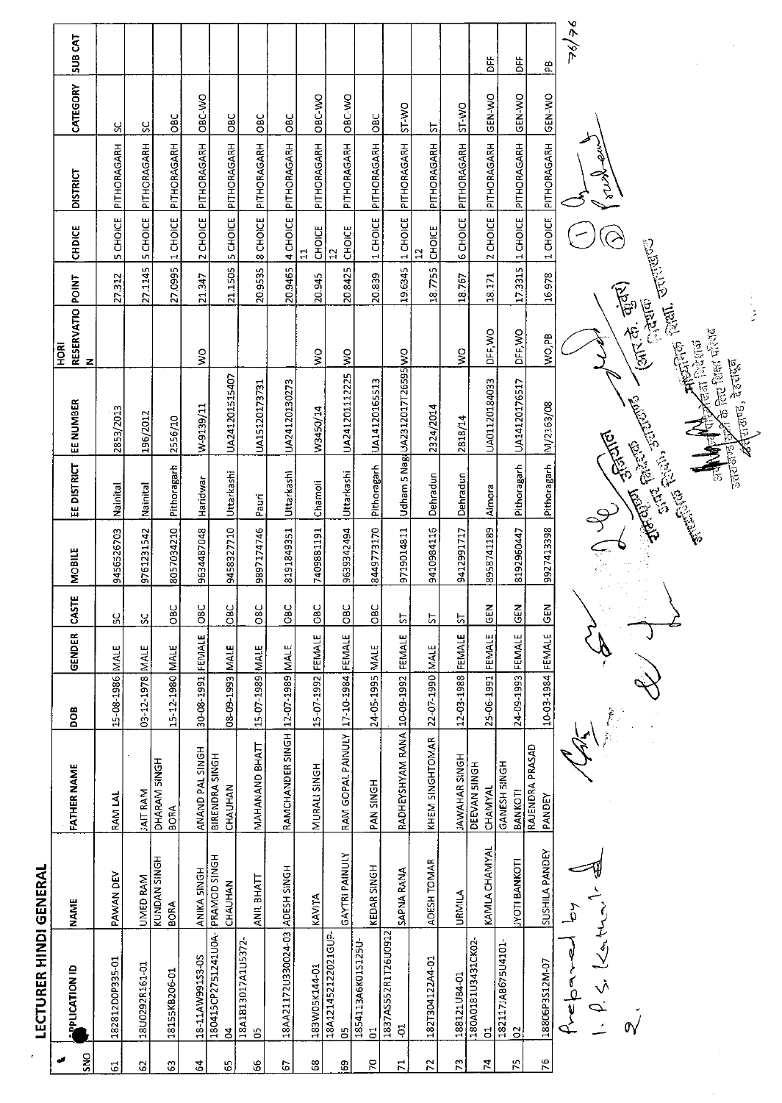| r                         | <b>LECTURER HINDI GENERAL</b>               |                                |                                     |                   |              |                           |               |                      |                                            |                                      |         |                     |                      |               |                             |
|---------------------------|---------------------------------------------|--------------------------------|-------------------------------------|-------------------|--------------|---------------------------|---------------|----------------------|--------------------------------------------|--------------------------------------|---------|---------------------|----------------------|---------------|-----------------------------|
| SNO                       | <b>PUCATION ID</b>                          | <b>NAME</b>                    | <b>FATHER NAME</b>                  | BOO               | GENDER       | CASTE                     | <b>MOBILE</b> | EE DISTRICT          | EE NUMBER                                  | RESERVATIO POINT<br>N<br>$rac{R}{2}$ |         | <b>CHDICE</b>       | <b>DISTRICT</b>      | CATEGORY      | SUB CAT                     |
| $\overline{\textbf{6}}$   | 182812D0P335-01                             | PAWAN DEV                      | <b>RAM LAI</b>                      | 15-08-1986 MALE   |              | ပ္ပ                       | 9456526703    | Nainital             | 2853/2013                                  |                                      | 27.312  | 5 CHOICE            | PITHORAGARH          | ပ္ပ           |                             |
| 2                         | 18U0292R161-01                              | UMED RAM                       | JAIT RAM                            | 03-12-1978        | <b>NIALE</b> | Χ                         | 9761231542    | Nainital             | 196/2012                                   |                                      | 27.1145 | <b>5 CHOICE</b>     | PITHORAGARH          | <u>s</u>      |                             |
| $\mathbf{G}$              | 18155KB206-01                               | KUNDAN SINGH<br><b>BORA</b>    | DHARAM SINGH<br><b>BORA</b>         | 15-12-1980 MALE   |              | OBC                       | 8057034210    | Pithoragarh          | 2556/10                                    |                                      | 27.0995 | 1 CHOICE            | PITHORAGARH          | $rac{C}{C}$   |                             |
| 2                         | 18-11AW991S3-0S                             | ANIKA SINGH                    | ANAND PAL SINGH                     | 30-08-1991 FEMALE |              | 08C                       | 9634487048    | Haridwar             | W-9139/11                                  | $\frac{1}{2}$                        | 21.347  | 2 CHOICE            | PITHORAGARH          | ORC-VVO       |                             |
| 55                        | 180415CP2751241U0A-<br>S                    | <b>PRAMOD SINGH</b><br>CHAUHAN | BIRENDRA SINGH<br>CHAUHAN           | 08-09-1993 MALE   |              | <b>BC</b>                 | 9458327710    | Uttarkashi           | UA241201515407                             |                                      | 21.1505 |                     | 5 CHOICE PITHORAGARH | <b>OBC</b>    |                             |
| 99                        | 18A1B13017A1U5372-<br>S                     | ANIL BHATT                     | MAHANAND BHATT                      | 15-07-1989 MALE   |              | O8C                       | 9897174746    | Pauri                | UA15120173731                              |                                      | 20.9535 |                     | 8 CHOICE PITHORAGARH | <b>OBC</b>    |                             |
| G                         | 18AA21172U330024-03 ADESH SINGH             |                                | RAMCHANDER SINGH 12-07-1989 MALE    |                   |              | <b>OBC</b>                | 8191849351    | Uttarkashi           | UA24120130273                              |                                      | 20.9465 |                     | 4 CHOICE PITHORAGARH | <b>OBC</b>    |                             |
| $^{\rm 6}$                | 183W05K144-01                               | KAVITA                         | MURALI SINGH                        | 15-07-1992 FEMALE |              | <b>OBC</b>                | 7409881191    | Chamoli              | W3450/14                                   | ş                                    | 20945   | CHOICE<br>급         | PITHORAGARH          | ORC-WO        |                             |
| 8                         | 18A121452122021GUP<br>B                     | GAYTRI PAINULY                 | RAM GOPAL PAINULY 17-10-1984 FEMALE |                   |              | OBC                       | 9639342494    | Uttarkashi           | UA241201112225                             | $\geq$                               | 20.8425 | <b>CHOICE</b>       | PITHORAGARH          | OBC-WO        |                             |
| 70                        | 1854113A6K01S125U<br>$\overline{5}$         | KEDAR SINGH                    | PAN SINGH                           | 24-05-1995 MALE   |              | OBC                       | 8449773170    | Pithoragarh          | UA14120165513                              |                                      | 20.839  | 1 CHOICE            | PITHORAGARH          | $rac{1}{2}$   |                             |
| $\overline{r}$            | 1837AS552R1T26U0912<br>ដុ                   | SAPNA RANA                     | RADHEYSHYAM RANA                    | 10-09-1992        | FEMALE       | $\overline{\overline{c}}$ | 9719014811    |                      | Udham 5 Nag UA2312017T26595 WO             |                                      | 19.6345 | 1 CHOICE            | PITHORAGARH          | <b>DW-1S</b>  |                             |
| $\mathbb{R}$              | 1821304122A4-01                             | ADESH TOMAR                    | KHEM SINGHTOMAR                     | 22-07-1990        | <b>MALE</b>  | 5                         | 9410984116    | Dehradun             | 2324/2014                                  |                                      | 187755  | <b>CHOICE</b><br>51 | PITHORAGARH          | 5             |                             |
| $\mathbb{C}^{\mathsf{r}}$ | 188121U84-01                                | URMILA                         | <b>IAWAHAR SINGH</b>                | 12-03-1988        | FEMALE       | 5                         | 9412991717    | Dehradun             | 2818/14                                    | ş                                    | 18.767  | 6 CHOICE            | PITHORAGARH          | ST WO         |                             |
| 74                        | 180A0181U3431CK02<br>E.                     | <b>KAMLA CHAMYAL</b>           | DEEVAN SINGH<br>CHAMYAL             | 25-06-1991        | FEMALE       | $rac{2}{9}$               | 8958741189    | Almora               | UA01120184033                              | DFF, WO                              | 18.171  | 2 CHOICE            | PITHORAGARH          | GEN-WO        | 苫                           |
| 75                        | 1821171AB675U4101-<br>$\overline{c}$        | <b>IYOTI BANKOTI</b>           | GANESH SINGH<br>BANKOTI             | 24-09-1993 FEMALE |              | GEN                       | 8192960447    | Pithoragarh          | UA14120176517                              | DFF, WO                              | 173315  | 1 CHOICE            | PITHORAGARH          | <b>ORN-NO</b> | 놈                           |
| 76                        | 18806P3S12M-07                              | SUSHILA PANDEY                 | RAJENDRA PRASAD<br>PANDEY           | 10-03-1984 FEMALE |              | <b>GEN</b>                | 9927413398    | Pithoragarh          | M/2163/08                                  | lwo,PB                               | 16.978  |                     | 1 CHOICE PITHORAGARH | <b>CEN-WO</b> | $\frac{a}{b}$               |
|                           | $\cdot$ $\rho$ , $\zeta$ , $l$<br>$f$ repar | $\mathfrak{p}$                 |                                     |                   |              |                           |               |                      |                                            |                                      |         |                     |                      |               | $\check{\mathbf{z}}$<br>∕∕⊾ |
|                           | $\mathbb{\tilde{N}}$                        |                                |                                     |                   |              |                           |               | <b>Communication</b> | STEAM STRING                               | (كالأنزي وأعقاره)<br>(كالأنزي وأكل   |         |                     |                      |               |                             |
|                           |                                             |                                |                                     |                   |              |                           |               |                      |                                            |                                      |         |                     |                      |               |                             |
|                           |                                             |                                |                                     |                   |              |                           |               |                      | <b>All All Antipolitan Rent.</b> Jerrentes |                                      |         |                     |                      |               |                             |
|                           |                                             |                                |                                     |                   |              |                           |               |                      |                                            |                                      |         |                     |                      |               |                             |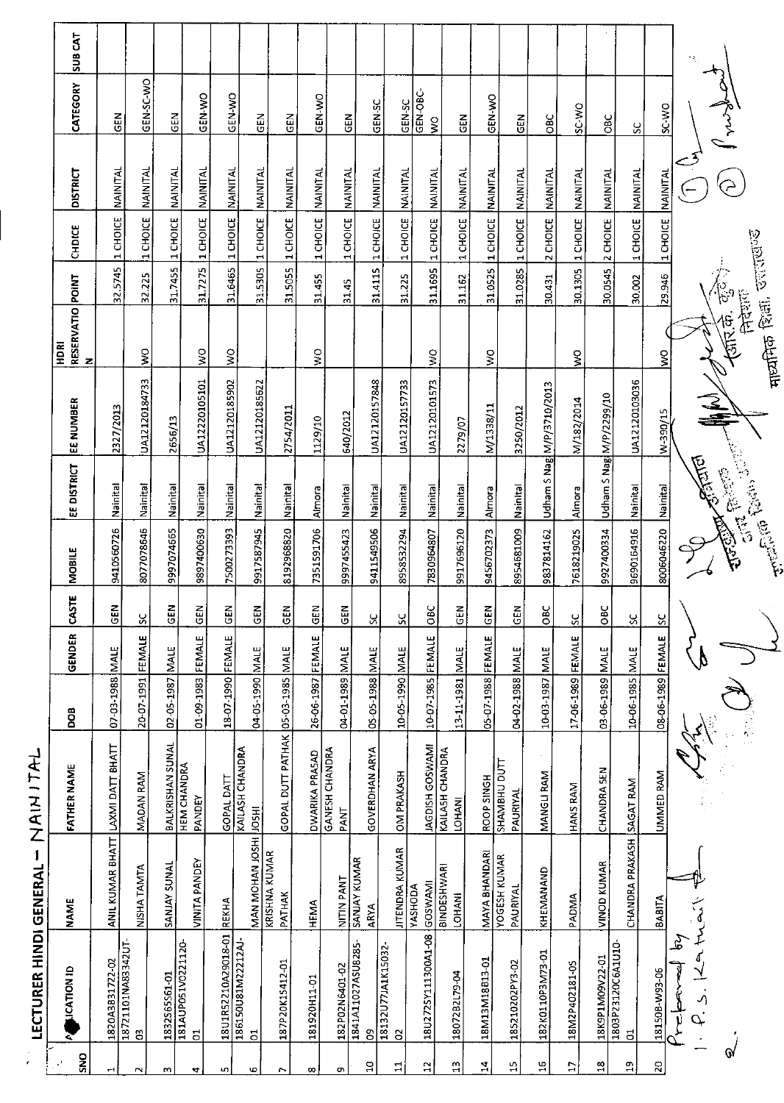| SUB CAT                                   |                  |                                    |                  |                                      |                       |                                        |                                   |                       |                                      |                                    |                        |                           |                                     |                   |                                 |                           |                   |                         |                           |                   |              |                            |                               |
|-------------------------------------------|------------------|------------------------------------|------------------|--------------------------------------|-----------------------|----------------------------------------|-----------------------------------|-----------------------|--------------------------------------|------------------------------------|------------------------|---------------------------|-------------------------------------|-------------------|---------------------------------|---------------------------|-------------------|-------------------------|---------------------------|-------------------|--------------|----------------------------|-------------------------------|
| CATEGORY                                  | GEN              | GEN-SC-WO                          | $rac{1}{5}$      | <b>OK-N-2D</b>                       | GEN-WO                |                                        | 忌<br><b>GEN</b>                   | GEN-WO                | <b>GEN</b>                           | GEN-SC                             | GEN-SC                 | GEN-OBC-<br>$\mathsf{S}$  | EM<br>5                             | GEN-WO            | <b>GEN</b>                      | OBC                       | SC-WO             | <b>OBC</b>              | š                         | OW 3S             |              |                            |                               |
| <b>DISTRICT</b>                           | NAINITAL         |                                    | NAINITAL         | NAINITAL                             | NAINITAL              | NAINITAL                               | NAINITAL                          | NAINITAL              | NAINITAL                             | <b>NAINITAL</b>                    | <b>NAINITAL</b>        | <b>NAINITAL</b>           |                                     | NAINITAL          | NAINITAL                        | NAINITAL                  | NAINITAL          | NAINITAL                | NAINITAL                  | NAINITAL          |              |                            |                               |
| CHDICE                                    | 1 CHOICE         | 1 CHOICE NAINITAL                  | 1 CHOICE         | 1 CHOICE                             | 1 CHOICE              | 1 CHOICE                               | 1 CHOICE                          | 1 CHOICE              | 1 CHOICE                             |                                    | 1 CHOICE               |                           | 1 CHOICE NAINITAL                   |                   | 1 CHOICE                        | 2 CHOICE                  | 1 CHOICE          | 2 CHOICE                | 1 CHOICE                  | 1 CHOICE          |              |                            |                               |
|                                           | 32.5745          | 32.225                             | 31.7455          | 31.7275                              | 31.6465               | 31.5305                                | 31.5055                           | 31.455                | 31.45                                | 31.4115 1 CHOICE                   | 31.225                 | 31.1695 1 CHOICE          | 31.162                              | 31.0525 1 CHOICE  | 31.0285                         | 30.431                    | 30.1305           | 30.0545                 | 30.002                    | 29.946            |              | /<br>(၂၀၀                  | <b>Popper</b>                 |
| RESERVATIO POINT<br><b>E</b><br>HDRI<br>z |                  | ş                                  |                  | °∕                                   | $\mathop{\mathsf{S}}$ |                                        |                                   | $\frac{1}{2}$         |                                      |                                    |                        | $\frac{8}{5}$             |                                     | $\mathbb S$       |                                 |                           | Ş                 |                         |                           | $\frac{1}{2}$     |              | <b>CENTER</b><br>क्त्रिके. | <b>The Control</b> Centri     |
| EE NUMBER                                 | 2327/2013        | UA12120184733                      | 2656/13          | UA12220105101                        | UA12120185902         | UA12120185622                          | 2754/2011                         | 1129/10               | 640/2012                             | UA12120157848                      | UA12120157733          | UA12120101573             | 2279/07                             | M/1338/11         | 3250/2012                       | Udham S Nag M/P/3710/2013 | M/182/2014        |                         | UA12120103036             | W-390/15          |              | $\frac{1}{2}$              |                               |
| EE DISTRICT                               | Nainital         | Nainital                           | Nainital         | Nainital                             | Nainital              | Mainital                               | Kainital                          | Almora                | Nainital                             | kainital                           | Nainital               | Nainital                  | Nainita                             | Almora            | Nainital                        |                           | Almora            | Udham S Nag M/P/2299/10 | Nainital                  | kstinital         | متحقيقتلن    | <b>City Princip</b>        | <b>The Company of Company</b> |
| <b>MOBILE</b>                             | 9410560726       | 8077078646                         | 9997074665       | 9897400630                           | 7500273393            | 9917587945                             | 8192968820                        | 7351591706            | 9997455423                           | 9411549506                         | 8958532294             | 7830964807                | 9917696120                          | 9456702373        | 8954681009                      | 9837814162                | 7618219025        | 9927400334              | 9690164916                | 8006046220        |              |                            |                               |
| CASTE                                     | <b>GEN</b>       | SC.                                | GEN              | z<br>핑                               | GEN                   | $\overline{5}$                         | មិ<br>ច                           | z<br>Ü                | 읎                                    | 8                                  | X                      | $rac{BC}{28C}$            | <b>R</b>                            | GEN               | GEN                             | OBC                       | SC                | OBC                     | 8                         | $\frac{8}{5}$     |              |                            |                               |
| GENDER                                    | MALE             | FEMALE                             | <b>NALE</b>      |                                      |                       |                                        |                                   |                       |                                      |                                    |                        |                           | <b>NALE</b>                         |                   |                                 | <b>MALE</b>               |                   |                         |                           |                   |              |                            |                               |
| <b>BOO</b>                                | 07-03-1988       | 20-07-1991                         | 02-05-1987       | 01-09-1983 FEMALE                    | 18-07-1990 FEMALE     | 04-05-1990 MALE                        |                                   | 26-06-1987 FEMALE     | 3JAM 8851-10-40                      | 05-05-1988 MALE                    | 10-05-1990 MALE        | 10-07-1985 FEMALE         | 13-11-1981                          | 05-07-1988 FEMALE | 04-02-1988 MALE                 | 10-03-1987                | 17-06-1989 FEMALE | 03-06-1989 MALE         | 10-06-1985 MALE           | 08-06-1989 FEMALE |              |                            |                               |
| <b>FATHER NAME</b>                        | LAXMI DATT BHATT | MADAN RAM                          | BALKRISHAN SUNAL | <b>HEM CHANDRA</b><br>PANDEY         | GOPAL DATT            | <b>KAILASH CHANDRA</b><br><b>IRSOF</b> | GOPAL DUTT PATHAK 05-03-1985 MALE | <b>DWARIKA PRASAD</b> | <b>GANESH CHANDRA</b><br><b>PANT</b> | <b>GOVERDHAN ARYA</b>              | <b>OM PRAKASH</b>      | <b>IAGDISH GOSWAMI</b>    | KAILASH CHANDRA<br><b>LOHANI</b>    | ROOP SINGH        | SHAMBHU DUTT<br>PAURIYAL        | MANGLI RAM                | <b>HANS RAM</b>   | CHANDRA SEN             |                           | UMMED RAM         |              |                            |                               |
| <b>NAME</b>                               | ANIL KUMAR BHATT | NISHA TAMTA                        | SANJAY SUNAL     | VINITA PANDEY                        | REKHA                 | MAN MOHAN JOSHI                        | <b>KRISHNA KUMAR</b><br>PATHAK    | HEMA                  | NITIN PANT                           | <b>SANJAY KUMAR</b><br><b>ARYA</b> | <b>JITENDRA KUMAR</b>  | GOSWAMI<br><b>YASHODA</b> | <b>BINDESHWARI</b><br><b>LOHANI</b> | MAYA BHANDARI     | <b>YOGESH KUMAR</b><br>PAURIYAL | KHEMANAND                 | PADMA             | <b>VINOD KUMAR</b>      | CHANDRA PRAKASH SAGAT RAM | BABITA            |              |                            |                               |
| <b>LICATION ID</b>                        | 1820A3B31722-02  | 18721101NA83342UT-<br>$\mathbf{S}$ | 1832565561-01    | 181AUP051V0221120-<br>$\overline{5}$ | 18U1R52210A29018-01   | 186150U81M22212AJ-<br>$\overline{5}$   | 187P20K15412-01                   | 181920H11-01          | 182P02N6401-02                       | 1841A11027ASU8285-<br>g            | 18132U77JA1K15032<br>S | 18U272SY111300A1-08       | 1807282L79-04                       | 18M13M18B13-01    | 185210202PY3-02                 | 182K0110P3M73-01          | 18M2P402181-05    | 18K9P1M09V22-01         | 1803P23120C6A1U10-<br>S.  | 181508-W93-06     | کے<br>آ<br>5 |                            |                               |
| Z,<br>SNO                                 | Н                | $\sim$                             | m                | 4                                    | uŋ                    | 6                                      | r.                                | $\infty$              | Ō)                                   | $\overline{a}$                     | 급                      | 5                         | $\frac{1}{11}$                      | $\ddot{a}$        | Д                               | 윾                         | $\mathbb{C}$      | $\frac{\infty}{\infty}$ | 읔                         | $\overline{a}$    |              | $\mathbf{\hat{y}}$         |                               |

LECTURER HINDI GENERAL - NAIN ITAL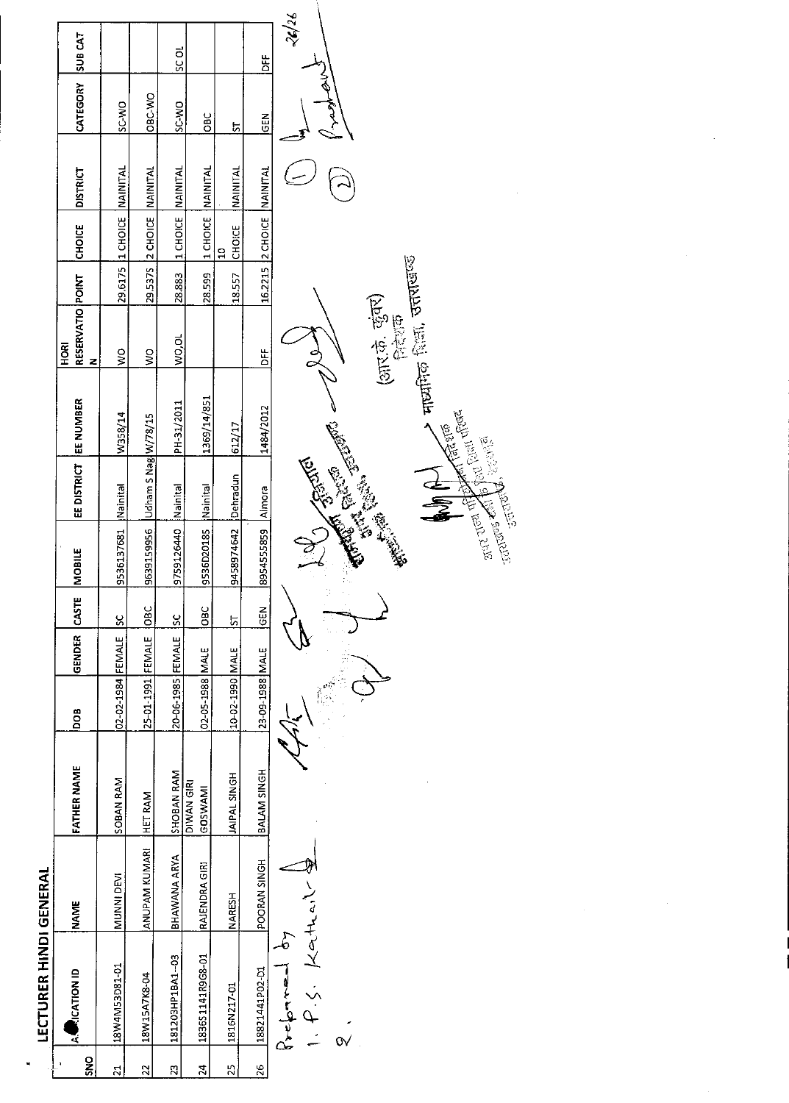| ۱      |
|--------|
|        |
|        |
|        |
|        |
| ī      |
|        |
|        |
|        |
|        |
|        |
| í      |
|        |
|        |
| ı      |
| I      |
| l<br>l |
|        |

| SNO            | <b>RICATION ID</b><br>ā        | <b>NAME</b>          | <b>FATHER NAME</b>     | BOO               | GENDER CASTE |               | MOBILE     | EE DISTRICT         | EE NUMBER   | RESERVATIO POINT<br>HORI<br>z |         | <b>CHOICE</b>             | <b>DISTRICT</b> | CATEGORY      | <b>SUB CAT</b>    |
|----------------|--------------------------------|----------------------|------------------------|-------------------|--------------|---------------|------------|---------------------|-------------|-------------------------------|---------|---------------------------|-----------------|---------------|-------------------|
| ನ              | 18W4M53D81-01                  | MUNNI DEVI           | SOBAN RAM              | 02-02-1984 FEMALE |              | <u>يي</u>     | 9536137681 | Nainital            | W358/14     | $\frac{8}{2}$                 | 29.6175 | MOICHOICE                 | NAINITAL        | <b>OW-3S</b>  |                   |
| 22             | 18W15A7K8-04                   | <b>ANUPAM KUMARI</b> | <b>HET RAM</b>         | 25-01-1991 FEMALE |              | <b>DBC</b>    | 9639159956 | Udham S Nag W/78/15 |             | $\tilde{\mathbf{z}}$          |         | 29 5375 2 CHOICE          | <b>NAINITAL</b> | <b>OBC-WO</b> |                   |
| R,             | 181203HP1BA1-03                | <b>BHAWANA ARYA</b>  | SHOBAN RAM             | 20-06-1985 FEMALE |              | $\frac{8}{5}$ | 9759126440 | Nainital            | PH-31/2011  | lwo, ou                       | 28.883  | 11 CHOICE                 | NAINITAL        | SC-WO         | <b>D</b><br>SC OL |
| $\mathfrak{p}$ | 183651141R9G8-01               | RAJENDRA GIRI        | DIWAN GIRI<br>GOS WAMI | 02-05-1988 MALE   |              | <b>OBC</b>    | 9536D20185 | Kainital            | 1369/14/851 |                               | 28.599  | 1 CHOICE                  | <b>NAINITAL</b> | OBC           |                   |
| 25             | 1816N217-01                    | <b>NARESH</b>        | JAIPAL SINGH           | 10-02-1990 MALE   |              | ದ             | 9458974642 | Dehradun            | 612/17      |                               | 18.557  | CHOICE<br>្អ              | NAINITAI        | ្ន            |                   |
| $\frac{8}{2}$  | 18821441P02-D1                 | <b>POORAN SINGH</b>  | BALAM SINGH            | 23-09-1988 MALE   |              | <b>SEN</b>    | 8954555859 | Almora              | 1484/2012   | ء<br>5                        |         | 16.2215 2 CHOICE NAINITAL |                 | <b>SEN</b>    | بر<br>کا          |
|                | $P. \zeta$ , Kathair<br>δ<br>P |                      |                        |                   |              |               |            | <b>TENDER MANUS</b> |             |                               |         |                           |                 |               | 50/38             |
|                |                                |                      |                        |                   |              |               |            |                     |             |                               |         |                           |                 |               |                   |

ARANTA CARD 

(आर.के. कुंवर)<br>निरंगक

, माध्यमिक शिक्षा, उत्तराखण्ड E CONTROL ESTA

 $\frac{1}{\sqrt{2}}$ 

**SALE AND PARTICIPAL REPAIR** 

 $\overline{\phantom{a}}$ 

 $\frac{1}{2}$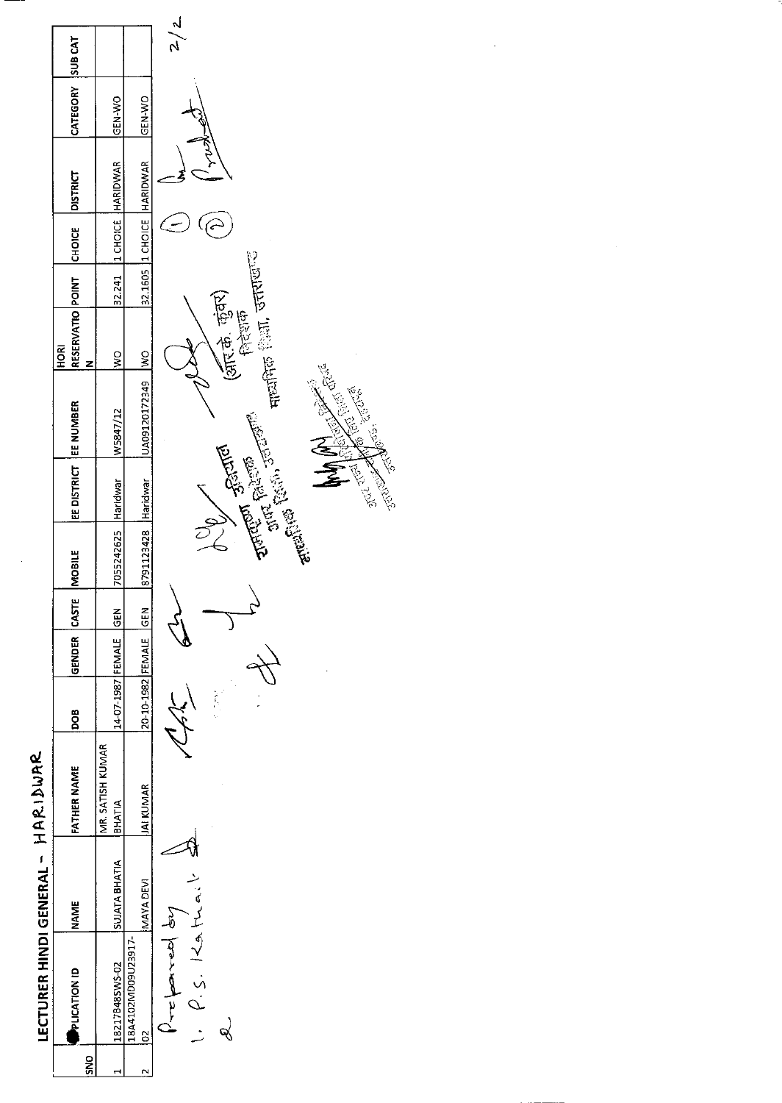|     | LECTURER HINDI GENERAL - HARIDURR                                          |                      |                                    |                       |              |               |                     |                       |                  |                                                 |  |                             |                  |               |
|-----|----------------------------------------------------------------------------|----------------------|------------------------------------|-----------------------|--------------|---------------|---------------------|-----------------------|------------------|-------------------------------------------------|--|-----------------------------|------------------|---------------|
| SND | <b>PLICATION ID</b>                                                        | <b>NAME</b>          | <b>FATHER NAME</b>                 | 80a                   | GENDER CASTI |               | MOBILE              | EE DISTRICT EE NUMBER |                  | RESERVATIO POINT CHOICE DISTRICT<br><b>ROKI</b> |  |                             | CATEGORY SUB CAT |               |
|     | 18217B48SWS-02                                                             | <b>SUJATA BHATIA</b> | MR. SATISH KUMAR<br><b>IBHATIA</b> | 14-07-1987 FEMALE GEN |              |               | 7055242625 Haridwar |                       | W5847/12         | $\frac{8}{2}$                                   |  | 32.241  1 CHOICE   HARIDWAR | <b>IGEN WO</b>   |               |
|     | 18A4102MD09U23917-<br>$\approx$                                            | MAYA DEVI            | <b>JAI KUMAR</b>                   | 20-10-1982 FEMALE GEN |              |               | 8791123428 Haridwar |                       | UA09120172349 WO |                                                 |  | 32.1605 1 CHOICE HARIDWAR   | <b>OW-N-NO</b>   |               |
|     | $\frac{1}{2}$ , $\frac{1}{2}$ , $\frac{1}{2}$ , $\frac{1}{2}$<br>Verticand |                      |                                    |                       |              | $\mathcal{E}$ |                     |                       |                  |                                                 |  |                             |                  | $\frac{2}{2}$ |

 $I = \frac{1}{\rho} \sum_{s=1}^{n} \frac{1}{\rho} \sum_{s=1}^{n} \frac{1}{\rho}$  $\infty$ 

There,  $\frac{1}{2}$  $\odot$  $\supset$ मायनिक शिला, उत्तराखण्ड **August Branch** (Mr. B. Bar)<br>August Branch (Mr. B. Bar)<br>August Elisabeth Branch (Mr. B. Bar) **RES** All Property

STATE TOOLS **CONSCRIPTION**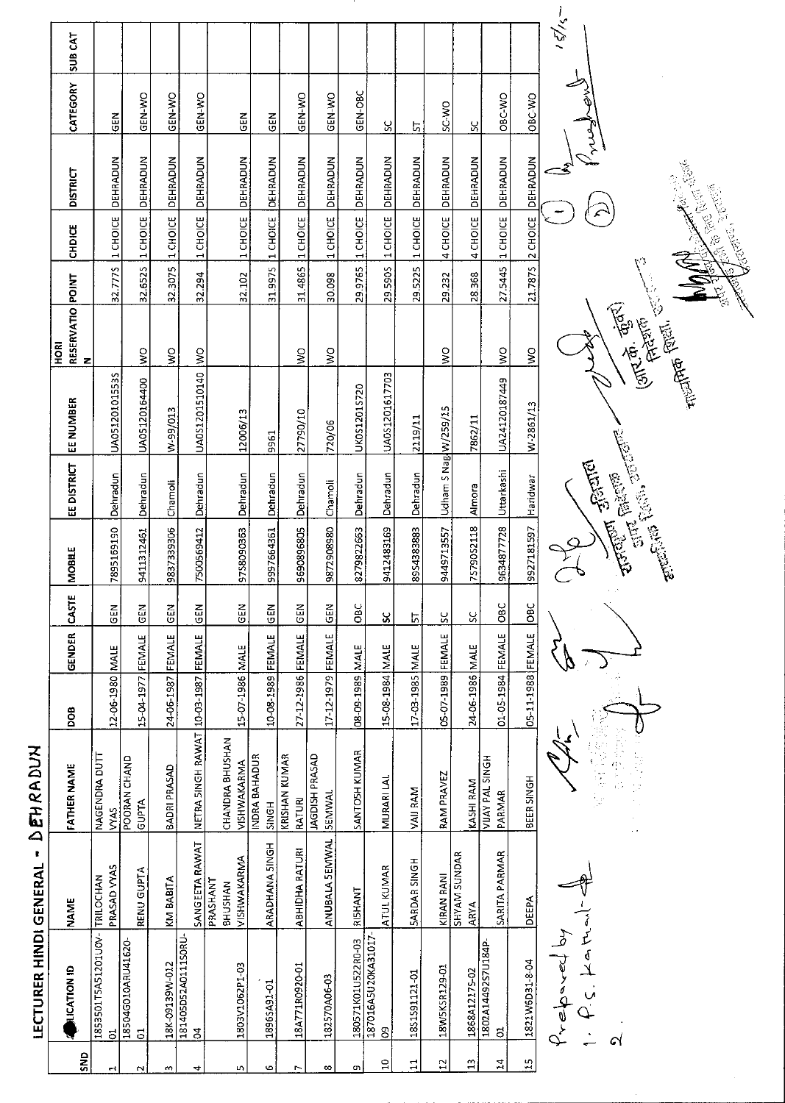| $rac{2}{5}$           | <b>OF ICATION ID</b>           | <b>NAME</b>                        | <b>FATHER NAME</b>              | DOB               | GENDER        | CASTE         | MOBILE                | EE DISTRICT          | EE NUMBER      | RESERVATIO POINT<br>N<br>HORI                                 |               | CHDICE           | <b>DISTRICT</b>   | CATEGORY      | SUB <sub>CAT</sub> |
|-----------------------|--------------------------------|------------------------------------|---------------------------------|-------------------|---------------|---------------|-----------------------|----------------------|----------------|---------------------------------------------------------------|---------------|------------------|-------------------|---------------|--------------------|
| $\blacktriangleright$ | 1853501T5A51201U0V-<br>ದ       | PRASAD VYAS<br>TRILOCHAN           | NAGENDRA DUTT<br><b>VYAS</b>    | 12-06-1980        | <b>NALE</b>   | <b>GEN</b>    | 7895169190            | Dehradun             | UA051201015535 |                                                               | 32.7775       | 1 CHOICE         | DEHRADUN          | GEN           |                    |
| $\sim$                | 18504G010ARU41620<br>$\Xi$     | RENU GUPTA                         | POORAN CHAND<br>GUPTA           | 15-04-1977        | FEMALE        | <b>GEN</b>    | 9411312461            | Dehradun             | UA05120164400  | š                                                             | 32.6525       | 1 CHOICE         | <b>DEHRADUN</b>   | <b>ORN-NO</b> |                    |
| m                     | 18K-09139W-012                 | KM BABITA                          | BADRI PRASAD                    | 24-06-1987 FEMALE |               | GEN           | 9837339306            | Chamoli              | KT0/66-M       | $\tilde{\mathbf{z}}$                                          | 32.3075       | 1 CHOICE         | DEHRADUN          | GEN-WO        |                    |
| 4                     | 181405D52A0111S0RU-<br>S       | SANGEETA RAWAT                     | NETRA SINGH RAWAT 10-03-1987    |                   | <b>FEMALE</b> | <b>GEN</b>    | 7500569412            | Dehradun             | UA051201510140 | $\frac{8}{2}$                                                 | 32.294        | 1 CHOICE         | DEHRADUN          | GEN-WO        |                    |
| Ю                     | 1803V1062P1-03                 | VISHWAKARMA<br>PRASHANT<br>BHUSHAN | CHANDRA BHUSHAN<br>VISHWAKARMA  | 15-07-1986 MALE   |               | άEX           | 9758090363            | Dehradun             | 12006/13       |                                                               | 32.102        | 1 CHOICE         | <b>DEHRADUN</b>   | <b>GEN</b>    |                    |
| Ф                     | 1896SA91-01                    | ARADHANA 5INGH                     | INDRA BAHADUR<br><b>HDNIS</b>   | 10-08-1989 FEMALE |               | $rac{2}{3}$   | 9997664361            | Dehradun             | 9961           |                                                               | 31.9975       | 1 сноісе         | <b>DEHRADUN</b>   | $rac{Z}{C}$   |                    |
| r                     | 18A771R0920-01                 | ABHIDHA RATURI                     | <b>KRISHAN KUMAR</b><br>RATURI  | 27-12-1986 FEMALE |               | $rac{2}{5}$   | 9690896805            | Dehradun             | 27790/10       | $\tilde{\mathbf{z}}$                                          | 31.4865       | 1 CHOICE         | DEHRADUN          | GEN-WO        |                    |
| $^\infty$             | 182570A06-03                   | ANUBALA SEMWAL                     | JAGDISH PRASAD<br><b>SEMWAL</b> | 17-12-1979 FEMALE |               | GEN           | 9872908980            | Chamoli              | 720/06         | $\frac{1}{2}$                                                 | 30.098        | 1 CHOICE         | DEHRADUN          | GEN-WO        |                    |
| c                     | 180571K01U522R0-03             | RISHANT                            | SANTOSH KUMAR                   | 08-09-1989 MALE   |               | OBC           | 8279822663            | Dehradun             | UK0S1201S720   |                                                               | 29.9765       | 1 CHOICE         | DEHRADUN          | GEN-OBC       |                    |
| å                     | 187016A5U20KA31017-<br>පි      | ATUL KUMAR                         | MURARI LAI                      | 15-08-1984 MALE   |               | X             | 9412483169            | Dehradun             | UA051201617703 |                                                               |               | 29.590S 1 CHOICE | <b>DEHRADUN</b>   | بر<br>د       |                    |
| $\Xi$                 | 1851591121-01                  | <b>SARDAR SINGH</b>                | VAII RAM                        | 17-03-1985 MALE   |               | 넚             | 8954383883            | Dehradun             | 2119/11        |                                                               | 29.5225       | 1 CHOICE         | DEHRADUN          | 5             |                    |
| $\mathbf{r}$          | 18W5KSR129-01                  | KIRAN RANI                         | RAM PRAVEZ                      | 05-07-1989 FEMALE |               | S,            | 9449713557            | Udham S Nag W/259/15 |                | $\frac{1}{2}$                                                 | 29.232        | 4 CHOICE         | DEHRADUN          | <b>OW-2S</b>  |                    |
| ఇ                     | 1868A12175-02                  | SHYAM SUNDAR<br>ARYA               | KASHI RAM<br>VIJAY PAL SINGH    | 24-06-1986 MALE   |               | S,            | 7579052118            | Almora               | 7862/11        |                                                               | 28.368        | 4 CHOICE         | DEHRADUN          | ပ္တ           |                    |
| 그                     | 1802A14492S7U184P<br>$\vec{a}$ | SARITA PARMAR                      | PARMAR                          | 01-05-1984 FEMALE |               | $rac{1}{260}$ | 9634877728            | Uttarkashi           | UA24120187449  | $\frac{8}{5}$                                                 | 27.5445       | 1 CHOICE         | DEHRADUN          | OBC-WO        |                    |
| $\mathfrak{a}$        | 1821W6D31-8-04                 | <b>DEEPA</b>                       | BEER SINGH                      | 05-11-1988 FEMALE |               | DBC           | 9927181597            | Haridwar             | W-2861/13      | Ş                                                             |               | 21.7875 2 CHOICE | <b>DEHRADUN</b>   | OBC-WO        |                    |
| ଣ                     | t. S. Katha<br>Prepared by     |                                    | Ş<br>t.)                        |                   |               |               | <b>THREE ASSESSED</b> |                      |                | <b>Ellistic Company</b><br>(ant. m. antal)<br>(ant. m. antal) | <b>MARTIN</b> | <b>ARTICLES</b>  | <b>CONTRACTOR</b> |               | $\frac{1}{2}$      |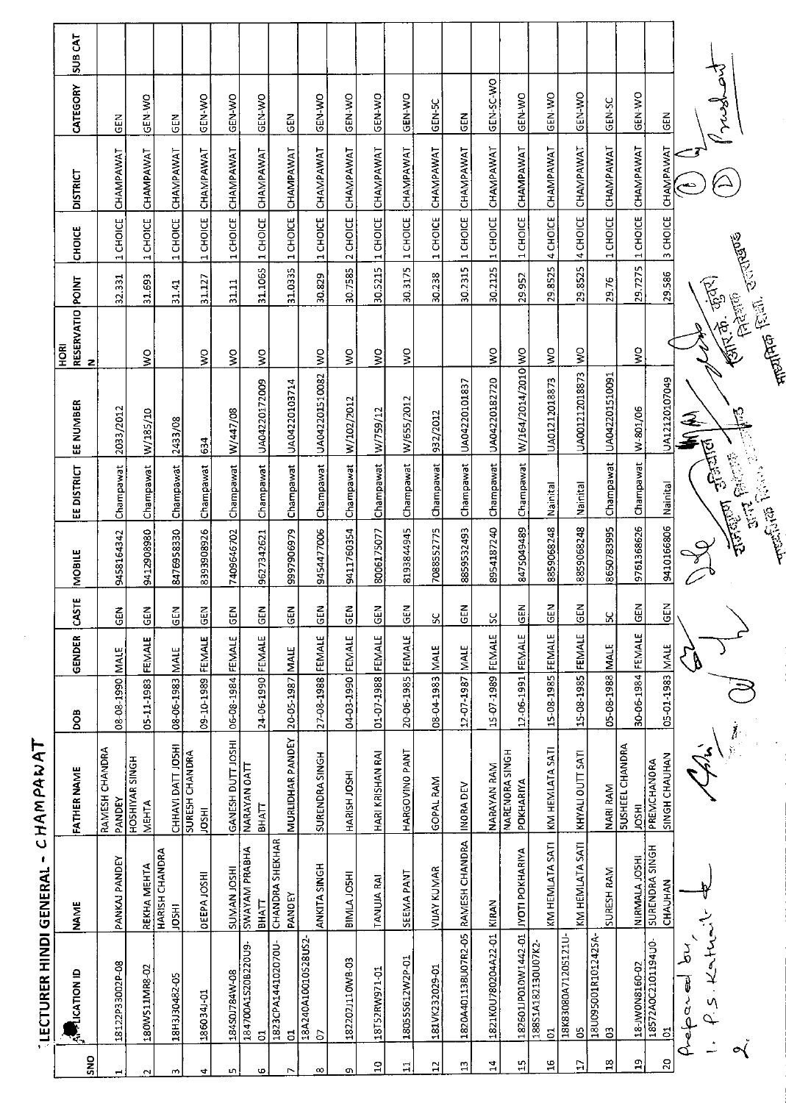LECTURER HINDI GENERAI - CHAMPANAT

 $\bar{\beta}$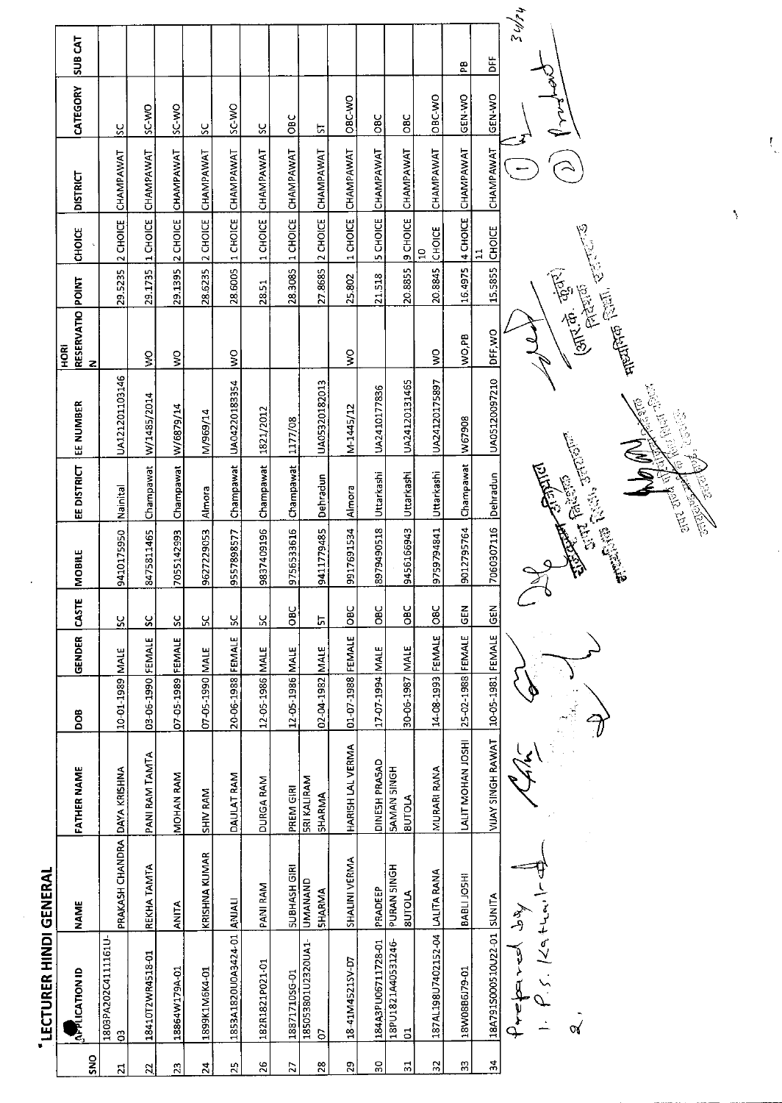|                | LECTURER HINDI GENERAL                   |                              |                                     |                   |               |              |                                                                                                                                                                                                                                                                |                                                                                                                                                                                                                                      |                                            |                                                                           |                |                               |                            |             |                    |
|----------------|------------------------------------------|------------------------------|-------------------------------------|-------------------|---------------|--------------|----------------------------------------------------------------------------------------------------------------------------------------------------------------------------------------------------------------------------------------------------------------|--------------------------------------------------------------------------------------------------------------------------------------------------------------------------------------------------------------------------------------|--------------------------------------------|---------------------------------------------------------------------------|----------------|-------------------------------|----------------------------|-------------|--------------------|
| SNO            | <b>APPLICATION ID</b>                    | <b>NAME</b>                  | <b>FATHER NAME</b>                  | DOB               | <b>GENDER</b> | <b>CASTE</b> | MOBILE                                                                                                                                                                                                                                                         | EE DISTRICT                                                                                                                                                                                                                          | EE NUMBER                                  | RESERVATIO POINT<br>HORI<br>z                                             |                | <b>CHOICE</b>                 | <b>DISTRICT</b>            | CATEGORY    | SUB <sub>CAT</sub> |
| $\overline{z}$ | 1803PA202C4111161U-<br>G <sub>3</sub>    | PRAKASH CHANDRA DAYA KRISHNA |                                     | 10-01-1989 MALE   |               | š,           | 9410175950                                                                                                                                                                                                                                                     | Nainital                                                                                                                                                                                                                             | UA121201103146                             |                                                                           | 29.5235        | 2 CHOICE                      | CHAMPAWAT                  | š           |                    |
| $\mathbb{Z}$   | 18410T2WR4518-01                         | REKHA TAMTA                  | PANI RAM TAMTA                      | 03-06-1990 FEMALE |               | SC           | 8475811465                                                                                                                                                                                                                                                     | Champawat                                                                                                                                                                                                                            | W/1485/2014                                | Ş                                                                         | 29.1735        | 1 CHOICE                      | CHAMPAWAT                  | SC-WO       |                    |
| $\frac{3}{2}$  | 18864W179A-01                            | <b>ANITA</b>                 | MOHAN RAM                           | 07-05-1989 FEMALE |               | ပ္တ          | 7055142993                                                                                                                                                                                                                                                     | Champawat                                                                                                                                                                                                                            | W/6879/14                                  | $\mathsf S$                                                               | 29.1395        | 2 CHOICE                      | CHAMPAWAT                  | OW-3S       |                    |
| 24             | 1899K1M6K4-01                            | KRISHNA KUMAR                | SHIV RAM                            | 07-05-1990 MALE   |               | χ            | 9627229053                                                                                                                                                                                                                                                     | Almora                                                                                                                                                                                                                               | M/969/14                                   |                                                                           | 28.6235        | 2 CHOICE                      | CHAMPAWAT                  | š           |                    |
| $\mathbb{Z}^2$ | 1853A1820U0A3424-01 ANJALI               |                              | <b>DAULAT RAM</b>                   | 20-06-1988 FEMALE |               | ပ္တ          | 9557898577                                                                                                                                                                                                                                                     | Champawat                                                                                                                                                                                                                            | UA04220183354                              | $\frac{1}{2}$                                                             | 28.6005        | 1 CHOICE                      | CHAMPAWAT                  | SC-WO       |                    |
| 26             | 182R1821P021-01                          | PANI RAM                     | DURGA RAM                           | 12-05-1986 MALE   |               | ပ္တ          | 9837409196                                                                                                                                                                                                                                                     | Champawat 1821/2012                                                                                                                                                                                                                  |                                            |                                                                           | 28.51          | 1 CHOICE                      | CHAMPAWAT                  | ပ္တ         |                    |
| 27             | 18871710SG-01                            | SUBHASH GIRI                 | PREM GIRI                           | 12-05-1986 MALE   |               | $rac{C}{C}$  | 9756533616                                                                                                                                                                                                                                                     | Champawat                                                                                                                                                                                                                            | 1177/08                                    |                                                                           |                | $28.3085$ $\vert$ 1 CHOICE    | CHAMPAWAT                  | $rac{1}{2}$ |                    |
| 28             | 185053801U2320UA1-<br><b>b</b>           | UMANAND<br><b>SHARMA</b>     | <b>SRI KALIRAM</b><br><b>SHARMA</b> | 02-04-1982 MALE   |               | 57           | 9411779485                                                                                                                                                                                                                                                     | Dehradun                                                                                                                                                                                                                             | UA05320182013                              |                                                                           |                |                               | 27.8685 2 CHOICE CHAMPAWAT | <u>ন</u>    |                    |
| $\mathbf{r}$   | 18-41M4521SV-D7                          | SHALINI VERMA                | HARISH LAL VERMA                    | 01-07-1988 FEMALE |               | $rac{C}{C}$  | 9917691534                                                                                                                                                                                                                                                     | Almora                                                                                                                                                                                                                               | M-1445/12                                  | $\frac{8}{5}$                                                             | 25.802         | 1 CHOICE                      | CHAMPAWAT                  | OBC-WO      |                    |
| $\rm ^{20}$    | 184A3PU06711728-01                       | PRADEEP                      | DINESH PRASAD                       | 17-07-1994 MALE   |               | <b>DBC</b>   | 8979490518                                                                                                                                                                                                                                                     | Uttarkashi                                                                                                                                                                                                                           | UA2410177836                               |                                                                           | 21.518         |                               | 5 CHOICE CHAMPAWAT         | <b>DBC</b>  |                    |
| 51             | 18PU1821A40531246-<br>$\overline{5}$     | PURAN SINGH<br><b>SUTOLA</b> | <b>HONIS NAMAS</b><br><b>BUTOLA</b> | 30-06-1987 MALE   |               | OBC          | 9456166943                                                                                                                                                                                                                                                     | Uttarkashi                                                                                                                                                                                                                           | UA24120131465                              |                                                                           |                |                               | 20.8855 S CHOICE CHAMPAWAT | <b>DBC</b>  |                    |
| $\mathbb{R}$   | 187AL198U7402152-04   LALITA RANA        |                              | MURARI RANA                         | 14-08-1993 FEMALE |               | loвc         | 9759794841                                                                                                                                                                                                                                                     | Uttarkashi                                                                                                                                                                                                                           | UA24120175897                              | $\frac{1}{2}$                                                             | 20.8845 CHOICE | $\mathbf{a}$                  | CHAMPAWAT                  | OBC-WO      |                    |
| æ              | 18W08B6J79-01                            | BABLI JOSHI                  | LALIT MOHAN JOSHI                   | 25-02-1988 FEMALE |               | $rac{2}{5}$  | 9012795764                                                                                                                                                                                                                                                     | Champawat W67908                                                                                                                                                                                                                     |                                            | Rd'o'M                                                                    |                |                               | 16.4975 4 CHOICE CHAMPAWAT | GEN-WO      | æ                  |
| $\frac{4}{5}$  | 18A791S000510U22-01 SUNITA               |                              | <b>VIJAY SINGH RAWAT</b>            | 10-05-1981 FEMALE |               | <b>GEN</b>   | 7060307116                                                                                                                                                                                                                                                     | Dehradun                                                                                                                                                                                                                             | UA05120097210                              | DFF, WO                                                                   | 15.5855        | <b>CHOICE</b><br>$\mathbf{H}$ | CHAMPAWAT                  | GEN-WO      | 的<br>一             |
|                | 5.149444<br>Preparel dy<br>$\mathcal{A}$ |                              |                                     |                   |               |              | <b>Contract Contract Contract Contract Contract Contract Contract Contract Contract Contract Contract Contract Contract Contract Contract Contract Contract Contract Contract Contract Contract Contract Contract Contract Contr</b><br><b>REACTES</b> CONTROL | <b>Contract on the Contract of Contract on the Contract of Contract of Contract on the Contract of Contract on the Contract of Contract of Contract on the Contract of Contract on the Contract of Contract on the Contract of C</b> | <b>August</b> Spanish<br><b>Contractor</b> | <b>CENT</b><br><b>FRAGE (SUN)</b><br>(علاقة بها بقياري)<br>(علاقة بقياري) |                |                               |                            |             | 54/24              |
|                |                                          |                              |                                     |                   |               |              |                                                                                                                                                                                                                                                                |                                                                                                                                                                                                                                      |                                            |                                                                           |                |                               |                            |             |                    |

 $\overline{\phantom{a}}$ 

 $\hat{\mathcal{I}}$ 

 $\int_{-\infty}^{\infty}$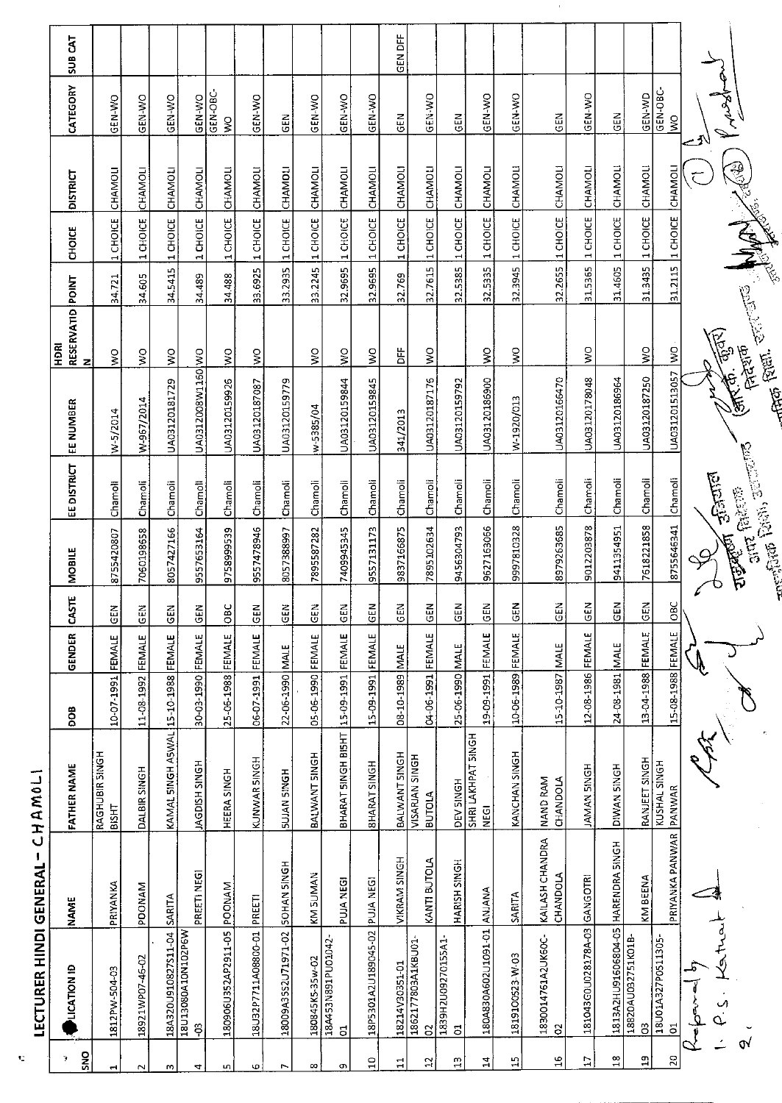|                | <b>LECTURER HINDI GENERAL</b>           | л.                                 | CHAMOLI                                |                   |             |              |                                                                                                                                                                                                                                                         |            |                   |                               |            |                   |                 |                           |         |
|----------------|-----------------------------------------|------------------------------------|----------------------------------------|-------------------|-------------|--------------|---------------------------------------------------------------------------------------------------------------------------------------------------------------------------------------------------------------------------------------------------------|------------|-------------------|-------------------------------|------------|-------------------|-----------------|---------------------------|---------|
| SNO<br>Y       | <b>LICATION ID</b>                      | <b>NAME</b>                        | FATHER NAME                            | BOG               | GENDER      | <b>CASTE</b> | <b>MOBILE</b>                                                                                                                                                                                                                                           | EEDISTRICT | EE NUMBER         | RESERVATID POINT<br>HDRI<br>z |            | CHOICE            | <b>DISTRICT</b> | CATEGORY                  | SUB CAT |
| H              | 1812PW-504-03                           | PRIYANKA                           | RAGHUBIR SINGH<br>BISHT                | 10-07-1991 FEMALE |             | <b>GEN</b>   | 8755420807                                                                                                                                                                                                                                              | Chamoli    | W-5/2014          | $\frac{1}{2}$                 | 34.721     | 1 CHOICE          | CHAMOLI         | GEN-WO                    |         |
| $\sim$         | 18921WP07-46-02                         | <b>PDONAM</b>                      | DALBIR SINGH                           | 11-08-1992 FEMALE |             | $rac{2}{5}$  | 7060198658                                                                                                                                                                                                                                              | Chamoli    | W-967/2014        | $\frac{1}{2}$                 | 34.505     | 1 CHOICE          | CHAMOLI         | GEN-WO                    |         |
| w              | 18A320U910827S11-04                     | SARITA                             | KAMAL SINGH ASWAL 15-10-1988 FEMALE    |                   |             | <b>GEN</b>   | 8057427166                                                                                                                                                                                                                                              | Chamoli    | UA03120181729     | Ş                             | 34.5415    | 1 CHOICE          | CHAMOLI         | GEN-WO                    |         |
| 4              | 18U13080A10N102P6W<br>පි                | PREETI NEGI                        | <b>HOUSH SINGH</b>                     | 30-03-1990 FEMALE |             | $rac{1}{2}$  | 9557653164                                                                                                                                                                                                                                              | Chamoli    | UA0312008W1160 WO |                               | 34.489     | 1 CHOICE          | CHAMOLI         | GEN-WO                    |         |
| LQ.            | 180906U352AP2911-05                     | POONAM                             | HEERA SINGH                            | 25-06-1988        | FEMALE      | $rac{6}{5}$  | 9758999539                                                                                                                                                                                                                                              | Chamoli    | UA03120159926     | $\frac{1}{2}$                 | 34.488     | 1 CHOICE          | CHAMOLI         | GEN-OBC-<br>$\frac{1}{2}$ |         |
| ю              | 18U32P7711A08800-01                     | PREETI                             | KUNWAR SINGH                           | 06-07-1991        | FEMALE      | $rac{5}{5}$  | 9557478946                                                                                                                                                                                                                                              | Chamoli    | UA03120187087     | Š                             | 33.6925    | 1 CHOICE          | CHAMOLI         | <b>GEN-WO</b>             |         |
| $\overline{ }$ | 18009A35S2U71971-02                     | SOHAN SINGH                        | <b>HDNIS NALUS</b>                     | 22-06-1990 MALE   |             | 준<br>영       | 8057388997                                                                                                                                                                                                                                              | Chamoli    | UA03120159779     |                               | 33.2935    | 1 CHOICE          | CHAMOLI         | <b>GEN</b>                |         |
| $\infty$       | 180845K5-35w-02                         | KM SUMAN                           | BALWANT SINGH                          | 05-06-1990 FEMALE |             | $\tilde{E}$  | 7895587282                                                                                                                                                                                                                                              | Chamoli    | w-5385/04         | $\frac{0}{5}$                 | 33.2245    | 1 CHOICE          | CHAMOLI         | GEN-WO                    |         |
| Œ,             | 18A453N891PU01042-<br>$\overline{5}$    | <b>PUJA NEGI</b>                   | BHARAT SINGH BISHT                     | 15-09-1991 FEMALE |             | $rac{1}{2}$  | 7409945345                                                                                                                                                                                                                                              | Chamoli    | UA03120159844     | Ş                             |            | 32.9695  1 CHOICE | CHAMOLI         | GEN-WO                    |         |
| $\frac{0}{1}$  | 18P5301A2U189045-02 PUJA NEG!           |                                    | <b>BHARAT SINGH</b>                    | 15-09-1991 FEMALE |             | <b>GEN</b>   | 9557131173                                                                                                                                                                                                                                              | Chamoli    | UA03120159845     | $\sum_{i=1}^{n}$              | 32.9695    | 1 CHOICE          | CHAMOLI         | GEN-WO                    |         |
| $\Xi$          | 18214V30351-01                          | VIKRAM SINGH                       | BALWANT SINGH                          | 18-10-1989        | <b>MALE</b> | $rac{1}{5}$  | 9837166875                                                                                                                                                                                                                                              | Chamoli    | 341/2013          | ti<br>D                       | 32.769     | 1 CHOICE          | CHAMOLI         | 군<br>55                   | GEN DFF |
| $\mathbb{C}$   | 1862177803A1KBU01<br>$\delta$           | KANTI BUTOLA                       | <b>VISARIAN SINGH</b><br><b>BUTOLA</b> | 04-06-1991        | FEMALE      | GEN          | 7895102634                                                                                                                                                                                                                                              | Chamoli    | UA03120187176     | $\sum\limits_{i=1}^{n}$       | 32.7615    | 1 CHOICE          | CHAMOLI         | GEN-WO                    |         |
| H              | 1839H2U09270155A1<br>$\overline{5}$     | HARISH SINGH                       | DEV SINGH                              | 25-06-1990 MALE   |             | $rac{2}{9}$  | 9456304793                                                                                                                                                                                                                                              | Chamoli    | UA03120159792     |                               | 32.5385    | 1 CHOICE          | CHAMOLI         | GEN                       |         |
| $\mathbf{14}$  | 180A830A602U1091-01 ANJANA              |                                    | SHRI LAKHPAT SINGH<br>NEGI             | 19-09-1991 FEMALE |             | GEN          | 9627163066                                                                                                                                                                                                                                              | Chamoli    | UA03120186900     | Š                             | 32.5335    | 1 CHOICE          | CHAMOLI         | GEN-WO                    |         |
| Ч              | 1819100523-W-03                         | SARITA                             | KANCHAN SINGH                          | 10-06-1989 FEMALE |             | <b>SEN</b>   | 9997810328                                                                                                                                                                                                                                              | Chamoli    | W-1920/013        | $\frac{1}{2}$                 |            | 32.3945 1 CHOICE  | CHAMOLI         | <b>CEN-WO</b>             |         |
| $\frac{6}{1}$  | 1830014761A2UK60C-<br>S                 | KAILASH CHANDRA<br><b>CHANDOLA</b> | NAND RAM<br>CHANDOLA                   | 15-10-1987        | MALE        | <b>GEN</b>   | 8979263685                                                                                                                                                                                                                                              | Chamoli    | UA03120166470     |                               | 32.2655    | 1 CHOICE          | CHAMOLI         | 준<br>이                    |         |
| $\overline{E}$ | 181043G0U028178A-03 GANGOTRI            |                                    | <b>HOMAN SINGH</b>                     | 12-08-1986 FEMALE |             | <b>SEN</b>   | 9012203878                                                                                                                                                                                                                                              | Chamoli    | UA03120178048     | ş                             | 31.5365    | 1 CHOICE          | CHAMOLI         | GEN-WO                    |         |
| $\frac{8}{18}$ | 1813A2HU91606804-05 HARENDRA SINGH      |                                    | DIVAN SINGH                            | 24-08-1981 MALE   |             | <b>GEN</b>   | 9411354951                                                                                                                                                                                                                                              | Chamoli    | UA03120186964     |                               |            | 31.4605 1 CHOICE  | CHAMOLI         | <b>GEN</b>                |         |
| å              | 18820AU032751K01B-<br>පි                | KM BEENA                           | RANJEET SINGH                          | 13-04-1988 FEMALE |             | <b>SEN</b>   | 7618221858                                                                                                                                                                                                                                              | Chamoli    | UA03120187250     | $\frac{1}{2}$                 | 31.3435    | 1 CHOICE          | CHAMOLI         | GEN-WD                    |         |
| 20             | 18U01A327P0511305<br>$\overline{\circ}$ | PRIYANKA PANWAR PANWAR             | KUSHAL SINGH                           | 15-08-1988 FEMALE |             | <b>OBC</b>   | 8755646341                                                                                                                                                                                                                                              | Chamoli    | UA031201513057    | $\frac{1}{2}$                 | 31.2115    | 1 CHOICE CHAMOL   |                 | GEN-OBC-<br>Ş             |         |
|                | م<br>مراجع                              |                                    |                                        |                   |             |              |                                                                                                                                                                                                                                                         |            |                   |                               |            |                   |                 |                           |         |
|                | $\mathcal{L}$                           |                                    |                                        |                   |             |              | <b>TUBERTIT</b>                                                                                                                                                                                                                                         | $-5500$    | (अर्क्त के जुनर)  |                               |            |                   |                 |                           |         |
|                | $\mathbf{v}$                            |                                    |                                        |                   |             |              | The Party Company of Campbell<br>The Company of Campbell<br>The Company of Campbell Campbell<br>The Campbell Campbell Campbell Campbell Campbell Campbell<br>The Campbell Campbell Campbell Campbell Campbell Campbell Campbell Campbell C<br>ant faker |            |                   | लेहरूक                        | <b>ANA</b> |                   | 2019            |                           |         |
|                |                                         |                                    |                                        |                   |             |              |                                                                                                                                                                                                                                                         |            | <b>And Pen.</b>   |                               |            |                   |                 |                           |         |

 $\tilde{\mathbf{C}}$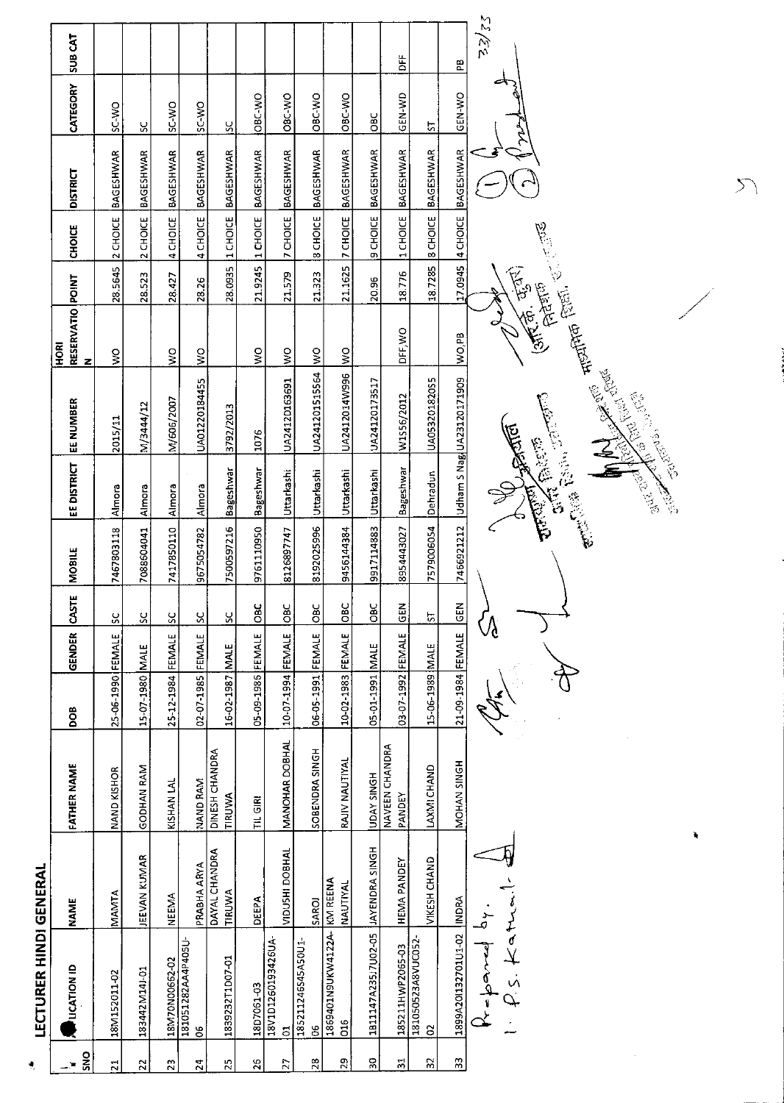|                         | LECTURER HINDI GENERAL               |                                |                          |                   |               |                          |               |                     |                                                                                                                                                                                                                                                     |                                      |                |                    |                            |                |                |
|-------------------------|--------------------------------------|--------------------------------|--------------------------|-------------------|---------------|--------------------------|---------------|---------------------|-----------------------------------------------------------------------------------------------------------------------------------------------------------------------------------------------------------------------------------------------------|--------------------------------------|----------------|--------------------|----------------------------|----------------|----------------|
| <u>ទី</u><br>∽™         | <b>LICATION ID</b>                   | <b>NAME</b>                    | FATHER NAME              | <b>BOO</b>        | <b>GENDER</b> | <b>CASTE</b>             | <b>MOBILE</b> | <b>EE DISTRICT</b>  | EE NUMBER                                                                                                                                                                                                                                           | RESERVATIO POINT<br><b>ROKI</b><br>z |                | <b>CHOICE</b>      | <b>DISTRICT</b>            | CATEGORY       | <b>SUB CAT</b> |
| $\overline{21}$         | 18M152011-02                         | MAMTA                          | NAND KISHOR              | 25-06-1990 FEMALE |               | S                        | 7467803118    | Almora              | 2015/11                                                                                                                                                                                                                                             | ş                                    | <b>28 5645</b> | 2 CHOICE           | <b>BAGESHWAR</b>           | SC-WO          |                |
| $\overline{2}$          | 183442M14J-01                        | JEEVAN KUMAR                   | GODHAN RAM               | 15-07-1980 MALE   |               | ႘                        | 7088604041    | Almora              | M/3444/12                                                                                                                                                                                                                                           |                                      | 28.523         | 2 CHOICE           | <b>BAGESHWAR</b>           | <u>ប្ដ</u>     |                |
| $\mathbf{z}$            | 18M70N00662-02                       | <b>NEEMA</b>                   | KISHAN LAL               | 25-12-1984 FEMALE |               | $\overline{\mathcal{S}}$ | 7417850110    | Almora              | M/606/2007                                                                                                                                                                                                                                          | ş                                    | 28.427         | 4 CHOICE           | <b>BAGESHWAR</b>           | SC-VO          |                |
| $\overline{2}$          | 181051282AA4P405U-<br>8              | <b>PRABHA ARYA</b>             | NAND RAM                 | 02-07-1985 FEMALE |               | SC                       | 9675054782    | Almora              | UA01220184455                                                                                                                                                                                                                                       | $\frac{1}{2}$                        | 28.26          | 4 CHOICE           | BAGESHWAR                  | SC-WO          |                |
| 52                      | 1839232T1D07-01                      | DAYAL CHANDRA<br><b>TIRUWA</b> | DINESH CHANDRA<br>TIRUWA | 16-02-1987 MALE   |               | R                        | 7500597216    | <b>Bageshwar</b>    | 3792/2013                                                                                                                                                                                                                                           |                                      |                | 28.0935 1 CHOICE   | <b>BAGESHWAR</b>           | <u>ა</u>       |                |
| 26                      | 18D7061-03                           | DEEPA                          | <b>TIL GIRI</b>          | 05-09-1986 FEMALE |               | OBC                      | 9761110950    | <b>Bageshwar</b>    | 1076                                                                                                                                                                                                                                                | $\frac{1}{2}$                        |                | 21.9245 1 CHOICE   | <b>BAGESHWAR</b>           | OBC-WO         |                |
| Z                       | 18V1D1260193426UA-<br>$\overline{5}$ | VIDUSHI DOBHAL                 | MANOHAR DOBHAL           | 10-07-1994 FEMALE |               | <b>Dac</b>               | 8126897747    | Uttarkashi          | UA2412D163691                                                                                                                                                                                                                                       | $\frac{8}{2}$                        | 21.579         | 7 CHOICE           | <b>BAGESHWAR</b>           | OBC-WO         |                |
| 28                      | 185211246S45A50U1-<br>80             | SAROJ                          | SOBENDRA SINGH           | 06-05-1991 FEMALE |               | OBC                      | 8192025996    | Juttarkashi         | UA241201515564                                                                                                                                                                                                                                      | $\frac{1}{2}$                        | 21.323         | <b>8 CHOICE</b>    | <b>BAGESHWAR</b>           | OBC-WO         |                |
| 29                      | 1869401N9UKW4122A-<br>C16            | KW REENA<br>NAUTIYAL           | RAIV NAUTIYAL            | 10-02-1983 FEMALE |               | OBC                      | 9456144384    | Uttarkashi          | UA2412014W996                                                                                                                                                                                                                                       | $\frac{1}{2}$                        |                | 21.1625 7 CHOICE   | BAGESHWAR                  | OBC-WO         |                |
| ă,                      | 1811147A235J7U02-05                  | JAYENDRA SINGH                 | <b>HDAY SINGH</b>        | 3-01-1991 MALE    |               | OBC                      | 9917114883    | Uttarkashi          | UA24120173517                                                                                                                                                                                                                                       |                                      | 20.96          | 9 CHOICE           | BAGESHWAR                  | <b>DBC</b>     |                |
| $\overline{\mathbf{a}}$ | 185211HWP2065-03                     | HEMA PANDEY                    | NAVEEN CHANDRA<br>PANDEY | 03-07-1992 FEMALE |               | <b>GEN</b>               | 8954443027    | Bageshwar           | W1556/2012                                                                                                                                                                                                                                          | DFF, WO                              | 18.776         | 1 CHOICE           | <b>BAGESHWAR</b>           | GEN-WD         | ١Ë             |
| 55                      | 181050523A8VUC052<br>$\approx$       | VIKESH CHAND                   | LAXMI CHAND              | 15-06-1989 MALE   |               | 5                        | 7579006054    | Dehradun            | UA05320182055                                                                                                                                                                                                                                       |                                      |                | 18.7285   8 CHOICE | <b>BAGESHWAR</b>           | $\overline{S}$ |                |
| 33                      | 1899A201132701U1-02                  | <b>NORA</b>                    | MOHAN SINGH              | 21-09-1984 FEMALE |               | <b>GEN</b>               |               |                     | 7466921212   Udham S Nag  UA23120171909                                                                                                                                                                                                             | NO,PB                                |                |                    | 17.0945 4 CHOICE BAGESHWAR | GEN-WO         | Æ              |
|                         | てんしょう                                | ì,                             |                          |                   |               |                          |               | <b>Change River</b> | entered (and the first of the contraction of the contraction of the contraction of the contraction of the contraction of the contraction of the contraction of the contraction of the contraction of the contraction of the co<br><b>CONTRACTOR</b> |                                      |                |                    |                            | ক              | 52/52          |
|                         |                                      |                                |                          |                   |               |                          |               |                     |                                                                                                                                                                                                                                                     |                                      |                |                    |                            |                |                |

¢,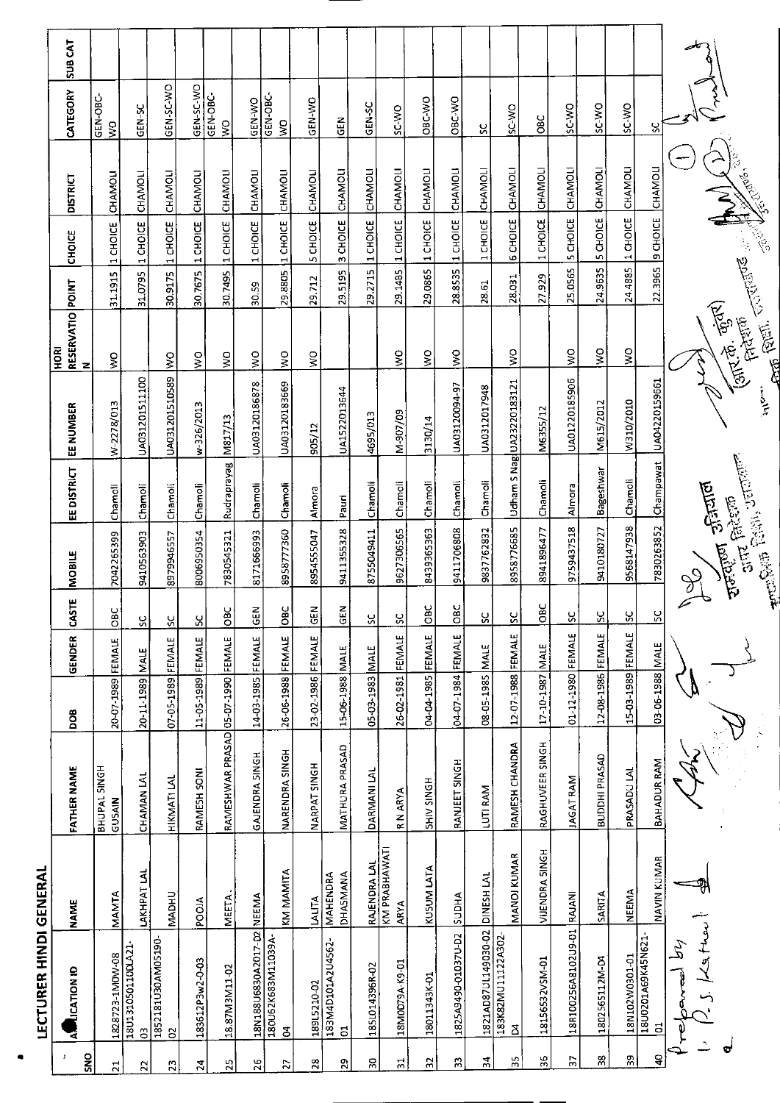|                 | <b>LECTURER HINDI GENERAL</b>     |                              |                                    |                   |             |               |                                                                          |                     |                           |                               |         |                          |                 |                           |         |
|-----------------|-----------------------------------|------------------------------|------------------------------------|-------------------|-------------|---------------|--------------------------------------------------------------------------|---------------------|---------------------------|-------------------------------|---------|--------------------------|-----------------|---------------------------|---------|
| SNO<br>J        | AM LICATION ID                    | <b>NAME</b>                  | <b>FATHER NAME</b>                 | <b>BOO</b>        | GENDER      | <b>CASTE</b>  | <b>MOBILE</b>                                                            | EEDISTRICT          | EE NUMBER                 | RESERVATIO POINT<br>HORI<br>z |         | <b>CHOICE</b>            | <b>DISTRICT</b> | CATEGORY                  | SUB CAT |
| $\overline{21}$ | 1828723-1M0W-08                   | <b>MAMTA</b>                 | BHUPAL SINGH<br>GUSAIN             | 20-07-1989        | FEMALE      | ОBС<br>О      | 7042265399                                                               | Chamoli             | W-2278/013                | ş                             | 31.1915 | 1 CHOICE                 | CHAMOLI         | GEN-OBC-<br>$\frac{1}{2}$ |         |
| 22              | 180131050110DLA21-<br>S           | LAKHPAT LAL                  | <b>CHAMAN LAL</b>                  | 20-11-1989        | <b>MALE</b> | ပ္ပ           | 9410563903                                                               | Chamoli             | UA031201511100            |                               | 31.0795 | 1 CHOICE                 | CHAMOLI         | GEN-SC                    |         |
| 52              | 1852181U30AM05190<br>8            | <b>MADHU</b>                 | <b>HIKMATILAL</b>                  | 07-05-1989 FEMALE |             | <u>ប្ត</u>    | 8979946557                                                               | Chamoli             | UA031201510589            | $\frac{1}{2}$                 | 30.9175 | 1 CHOICE                 | <b>CHAMOLI</b>  | GEN-SC-WO                 |         |
| 24              | 183612P3w2-0-03                   | <b>ALOON</b>                 | RAMESH SONI                        | 11-05-1989 FEMALE |             | Υ             | 8006950354                                                               | Chamoli             | w-326/2013                | š                             | 30.7675 | 1 CHOICE                 | CHAMOLI         | GEN-SC-WO                 |         |
| $\overline{25}$ | 18.87M3M11-02                     | <b>MEETA</b>                 | RAMESHWAR PRASAD 05-07-1990 FEMALE |                   |             | <b>DBC</b>    | 7830545321                                                               | Rudraprayag M817/13 |                           | ş                             |         | 30.7495 1 CHOICE         | CHAMOLI         | GEN-OBC-<br>ş             |         |
| 26              | 18N188U6830A2017-D2               | NEEMA                        | GAJENDRA SINGH                     | 14-03-1985 FEMALE |             | GEN           | 8171566993                                                               | Chamoli             | UA03120186878             | $\frac{1}{2}$                 | 30.59   | 1 CHOICE                 | CHAMOL          | GEN-WO                    |         |
| 52              | -Y660TIVNE89X130261<br>క          | KM MAMITA                    | NARENDRA SINGH                     | 26-06-1988 FEMALE |             | OBC           | 8958777360                                                               | Chamoli             | UA03120183669             | ş                             | 29.8805 | 11 СНОІСЕ                | CHAMOLI         | Š                         |         |
| $^{28}$         | 189L5210-02                       | LALITA                       | NARPAT SINGH                       | 23-02-1986 FEMALE |             | $rac{2}{9}$   | 8954555047                                                               | Almora              | 905/12                    | $\zeta$                       | 29.712  | 5 CHOICE                 | CHAMOL          | GEN-WO                    |         |
| 29              | 183M4D101A2U4562-<br>$\mathbf{S}$ | MAHENDRA<br><b>DHASMANA</b>  | <b>MATHURA PRASAD</b>              | 15-06-1988 MALE   |             | GEN           | 9411355328                                                               | Pauri               | UA1522013644              |                               | 29.5195 | 3 CHOICE                 | CHAMOLI         | GEN                       |         |
| 9g              | 185L014396R-02                    | RAJENDRA LAL                 | DARMANI LAL                        | 05-03-1983        | MALE        | ಀ             | 8755049411                                                               | Chamoli             | 4695/013                  |                               | 29.2715 | 1 CHOICE                 | CHAMOL          | GEN-SC                    |         |
| $\overline{5}$  | 18M0D79A K9-01                    | KM PRABHAWATI<br><b>ARYA</b> | R N ARYA                           | 26-02-1981        | FEMALE      | ပ္တ           | 9627306565                                                               | Chamoli             | M-907/09                  | ş                             | 29.1485 | 1 CHOICE                 | CHAMOLI         | SC-WO                     |         |
| 55              | 18011343K-01                      | KUSUM LATA                   | HDNIS NHS                          | 04-04-1985 FEMALE |             | $rac{6}{5}$   | 8439365363                                                               | Chamoli             | 3130/14                   | ş                             |         | 29.0865 1 CHOICE         | CHAMOLI         | OBC-WO                    |         |
| Β               | 1825A9490-01037U-D2               | <b>AHONS</b>                 | RANJEET SINGH                      | 04-07-1984 FEMALE |             | $\frac{6}{5}$ | 9411706808                                                               | Chamoli             | UA03120094-97             | $\mathsf{S}$                  |         | 28.8535 1 CHOICE         | CHAMOLI         | OBC-WO                    |         |
| 24              | 1821AD87UL149030-02               | DINESH LAL                   | LUTI RAM                           | 08-05-1985 MALE   |             | X             | 9837762832                                                               | Chamoli             | UA0312017948              |                               | 28.61   | 1 CHOICE                 | <b>CHAMOLI</b>  | ပ္တ                       |         |
| ЗŚ              | 183K82MU11122A302<br>8            | MANOJ KUMAR                  | RAMESH CHANDRA                     | 12-07-1988 FEMALE |             | <u>ୁମ</u>     | 8958776685                                                               |                     | Udham S Nag UA23220183121 | $\frac{1}{2}$                 | 28.031  | <b>6 CHOICE</b>          | CHAMOLI         | SC-WO                     |         |
| 36              | 18156532VSM-01                    | <b>VIJENDRA SINGH</b>        | RAGHUVEER SINGH                    | 17-10-1987 MALE   |             | <b>OBC</b>    | 8941896477                                                               | Chamoli             | M6355/12                  |                               | 27.929  | 1 CHOICE                 | CHAMOLI         | <b>OBC</b>                |         |
| P.              | 18R100256A8102U9-01               | RAJANI                       | <b>JAGAT RAM</b>                   | $01 - 12 - 1980$  | FEMALE      | ပ္တ           | 9759437518                                                               | Almora              | UA01220185906             | ş                             | 25.0565 | <b>5 CHOICE</b>          | <b>CHAMOLI</b>  | SC-WO                     |         |
| 38              | 1802565112M-D4                    | SARITA                       | BUDDHI PRASAD                      | 12-08-1986 FEMALE |             | <u>sc</u>     | 9410180727                                                               | Bageshwar           | M615/2012                 | ş                             | 24.9635 | 5 CHOICE                 | CHAMOLI         | SC-WO                     |         |
| 39              | 18N102W0301-01                    | NEEMA                        | PRASADU LAL                        | 15-03-1989 FEMALE |             | ပ္တ           | 9568147938                                                               | Chamoli             | W310/2010                 | $\frac{1}{2}$                 | 24 4885 | 1 CHOICE                 | CHAMOLI         | SC-WO                     |         |
| ទ               | 18U0201A69K45N621<br>5            | <b>NAVIN KUMAR</b>           | BAHADUR RAM                        | 03-06-1988 MALE   |             | $\frac{5}{5}$ | 7830263852                                                               | Champawat           | LJA04220159661            |                               |         | 22.3965 9 CHOICE CHAMOLI |                 | ပ္ပ                       |         |
|                 | La Heu<br>$\mathcal{Z}$           |                              |                                    |                   |             | S             |                                                                          |                     |                           |                               |         |                          |                 |                           |         |
| G               |                                   |                              |                                    |                   |             |               | <b>Anticolar Park)</b> , Jereman<br><b>Turity</b> Jesund<br>aire failsan |                     | $\sum_{x}$                | (आर.के. कुंतर)<br>अपर.के.     |         | <b>ANTISTICS</b>         | $\rightarrow$   |                           |         |
|                 |                                   |                              |                                    |                   |             |               |                                                                          |                     |                           |                               |         |                          |                 |                           |         |

 $\bullet$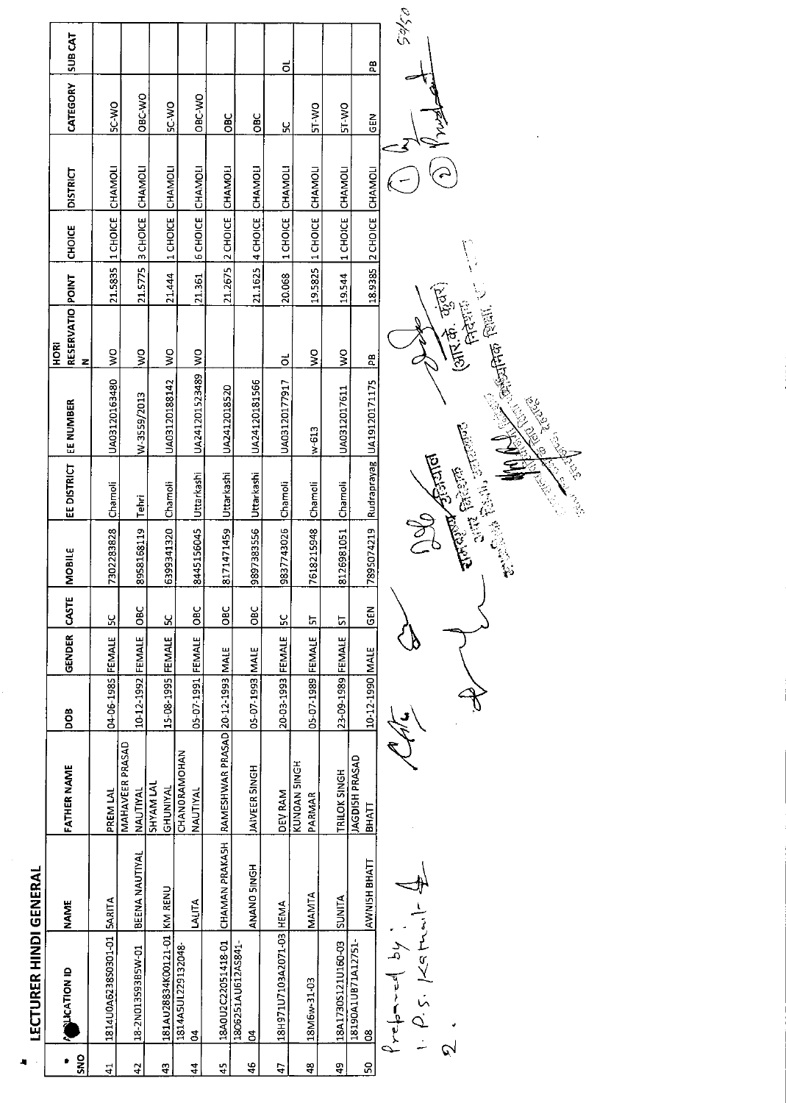|                | <b>LECTURER HINDI GENERAL</b>                                                                                                                                                                                                                                                                                                                                                                                                                              |                       |                                  |                   |               |              |                    |                    |                                                                                                                                                                                                                                |                               |         |                          |                 |              |               |
|----------------|------------------------------------------------------------------------------------------------------------------------------------------------------------------------------------------------------------------------------------------------------------------------------------------------------------------------------------------------------------------------------------------------------------------------------------------------------------|-----------------------|----------------------------------|-------------------|---------------|--------------|--------------------|--------------------|--------------------------------------------------------------------------------------------------------------------------------------------------------------------------------------------------------------------------------|-------------------------------|---------|--------------------------|-----------------|--------------|---------------|
| SNO<br>۰       | <b>CATION ID</b>                                                                                                                                                                                                                                                                                                                                                                                                                                           | <b>NAME</b>           | <b>FATHER NAME</b>               | DOB               | <b>GENDER</b> | <b>CASTE</b> | <b>MOBILE</b>      | <b>EE DISTRICT</b> | EE NUMBER                                                                                                                                                                                                                      | RESERVATIO POINT<br>HORI<br>z |         | CHOICE                   | <b>DISTRICT</b> | CATEGORY     | <b>SUBCAT</b> |
| $\frac{1}{4}$  | 1814U0A6238S0301-01                                                                                                                                                                                                                                                                                                                                                                                                                                        | SARITA                | PREM LAL                         | 04-06-1985 FEMALE |               | <u>یې</u>    | 7302283828         | Chamoli            | UA03120163480                                                                                                                                                                                                                  | $\frac{1}{2}$                 | 21.5835 | 1 CHOICE                 | CHAMOLI         | SC-WO        |               |
| 42             | 18-2N01359385W-01                                                                                                                                                                                                                                                                                                                                                                                                                                          | <b>BEENA NAUTIYAL</b> | MAHAVEER PRASAD<br>NAUTIYAL      | 10-12-1992 FEMALE |               | OBC          | 8958168119         | Tehri              | W-3559/2013                                                                                                                                                                                                                    | $\frac{1}{2}$                 | 21.5775 | 3 CHOICE                 | CHAMOLI         | OBC-WO       |               |
| $\ddot{a}$     | 181AU28834K00121-01 KM RENU                                                                                                                                                                                                                                                                                                                                                                                                                                |                       | <b>SHYAM LAL</b><br>GHUNIYAL     | 15-08-1995 FEMALE |               | 8            | 6399341320         | Chamoli            | UA03120188142                                                                                                                                                                                                                  | $\frac{1}{2}$                 | 21.444  | 1 CHOICE                 | CHAMOLI         | <b>OW-JS</b> |               |
| $\frac{4}{4}$  | 1814ASUL229132048<br>$\mathbf{S}$                                                                                                                                                                                                                                                                                                                                                                                                                          | LALITA                | CHANORAMOHAN<br>NAUTIYAL         | 05-07-1991 FEMALE |               | OBC          | 8445156045         | Uttarkashi         | UA241201523489 WO                                                                                                                                                                                                              |                               | 21.361  | <b>6 CHOICE</b>          | CHAMOLI         | OBC-WO       |               |
| $\frac{45}{4}$ | 18A0U2C22051418-01                                                                                                                                                                                                                                                                                                                                                                                                                                         | CHAMAN PRAKASH        | RAMESHWAR PRASAD 20-12-1993 MALE |                   |               | <b>OBC</b>   | 8171471459         | Uttarkashi         | UA2412018520                                                                                                                                                                                                                   |                               |         | 21.2675 2 CHOICE         | CHAMOLI         | <b>DBC</b>   |               |
| 46             | 1806251AU612AS841-<br>$\mathbf{z}$                                                                                                                                                                                                                                                                                                                                                                                                                         | ANANO SINGH           | <b>JAIVEER SINGH</b>             | 05-07-1993 MALE   |               | ОBC          | 9897383556         | Uttarkashi         | UA24120181566                                                                                                                                                                                                                  |                               |         | 21.1625 4 CHOICE         | CHAMOU          | OBC          |               |
| 47             | 18H971U7103A2071-03 HEMA                                                                                                                                                                                                                                                                                                                                                                                                                                   |                       | <b>DEV RAM</b>                   | 20-03-1993 FEMALE |               | ပ္တ          | 9837743026         | Chamoli            | UA03120177917                                                                                                                                                                                                                  | ಕ                             | 20.068  | 1 CHOICE                 | CHAMOLI         | ပ္ပ          | ಕ             |
| â,             | 18M6w-31-03                                                                                                                                                                                                                                                                                                                                                                                                                                                | MANTA                 | KUNOAN SINGH<br>PARMAR           | 05-07-1989 FEMALE |               | Ы            | 7618215948         | Chamoli            | $w-613$                                                                                                                                                                                                                        | $\frac{1}{2}$                 | 19.5825 | 1 CHOICE                 | CHAMOLI         | ST-WO        |               |
| đ              | 18A1730S121U160-03                                                                                                                                                                                                                                                                                                                                                                                                                                         | SUNITA                | TRILOK SINGH                     | 23-09-1989 FEMALE |               | 5            | 8126981051         | Chamoli            | UA0312017611                                                                                                                                                                                                                   | $\frac{1}{2}$                 | 19.544  | 1 CHOICE                 | CHAMOLI         | <b>ST-WO</b> |               |
| S              | 18190A1UB71A12751<br>80                                                                                                                                                                                                                                                                                                                                                                                                                                    | AWNISH BHATT          | JAGDISH PRASAD<br><b>BHATT</b>   | 10-12-1990 MALE   |               | $rac{2}{5}$  |                    |                    | 7895074219 Rudraprayag UA19120171175                                                                                                                                                                                           | $\frac{a}{b}$                 |         | 18.9385 2 CHOICE CHAMOLI |                 | <b>SEN</b>   | æ             |
| $\mathcal{Q}$  | $\begin{array}{c} \n\sqrt{1 + \frac{1}{2} \left( \frac{1}{2} + \frac{1}{2} \right)} & \text{if } \frac{1}{2} \text{ and } \frac{1}{2} \text{ is } \frac{1}{2} \text{ is } \frac{1}{2} \text{ is } \frac{1}{2} \text{ is } \frac{1}{2} \text{ is } \frac{1}{2} \text{ is } \frac{1}{2} \text{ is } \frac{1}{2} \text{ is } \frac{1}{2} \text{ is } \frac{1}{2} \text{ is } \frac{1}{2} \text{ is } \frac{1}{2} \text{ is } \frac{1}{2} \text{ is } \frac{1$ |                       |                                  |                   |               |              | <b>Delle Grand</b> |                    | CARLES CARLO CARLO CARLO CARLO CARLO CARLO CARLO CARLO CARLO CARLO CARLO CARLO CARLO CARLO CARLO CARLO CARLO CARLO CARLO CARLO CARLO CARLO CARLO CARLO CARLO CARLO CARLO CARLO CARLO CARLO CARLO CARLO CARLO CARLO CARLO CARLO | (अग्न कुंग)<br>(अग्न कुंग)    |         |                          |                 |              | 05/05         |

ł,

 $\hat{\mathcal{A}}$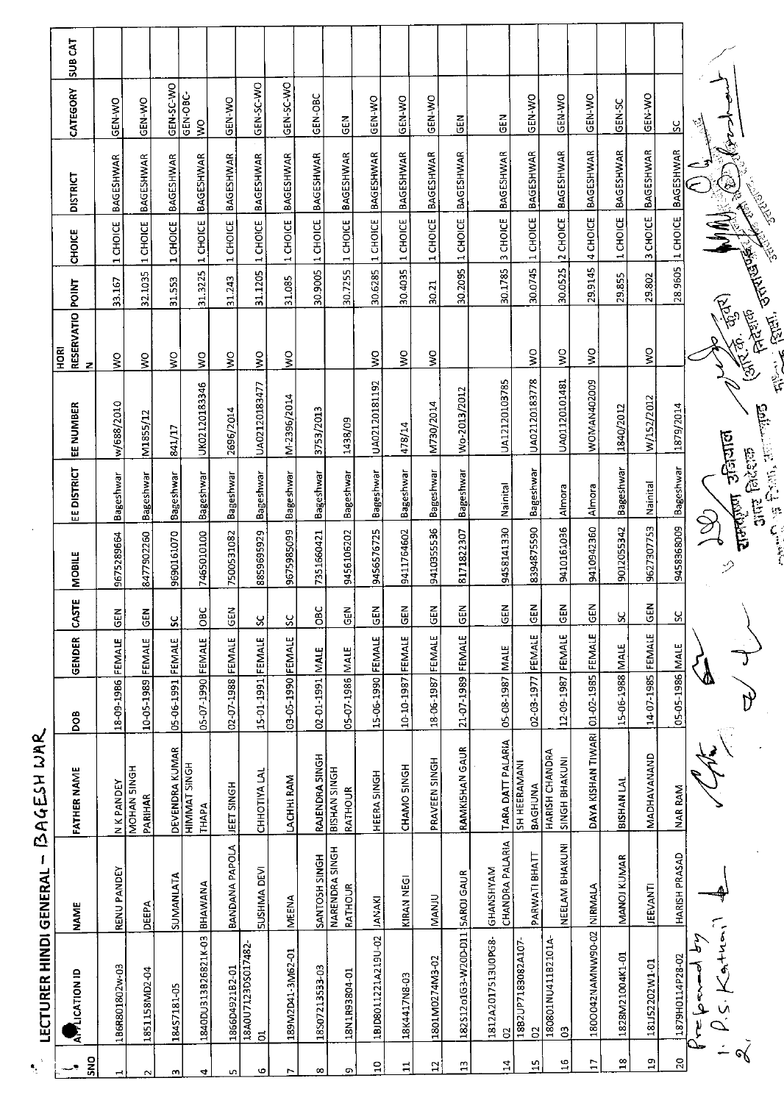| ۹.              | <b>LECTURER HINDI GENERAL</b> | $\mathbf{I}$                        | BAGESH WAR                             |                   |        |             |                      |                                               |                  |                                      |         |                  |                            |               |               |
|-----------------|-------------------------------|-------------------------------------|----------------------------------------|-------------------|--------|-------------|----------------------|-----------------------------------------------|------------------|--------------------------------------|---------|------------------|----------------------------|---------------|---------------|
| <b>SNO</b>      | <b>APPLICATION ID</b>         | <b>NAME</b>                         | FATHER NAME                            | <b>BOO</b>        | GENDER | CASTE       | <b>MOBILE</b>        | EE DISTRICT                                   | <b>EE NUMBER</b> | RESERVATIO POINT<br><b>ROKI</b><br>z |         | <b>CHOICE</b>    | <b>DISTRICT</b>            | CATEGORY      | <b>SUBCAT</b> |
|                 | 1B6R801802w-03                | RENU PANDEY                         | N K PANDEY                             | 18-09-1986        | FEMALE | <b>GEN</b>  | 9675289664           | Bageshwar                                     | w/688/2010       | $\frac{1}{2}$                        | 33.167  | 1 CHOICE         | <b>BAGESHWAR</b>           | GEN-WO        |               |
|                 | 1851158MD2-04                 | DEEPA                               | MOHAN SINGH<br>PARIHAR                 | 10-05-1989 FEMALE |        | $rac{2}{5}$ | 8477902260           | Bageshwar                                     | M1855/12         | ş                                    | 32.1035 | 1 CHOICE         | <b>BAGESHWAR</b>           | <b>CEN-WO</b> |               |
| m               | 18457181-05                   | SUMANLATA                           | DEVENDRA KUMAR                         | 05-06-1991        | FEMALE | ပ္တ         | 9690161070           | <b>Bageshwar</b>                              | 841/17           | Ş                                    | 31.553  | 1 CHOICE         | <b>BAGESHWAR</b>           | GEN-SC-WO     |               |
| 4               | 1840DU313B26821K-03           | BHAWANA                             | <b>HIMMAT SINGH</b><br>THAPA           | 05-07-1990 FEMALE |        | OBC         | 7465010100           | Bageshwar                                     | UK02120183346    | $\frac{1}{2}$                        | 31.3225 | 1 CHOICE         | BAGESHWAR                  | GEN-OBC-<br>Š |               |
| S               | 1866D4921B2-01                | BANDANA PAPOLA                      | <b>TEET SINGH</b>                      | 02-07-1988 FEMALE |        | <b>GEN</b>  | 7500531082           | Bageshwar                                     | 2696/2014        | ş                                    | 31.243  | 1 CHOICE         | <b>BAGESHWAR</b>           | GEN-WO        |               |
| Φ               | 18A0U7123DS017482<br>ಕ        | <b>SUSHMA DEVI</b>                  | CHHOTIYA LAL                           | 15-01-1991        | FEMALE | X           | 8859695929           | Bageshwar                                     | UA02120183477    | $\mathsf{S}^{\mathsf{O}}$            | 31.1205 | 1 CHOICE         | <b>BAGESHWAR</b>           | GEN-SC-WO     |               |
| r               | 189M2D41-3M62-01              | <b>MEENA</b>                        | LACHHI RAM                             | 03-05-1990 FEMALE |        | SC          | 9675985099           | Bageshwar                                     | M-2396/2014      | $\frac{1}{3}$                        | 31.085  | 1 CHOICE         | <b>BAGESHWAR</b>           | GEN-SC-WO     |               |
| $\infty$        | 18507213533-03                | SANTOSH SINGH                       | RAJENDRA SINGH                         | 02-01-1991 MALE   |        | õВ          | 7351660421           | Bageshwar                                     | 3753/2013        |                                      | 30.9005 | 1 CHOICE         | <b>BAGESHWAR</b>           | GEN-OBC       |               |
| G)              | 18N1R93804-01                 | NARENDRA SINGH<br>RATHOUR           | <b>BISHAN SINGH</b><br>RATHOUR         | 05-07-1986 MALE   |        | <b>GEN</b>  | 9456106202           | <b>Bageshwar</b>                              | 1438/09          |                                      | 30.7255 | 1 CHOICE         | <b>BAGESHWAR</b>           | <b>GEN</b>    |               |
| $\Xi$           | 1BJD8011221A219U-02           | <b>JANAKI</b>                       | HEERA SINGH                            | 15-06-1990 FEMALE |        | GEN         | 9456576725           | <b>Bageshwar</b>                              | UA02120181192    | ş                                    |         | 30.6285 1 CHOICE | BAGESHWAR                  | GEN-WO        |               |
| $\mathbf{u}$    | 18K4417N8-03                  | KIRAN NEGI                          | CHAMO SINGH                            | 10-10-1987 FEMALE |        | 듢           | 9411764602           | Bageshwar                                     | 478/14           | ş                                    | 30.4035 | 1 CHOICE         | <b>BAGESHWAR</b>           | GEN-WO        |               |
| $\mathbf{5}$    | 1801M0274M3-02                | <b>MANJU</b>                        | PRAVEEN SINGH                          | 18-06-1987 FEMALE |        | <b>ABO</b>  | 9410355536           | Bageshwar                                     | M730/2014        | Ş                                    | 30.21   | 1 CHOICE         | BAGESHWAR                  | GEN-WO        |               |
| $\mathbf{a}$    | 182512 o1G3-W20D-D11          | <b>SAROJ GAUR</b>                   | <b>RAMKISHAN GAUR</b>                  | 21.07.1989        | FEMALE | 듢           | 8171822307           | <b>Bageshwar</b>                              | Wo-2013/2012     |                                      | 30.2095 | 1 CHOICE         | <b>BAGESHWAR</b>           | $rac{5}{2}$   |               |
| $\overline{a}$  | 1812A2017513U0PG8-<br>9       | <b>CHANDRA PALARIA</b><br>GHANSHYAM | TARA DATT PALARIA                      | 05-08-1987        | MALE   | 品           | 9458141330           | Nainital                                      | UA12120103785    |                                      | 30.1785 | 3 CHOICE         | <b>BAGESHWAR</b>           | <b>GEN</b>    |               |
| ۳               | 1882UP7183082A107<br>S        | PARWATI BHATT                       | <b>SH HEERAMANI</b><br>BAGHUNA         | 02-03-1977        | FEMALE | <b>N3D</b>  | 8394875590           | Bageshwar                                     | UA02120183778    | š                                    | 30.0745 | 1 CHOICE         | <b>BAGESHWAR</b>           | GEN-WO        |               |
| $\frac{6}{1}$   | 180801NU411B2101A<br>G        | NEELAM BHAKUNI                      | <b>HARISH CHANDRA</b><br>SINGH BHAKUNI | 12-09-1987        | FEMALE | <b>GEN</b>  | 9410161036           | Almora                                        | UA01120101481    | $\frac{1}{2}$                        | 30.0525 | 2 CHOICE         | <b>BAGESHWAR</b>           | GEN-WO        |               |
| $\overline{17}$ | 1800042NAMNW90-02             | NIRMALA                             | DAYA KISHAN TIWARI                     | 01-02-1985        | FEMALE | <b>GEN</b>  | 9410942360           | Almora                                        | WOMAN402009      | Š                                    | 29.9145 | 4 CHOICE         | BAGESHWAR                  | <b>CEN-WO</b> |               |
| $\overline{18}$ | 1828M21004K1-01               | MANOJ KUMAR                         | BISHAN LAL                             | 15-06-1988 MALE   |        | ౪           | 9012055342           | Bageshwar                                     | 1840/2012        |                                      | 29.855  | 1 CHOICE         | BAGESHWAR                  | GEN-SC        |               |
| $\overline{a}$  | 181152202W1-01                | <b>JEEVANTI</b>                     | MADHAVANAND                            | 14-07-1985 FEMALE |        | <b>GEN</b>  | 9627307753           | Nainital                                      | W/152/2012       | ş                                    | 29.802  | 3 CHOICE         | BAGESHWAR                  | GEN-WO        |               |
| $\overline{c}$  | 1879H0114P28-02               | HARISH PRASAD                       | NAR RAM                                | 05-05-1986 MALE   |        | S,          | 9458368009 Bageshwar |                                               | 1879/2014        |                                      |         |                  | 28.9605 1 CHOICE BAGESHWAR | <u>ង</u>      |               |
| জ               | $A+u$                         |                                     |                                        |                   |        |             | $\mathcal{D}$        | राजाईला उनियाल                                |                  | Action Service (1)<br>(antigrad)     |         |                  |                            |               |               |
|                 |                               |                                     |                                        |                   |        |             |                      | <b>CAR PART POINT OF</b><br><b>artz</b> faker | $\frac{1}{2}$    |                                      |         |                  |                            |               |               |

 $\frac{1}{2}$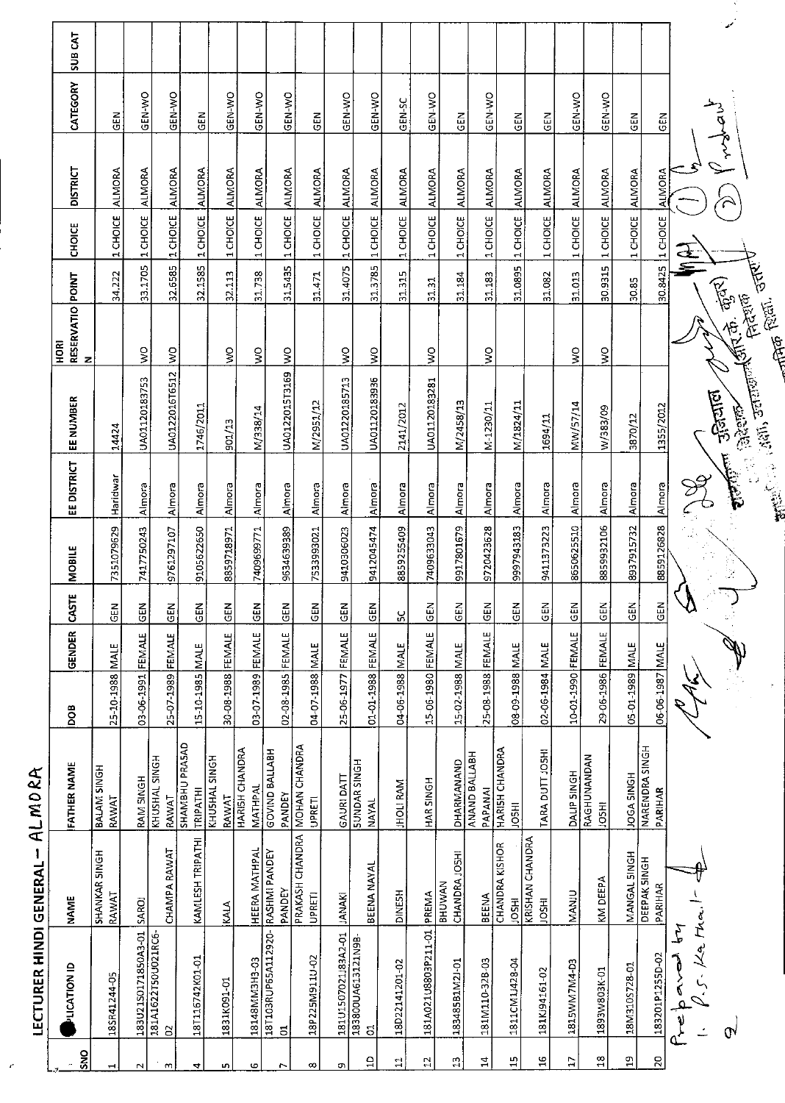|                         | <b>LECTURER HINDI GENERAL</b>        | 1                                     | ALMORA                                |                   |               |              |               |             |                                                                                                                                                                                                                                                     |                                              |         |                  |                 |                         |                |
|-------------------------|--------------------------------------|---------------------------------------|---------------------------------------|-------------------|---------------|--------------|---------------|-------------|-----------------------------------------------------------------------------------------------------------------------------------------------------------------------------------------------------------------------------------------------------|----------------------------------------------|---------|------------------|-----------------|-------------------------|----------------|
| SNO                     | <b>PLICATION ID</b>                  | <b>NAME</b>                           | FATHER NAME                           | <b>BOO</b>        | <b>GENDER</b> | <b>CASTE</b> | <b>MOBILE</b> | EE DISTRICT | EE NUMBER                                                                                                                                                                                                                                           | <b>RESERVATIO POINT<br/>N</b><br><b>RORI</b> |         | CHOICE           | <b>DISTRICT</b> | CATEGORY                | <b>SUB CAT</b> |
|                         | 18SR41244-05                         | <b>SHANKAR SINGH</b><br>RAWAT         | BALAM SINGH<br>RAWAT                  | 25-10-1988        | <b>MALE</b>   | $rac{1}{2}$  | 7351079629    | Haridwar    | 14424                                                                                                                                                                                                                                               |                                              | 34.222  | 1 CHOICE         | ALMORA          | 집<br>5                  |                |
| $\sim$                  | 18302150171850A3-01                  | SAROJ                                 | RAM SINGH                             | 03-06-1991 FEMALE |               | <b>GEN</b>   | 7417750243    | Almora      | UA01120183753                                                                                                                                                                                                                                       | ş                                            | 33.1705 | 1 CHOICE         | <b>ALMORA</b>   | GEN-WO                  |                |
| $\sim$                  | 181A1622T50U021RC6-<br>S             | CHAMPA RAWAT                          | KHUSHAL SINGH<br>RAWAT                | 25-07-1989 FEMALE |               | GEN          | 9761297107    | Almora      | UA0122016T6512                                                                                                                                                                                                                                      | $\frac{1}{2}$                                | 32.6585 | 1 CHOICE         | ALMORA          | GEN-WO                  |                |
| ↽                       | 18T116742K01-01                      | KAMLESH TRIPATHI                      | SHAMBHU PRASAD<br>TRIPATHI            | 15-10-1985 MALE   |               | GEN          | 9105622650    | Almora      | 1746/2011                                                                                                                                                                                                                                           |                                              | 32.1585 | 1 CHOICE ALMORA  |                 | GEM                     |                |
| Lŋ.                     | 1831K091-01                          | KALA                                  | KHUSHAL SINGH<br>RAWAT                | 30-08-1988 FEMALE |               | <b>GEN</b>   | 8859718971    | Almora      | 901/13                                                                                                                                                                                                                                              | ş                                            | 32.113  | 1 CHOICE ALMORA  |                 | GEN-WO                  |                |
| G                       | 18148MM3H3-03                        | HEERA MATHPAL                         | HARISH CHANDRA<br><b>MATHPAL</b>      | 03-07-1989 FEMALE |               | GEN          | 7409699771    | Almora      | M/338/14                                                                                                                                                                                                                                            | $\frac{1}{2}$                                | 31.738  | 1 CHOICE         | <b>ALMORA</b>   | GEN-WO                  |                |
|                         | 18T103RUP65A112920<br>$\overline{5}$ | RASHMI PANDEY<br>PANDEY               | <b>HBATIVB QNINOS</b><br>PANDEY       | $02 - 08 - 1985$  | FEMALE        | GEN          | 9634639389    | Almora      | UA0122015T3169                                                                                                                                                                                                                                      | $\frac{1}{2}$                                | 31.5435 | 1 CHOICE         | <b>ALMORA</b>   | GEN-WO                  |                |
| $\infty$                | 18P225M911U-02                       | PRAKASH CHANDRA<br>UPRETI             | MOHAN CHANDRA<br>UPRETI               | 04-07-1988 MALE   |               | <b>GEN</b>   | 7533993021    | Almora      | M/2951/12                                                                                                                                                                                                                                           |                                              | 31.471  | 1 CHOICE         | <b>ALMORA</b>   | $\overline{\mathsf{G}}$ |                |
| c.                      | 18101507021183A2-01                  | <b>JANAKI</b>                         | GAURI DATI                            | 25-06-1977        | FEMALE        | GEN          | 9410306023    | Almora      | UA01220185713                                                                                                                                                                                                                                       | ş                                            | 31.4075 | 1 CHOICE         | <b>ALMORA</b>   | GEN-WO                  |                |
| $\Xi$                   | 183800UA613121N9B-<br>5              | BEENA NAYAL                           | <b>SUNDAR SINGH</b><br><b>NAYAL</b>   | 01-01-1988        | FEMALE        | GEN          | 9412045474    | Almora      | UA01120183936                                                                                                                                                                                                                                       | $\frac{1}{2}$                                |         | 31.3785 1 CHOICE | <b>ALMORA</b>   | GEN-WO                  |                |
| $\Xi$                   | 18D22141201-02                       | <b>DINESH</b>                         | JHOLI RAM                             | 04-06-1988        | <b>MALE</b>   | ς,           | 8859255409    | klmora      | 2141/2012                                                                                                                                                                                                                                           |                                              | 31.315  | 1 CHOICE         | <b>ALMORA</b>   | GEN-SC                  |                |
| $\mathbf{L}$            | 181A021U8803P211-01 PREMA            |                                       | HAR SINGH                             | 15-06-1980        | FEMALE        | $rac{2}{3}$  | 7409633043    | Almora      | UA01120183281                                                                                                                                                                                                                                       | ş                                            | 31.31   | 1 CHOICE         | <b>ALMORA</b>   | GEN-MO                  |                |
| $\mathbb{C}$            | 183485B1M2J-01                       | CHANDRA JOSHI<br>BHUWAN               | <b>DHARMANAND</b>                     | 15-02-1988        | <b>NIALE</b>  | <b>GEN</b>   | 9917801679    | Almora      | M/2458/13                                                                                                                                                                                                                                           |                                              | 31.184  | 1 CHOICE         | ALMORA          | 즶                       |                |
| 4                       | 181M110-32B-03                       | <b>BEENA</b>                          | <b>HBATTVE QNYNY</b><br>PAPANAI       | 25-08-1988        | FEMALE        | GEN          | 9720423628    | Almora      | M-1230/11                                                                                                                                                                                                                                           | ş                                            | 31.183  | 1 CHOICE         | <b>ALMORA</b>   | GEN-WO                  |                |
| $\Xi$                   | 1811CM1J428-04                       | <b>CHANDRA KISHOR</b><br><b>IRSOL</b> | <b>HARISH CHANDRA</b><br><b>IRSOL</b> | 08-09-1988 MALE   |               | <b>NHO</b>   | 9997943183    | Almora      | M/1824/11                                                                                                                                                                                                                                           |                                              | 31.0895 | 1. CHOICE        | <b>ALMORA</b>   | <b>GEN</b>              |                |
| $\frac{1}{2}$           | 181KJ94161-02                        | KRISHAN CHANDRA<br><b>JOSHI</b>       | TARA DUTT JOSHI                       | 02-06-1984 MALE   |               | <b>GEN</b>   | 9411373223    | Almora      | 1694/11                                                                                                                                                                                                                                             |                                              | 31.082  | 1 CHOICE         | ALMORA          | $rac{2}{5}$             |                |
| $\Gamma$                | 1815WM7M4-D3                         | <b>MANJU</b>                          | DALIP 5INGH                           | 10-01-1990 FEMALE |               | Ξ            | 8650625510    | Almora      | MW/57/14                                                                                                                                                                                                                                            | ş                                            | 31.013  | 1 CHOICE         | ALMORA          | GEN-WO                  |                |
| $^{26}$                 | I6-XE08ME681                         | KM DEEPA                              | RAGHUNANDAN<br>JOSHI                  | 29-06-1986        | FEMALE        | <b>GEN</b>   | 8859932106    | Almora      | W/383/09                                                                                                                                                                                                                                            | ş                                            | 30.9315 | 1 CHOICE         | <b>ALMORA</b>   | GEN-WO                  |                |
| $\overline{a}$          | 18M310S728-01                        | MANGAL SINGH                          | <b>JOGA SINGH</b>                     | 05-01-1989 MALE   |               | GEN          | 8937915732    | Almora      | 3870/12                                                                                                                                                                                                                                             |                                              | 30.85   | 1 CHOICE         | <b>ALMORA</b>   | $\frac{2}{5}$           |                |
| $\overline{\mathbf{c}}$ | 183201P1255D-02                      | DEEPAK SINGH<br>PARIHAR               | <b>NARENDRA SINGH</b><br>PARIHAR      | 06-06-1987 MALE   |               | <b>GEN</b>   | 8859126828    | Almora      | 1355/2012                                                                                                                                                                                                                                           |                                              |         | 30.8425 1 CHOICE | ALMORA          | <b>GEN</b>              |                |
|                         | . Ka Ma.<br>$\mathfrak{z}$           |                                       |                                       |                   |               | $\Delta$     |               |             |                                                                                                                                                                                                                                                     |                                              |         |                  |                 |                         |                |
|                         | $\overline{O}$                       |                                       |                                       |                   |               | انې<br>د کړې |               |             | <b>Control State of Control Control</b><br>Control Control Points of Control<br>Experimental Control Control Points of Control Control Control Control Control Control Control Control Control Control Control Control Control Control Co<br>$-555$ |                                              |         |                  |                 |                         |                |
|                         |                                      |                                       |                                       |                   |               |              |               |             |                                                                                                                                                                                                                                                     | <b>TARE RIEL JARTU</b>                       |         |                  |                 |                         |                |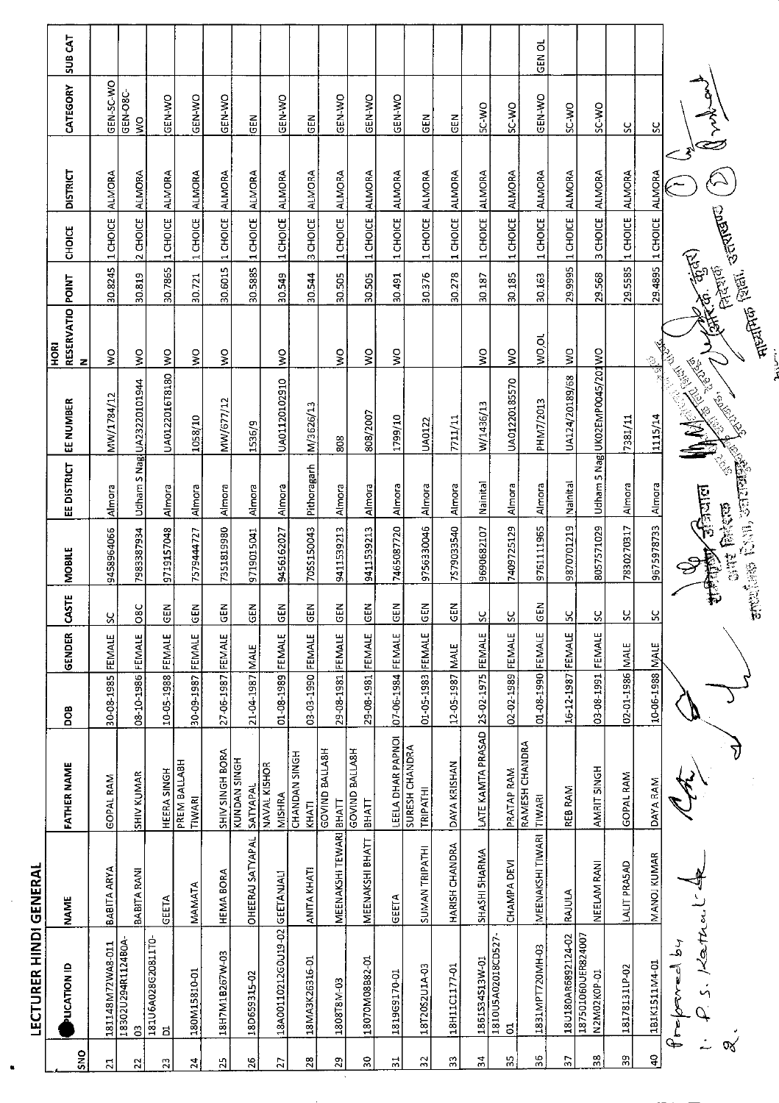|                | <b>LECTURER HINDI GENERAL</b>               |                         |                                       |                   |              |                           |            |             |                                                                                                                                         |                                            |                      |                  |                 |                                     |                    |
|----------------|---------------------------------------------|-------------------------|---------------------------------------|-------------------|--------------|---------------------------|------------|-------------|-----------------------------------------------------------------------------------------------------------------------------------------|--------------------------------------------|----------------------|------------------|-----------------|-------------------------------------|--------------------|
| SNO            | PLICATION ID                                | <b>NAME</b>             | <b>FATHER NAME</b>                    | 80a               | GENDER       | <b>CASTE</b>              | MOBILE     | EE DISTRICT | <b>EE NUMBER</b>                                                                                                                        | RESERVATIO POINT<br><b>RU</b><br>HORI<br>z |                      | 명문               | <b>DISTRICT</b> | CATEGORY                            | SUB <sub>CAT</sub> |
| 21             | 181148M72WA8-011                            | BABITA ARYA             | GOPAL RAM                             | 30-08-1985 FEMALE |              | S.                        | 9458964066 | Almora      | MW/1784/12                                                                                                                              | $\frac{1}{2}$                              | 30.8245              | 1 CHOICE         | <b>ALMORA</b>   | GEN-5C-WO                           |                    |
| 5              | 18302U294R1124B0A-<br>$\mathbf{c}$          | BABITA RANI             | <b>SHIV KUMAR</b>                     | 08-10-1986 FEMALE |              | $\circ$<br>$\overline{8}$ | 7983387934 |             | Udham S Nagl UA23220101944                                                                                                              | $\frac{1}{2}$                              | 30.819               | 2 CHOICE         | <b>ALMORA</b>   | GEN-O8C-<br>$\overline{\mathsf{S}}$ |                    |
| 23             | 181U6A028G20811T0<br>ă                      | GEETA                   | HEERA SINGH                           | 10-05-1988 FEMALE |              | <b>GEN</b>                | 9719157048 | Almora      | UA0122016T8180                                                                                                                          | $\frac{1}{2}$                              | 30.7865              | 1 CHOICE         | <b>ALMORA</b>   | GEN-WO                              |                    |
| 24             | 180M15810-01                                | MAMATA                  | PREM BALLABH<br>TIWARI                | 30-09-1987        | FEMALE       | GEN                       | 7579444727 | Almora      | 1058/10                                                                                                                                 | Š                                          | 30.721               | $1$ CHOICE       | <b>ALMORA</b>   | GEN-WO                              |                    |
| 25             | 18H7M18267W-03                              | <b>HEMA BORA</b>        | SHIV SINGH BORA                       | 27-06-1987        | FEMALE       | GEN                       | 7351819980 | Almora      | MW/677/12                                                                                                                               | $\frac{1}{2}$                              | 30.6015              | 1 CHOICE         | <b>ALMORA</b>   | GEN-WO                              |                    |
| 26             | 18D659315-02                                | <b>OHEERAJ SATYAPAL</b> | KUNDAN SINGH<br>SATYAPAL              | 21-04-1987 MALE   |              | GEN                       | 9719015041 | Almora      | 1536/9                                                                                                                                  |                                            | 30.5885              | 1 CHOICE         | <b>ALMORA</b>   | <b>GEN</b>                          |                    |
| 27             | 18A00110212G0U19-02 GEETANJALI              |                         | NAVAL KISHOR<br><b>MISHRA</b>         | 01-08-1989 FEMALE |              | GEN                       | 9456162027 | Almora      | UA01120102910                                                                                                                           | $\stackrel{\textstyle\circ}{\mathbf{s}}$   | 30.549               | 1 CHOICE         | <b>ALMORA</b>   | GEN-WO                              |                    |
| 28             | 18MA3K26316-01                              | <b>ANITA KHATI</b>      | CHANDAN SINGH<br>KHATI                | 03-03-1990 FEMALE |              | GEN                       | 7055150043 | Pithoragarh | M/3626/13                                                                                                                               |                                            | 30.544               | 3 CHOICE ALMORA  |                 | <b>SEN</b>                          |                    |
| $\mathbf{z}$   | 1808T8M-03                                  | MEENAKSHI TEWARI BHATT  | GOVIND BALLA8H                        | 29-08-1981 FEMALE |              | <b>GEN</b>                | 9411539213 | Almora      | 808                                                                                                                                     | $\frac{1}{2}$                              | 30.505               | 1 CHOICE         | <b>ALMORA</b>   | GEN-WO                              |                    |
| 50             | 18070M08B82-01                              | MEENAKSHI BHATT         | <b>GOVIND BALLASH</b><br><b>BHATT</b> | 29-08-1981 FEMALE |              | <b>GEN</b>                | 9411539213 | Almora      | 808/2007                                                                                                                                | Š                                          | 30.505               | 1 CHOICE         | ALMORA          | GEN-WO                              |                    |
| $\frac{1}{2}$  | 1819G9170-01                                | GEETA                   | LEELA DHAR PAPNOI                     | 07-06-1984 FEMALE |              | z<br>$\overline{6}$       | 7465087720 | Almora      | 1799/10                                                                                                                                 | Ş                                          | 30.491               | 1 CHOICE         | <b>ALMORA</b>   | GEN-WO                              |                    |
| $\frac{3}{2}$  | 18T20S2U1A-03                               | SUMAN TRIPATHI          | SURESH CHANDRA<br>TRIPATHI            | 01-05-1983 FEMALE |              | GEN                       | 9756330046 | Almora      | UA0122                                                                                                                                  |                                            | 30.376               | 1 CHOICE         | ALMORA          | <b>GEN</b>                          |                    |
| 33             | 18H11C1177-01                               | HARISH CHANDRA          | DAYA KRISHAN                          | 12-05-1987 MALE   |              | GEN                       | 7579033540 | Almora      | 7711/11                                                                                                                                 |                                            | 30.278               | 1 CHOICE         | ALMORA          | 군<br>5                              |                    |
| $\frac{4}{3}$  | 1861S34S13W-01                              | SHASHI SHARMA           | LATE KAMTA PRASAD                     | 25-02-1975 FEMALE |              | $\frac{6}{2}$             | 9690682107 | Nainital    | W/1436/13                                                                                                                               | Š                                          | 30.187               | 1 CHOICE         | ALMORA          | <b>OW-25</b>                        |                    |
| ္က             | 1810U5A02018CD527-<br>$\overline{5}$        | CHAMPA DEVI             | PRATAP RAM                            | 02-02-1989 FEMALE |              | $\frac{8}{2}$             | 7409725129 | Almora      | UA01220185570                                                                                                                           | $\frac{8}{5}$                              | 30.185               | 1 CHOICE         | <b>ALMORA</b>   | SC-WO                               |                    |
| 96             | 1831MPT720MH-03                             | MEENAKSHI TIWARI        | RAMESH CHANDRA<br>TIWARI              | 01-08-1990 FEMALE |              | Z.<br><u>ម</u>            | 9761111965 | Almora      | PHM7/2013                                                                                                                               | WO,OL                                      | 30.163               | 1 CHOICE         | <b>ALMORA</b>   | GEN-WO                              | ಕ<br>-<br>이        |
| $\overline{5}$ | 18U180AR6892124-02                          | RAULA                   | REB RAM                               | 16-12-1987 FEMALE |              | S,                        | 9870701219 | Nainital    | UA124/20189/68                                                                                                                          | š                                          | 29.9995              | 1 CHOICE         | ALMORA          | SC-WO                               |                    |
| 38             | 187501060UER824007<br>N2M02K0P-01           | NEELAM RANI             | AMRIT SINGH                           | 03-08-1991        | FEMALE       | <u>ပ္</u>                 | 8057571029 |             | Udham 5 Nag UKO2EMP0045/201WO                                                                                                           |                                            | 29.568               | 3 CHOICE         | ALMORA          | SC-WO                               |                    |
| 39             | 18178131LP-02                               | LALIT PRASAD            | GOPAL RAM                             | 02-01-1986        | <b>INALE</b> | ပ္ပ                       | 7830270317 | Almora      | 7381/11                                                                                                                                 |                                            | 29.5585              | 1 CHOICE         | <b>ALMORA</b>   | ပ္တ                                 |                    |
| $\frac{1}{4}$  | 1B1K1511M4-01                               | MANOJ KUMAR             | DAYA RAM                              | 10-06-1988 MALE   |              | $\frac{6}{2}$             | 9675978733 | Almora      | $\frac{\frac{1}{\sqrt{2}}}{\frac{1}{\sqrt{2}}}\frac{\frac{1}{\sqrt{2}}}{\frac{1}{\sqrt{2}}}\left( \frac{1}{\sqrt{2}}\right)$<br>1115/14 |                                            |                      | 29.4895 1 CHOICE | <b>ALMORA</b>   | ပ္တ                                 |                    |
|                | Kathu<br>the post<br>$\stackrel{?}{=}$<br>↬ |                         |                                       |                   |              |                           |            |             | <b>CONTRACTOR</b>                                                                                                                       | $\tilde{\gamma}$                           | <b>America</b> Erica |                  |                 |                                     |                    |
| তব্য           |                                             |                         |                                       |                   |              |                           |            |             |                                                                                                                                         | माच्यांगक शिल्ला, उल्लाखण्ड ।<br>माच्यांगक |                      |                  |                 |                                     |                    |
|                |                                             |                         |                                       |                   |              |                           |            |             |                                                                                                                                         |                                            |                      |                  |                 |                                     |                    |

l,

 $\ddot{\phantom{a}}$